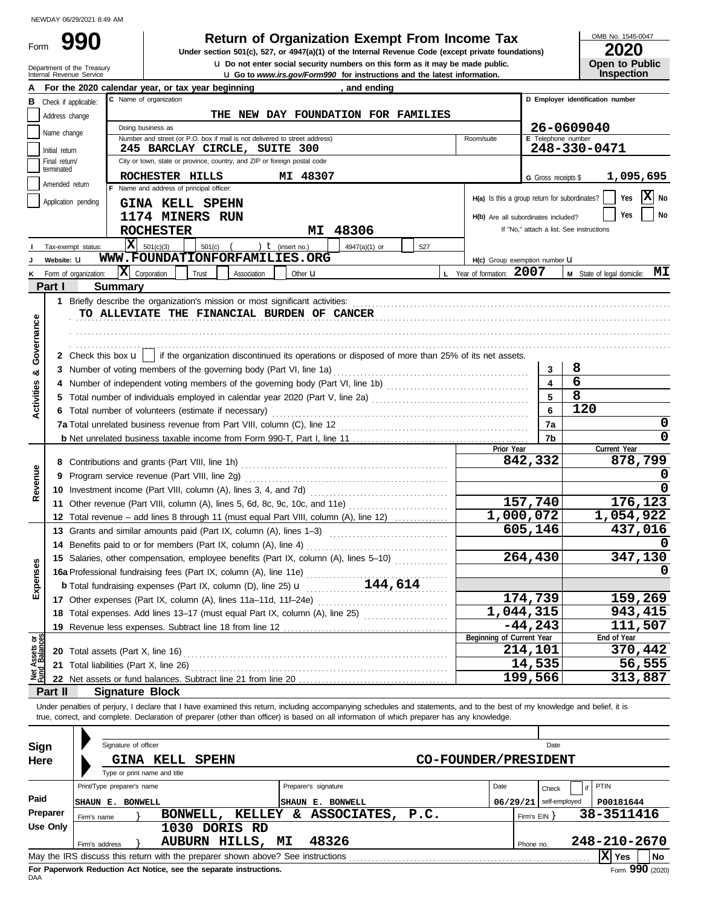Form

# **990 a Return of Organization Exempt From Income Tax 2020 2020 2020**

**u** Go to *www.irs.gov/Form990* for instructions and the latest information. **u** Do not enter social security numbers on this form as it may be made public. **Under section 501(c), 527, or 4947(a)(1) of the Internal Revenue Code (except private foundations)** OMB No. 1545-0047

|  | <b>Open to Public</b> |
|--|-----------------------|
|  | <b>Inspection</b>     |

|                         |                                 | Department of the Treasury<br>Internal Revenue Service                                                                                     |                            |                                                                                                           |              |                      |                    |                      |                  |               | <b>u</b> Go to <i>www.irs.gov/Form990</i> for instructions and the latest information. | <b>U</b> Do not enter social security numbers on this form as it may be made public.                                                                                       |           |                                          |                | Open to Public<br><b>Inspection</b> |                    |
|-------------------------|---------------------------------|--------------------------------------------------------------------------------------------------------------------------------------------|----------------------------|-----------------------------------------------------------------------------------------------------------|--------------|----------------------|--------------------|----------------------|------------------|---------------|----------------------------------------------------------------------------------------|----------------------------------------------------------------------------------------------------------------------------------------------------------------------------|-----------|------------------------------------------|----------------|-------------------------------------|--------------------|
|                         |                                 | For the 2020 calendar year, or tax year beginning                                                                                          |                            |                                                                                                           |              |                      |                    |                      |                  | , and ending  |                                                                                        |                                                                                                                                                                            |           |                                          |                |                                     |                    |
| в                       | Check if applicable:            |                                                                                                                                            |                            | C Name of organization                                                                                    |              |                      |                    |                      |                  |               |                                                                                        |                                                                                                                                                                            |           |                                          |                | D Employer identification number    |                    |
|                         | Address change                  |                                                                                                                                            |                            |                                                                                                           |              |                      |                    |                      |                  |               | THE NEW DAY FOUNDATION FOR FAMILIES                                                    |                                                                                                                                                                            |           |                                          |                |                                     |                    |
|                         | Name change                     |                                                                                                                                            | Doing business as          |                                                                                                           |              |                      |                    |                      |                  |               |                                                                                        |                                                                                                                                                                            |           | 26-0609040                               |                |                                     |                    |
|                         |                                 |                                                                                                                                            |                            | Number and street (or P.O. box if mail is not delivered to street address)                                |              |                      |                    |                      |                  |               |                                                                                        | Room/suite                                                                                                                                                                 |           | <b>E</b> Telephone number                |                |                                     |                    |
|                         | Initial return<br>Final return/ |                                                                                                                                            |                            | 245 BARCLAY CIRCLE, SUITE 300<br>City or town, state or province, country, and ZIP or foreign postal code |              |                      |                    |                      |                  |               |                                                                                        |                                                                                                                                                                            |           |                                          |                | 248-330-0471                        |                    |
|                         | terminated                      |                                                                                                                                            |                            |                                                                                                           |              |                      |                    |                      |                  |               |                                                                                        |                                                                                                                                                                            |           |                                          |                |                                     |                    |
|                         | Amended return                  |                                                                                                                                            |                            | ROCHESTER HILLS<br>F Name and address of principal officer:                                               |              |                      |                    | MI 48307             |                  |               |                                                                                        |                                                                                                                                                                            |           | G Gross receipts \$                      |                |                                     | 1,095,695          |
|                         |                                 | Application pending                                                                                                                        |                            |                                                                                                           |              |                      |                    |                      |                  |               |                                                                                        | H(a) Is this a group return for subordinates?                                                                                                                              |           |                                          |                | Yes                                 | $ \mathbf{X} $ No  |
|                         |                                 |                                                                                                                                            |                            | GINA KELL SPEHN                                                                                           |              |                      |                    |                      |                  |               |                                                                                        |                                                                                                                                                                            |           |                                          |                | Yes                                 | <b>No</b>          |
|                         |                                 |                                                                                                                                            |                            | 1174 MINERS RUN<br><b>ROCHESTER</b>                                                                       |              |                      |                    |                      |                  |               |                                                                                        | H(b) Are all subordinates included?                                                                                                                                        |           | If "No," attach a list. See instructions |                |                                     |                    |
|                         |                                 |                                                                                                                                            |                            | $\overline{\mathbf{X}}$ 501(c)(3)                                                                         |              |                      |                    | MI                   | 48306            |               |                                                                                        |                                                                                                                                                                            |           |                                          |                |                                     |                    |
|                         |                                 | Tax-exempt status:                                                                                                                         |                            | WWW.FOUNDATIONFORFAMILIES.ORG                                                                             | $501(c)$ (   |                      | ) $t$ (insert no.) |                      |                  | 4947(a)(1) or | 527                                                                                    |                                                                                                                                                                            |           |                                          |                |                                     |                    |
|                         | Website: U                      |                                                                                                                                            | $ \mathbf{X} $ Corporation |                                                                                                           |              |                      |                    |                      |                  |               |                                                                                        | H(c) Group exemption number LI<br>L Year of formation: 2007                                                                                                                |           |                                          |                | M State of legal domicile: MI       |                    |
|                         | Part I                          | Form of organization:                                                                                                                      | <b>Summary</b>             |                                                                                                           | Trust        | Association          |                    | Other <b>u</b>       |                  |               |                                                                                        |                                                                                                                                                                            |           |                                          |                |                                     |                    |
|                         |                                 |                                                                                                                                            |                            |                                                                                                           |              |                      |                    |                      |                  |               |                                                                                        |                                                                                                                                                                            |           |                                          |                |                                     |                    |
|                         |                                 |                                                                                                                                            |                            | TO ALLEVIATE THE FINANCIAL BURDEN OF CANCER                                                               |              |                      |                    |                      |                  |               |                                                                                        |                                                                                                                                                                            |           |                                          |                |                                     |                    |
|                         |                                 |                                                                                                                                            |                            |                                                                                                           |              |                      |                    |                      |                  |               |                                                                                        |                                                                                                                                                                            |           |                                          |                |                                     |                    |
| Governance              |                                 |                                                                                                                                            |                            |                                                                                                           |              |                      |                    |                      |                  |               |                                                                                        |                                                                                                                                                                            |           |                                          |                |                                     |                    |
|                         |                                 |                                                                                                                                            |                            |                                                                                                           |              |                      |                    |                      |                  |               |                                                                                        | 2 Check this box $\mathbf{u}$   if the organization discontinued its operations or disposed of more than 25% of its net assets.                                            |           |                                          |                |                                     |                    |
|                         |                                 | 3 Number of voting members of the governing body (Part VI, line 1a)                                                                        |                            |                                                                                                           |              |                      |                    |                      |                  |               |                                                                                        |                                                                                                                                                                            |           | 3                                        | 8              |                                     |                    |
| ೲ                       |                                 |                                                                                                                                            |                            |                                                                                                           |              |                      |                    |                      |                  |               |                                                                                        |                                                                                                                                                                            |           | $\overline{\mathbf{4}}$                  | 6              |                                     |                    |
|                         |                                 |                                                                                                                                            |                            |                                                                                                           |              |                      |                    |                      |                  |               |                                                                                        |                                                                                                                                                                            |           | 5                                        | $\overline{8}$ |                                     |                    |
| Activities              |                                 | 6 Total number of volunteers (estimate if necessary)                                                                                       |                            |                                                                                                           |              |                      |                    |                      |                  |               |                                                                                        |                                                                                                                                                                            |           | 6                                        | 120            |                                     |                    |
|                         |                                 |                                                                                                                                            |                            |                                                                                                           |              |                      |                    |                      |                  |               |                                                                                        |                                                                                                                                                                            |           | 7a                                       |                |                                     | 0                  |
|                         |                                 |                                                                                                                                            |                            |                                                                                                           |              |                      |                    |                      |                  |               |                                                                                        |                                                                                                                                                                            |           | 7b                                       |                |                                     | 0                  |
|                         |                                 |                                                                                                                                            |                            |                                                                                                           |              |                      |                    |                      |                  |               |                                                                                        | Prior Year                                                                                                                                                                 |           |                                          |                | Current Year                        |                    |
|                         |                                 |                                                                                                                                            |                            |                                                                                                           |              |                      |                    |                      |                  |               |                                                                                        |                                                                                                                                                                            |           | 842,332                                  |                |                                     | 878,799            |
| Revenue                 |                                 |                                                                                                                                            |                            |                                                                                                           |              |                      |                    |                      |                  |               |                                                                                        |                                                                                                                                                                            |           |                                          |                |                                     |                    |
|                         |                                 |                                                                                                                                            |                            |                                                                                                           |              |                      |                    |                      |                  |               |                                                                                        |                                                                                                                                                                            |           |                                          |                |                                     |                    |
|                         |                                 | 11 Other revenue (Part VIII, column (A), lines 5, 6d, 8c, 9c, 10c, and 11e)                                                                |                            |                                                                                                           |              |                      |                    |                      |                  |               |                                                                                        |                                                                                                                                                                            |           | 157,740                                  |                |                                     | 176,123            |
|                         |                                 | 12 Total revenue – add lines 8 through 11 (must equal Part VIII, column (A), line 12)                                                      |                            |                                                                                                           |              |                      |                    |                      |                  |               |                                                                                        | 1,000,072                                                                                                                                                                  |           |                                          |                | 1,054,922                           |                    |
|                         |                                 | 13 Grants and similar amounts paid (Part IX, column (A), lines 1-3)                                                                        |                            |                                                                                                           |              |                      |                    |                      |                  |               |                                                                                        |                                                                                                                                                                            |           | 605,146                                  |                |                                     | 437,016            |
|                         |                                 | 14 Benefits paid to or for members (Part IX, column (A), line 4)                                                                           |                            |                                                                                                           |              |                      |                    |                      |                  |               |                                                                                        |                                                                                                                                                                            |           |                                          |                |                                     |                    |
| <b>Ses</b>              |                                 | 15 Salaries, other compensation, employee benefits (Part IX, column (A), lines 5-10)                                                       |                            |                                                                                                           |              |                      |                    |                      |                  |               |                                                                                        |                                                                                                                                                                            |           | 264,430                                  |                |                                     | 347,130            |
|                         |                                 | 16a Professional fundraising fees (Part IX, column (A), line 11e)                                                                          |                            |                                                                                                           |              |                      |                    |                      |                  |               |                                                                                        |                                                                                                                                                                            |           |                                          |                |                                     | 0                  |
| Exper                   |                                 | <b>b</b> Total fundraising expenses (Part IX, column (D), line 25) $\mathbf{u}$                                                            |                            |                                                                                                           |              |                      |                    |                      |                  |               | 144,614                                                                                |                                                                                                                                                                            |           |                                          |                |                                     |                    |
|                         |                                 |                                                                                                                                            |                            |                                                                                                           |              |                      |                    |                      |                  |               |                                                                                        |                                                                                                                                                                            |           | 174,739                                  |                |                                     | 159,269            |
|                         |                                 | 18 Total expenses. Add lines 13-17 (must equal Part IX, column (A), line 25) [                                                             |                            |                                                                                                           |              |                      |                    |                      |                  |               |                                                                                        | 1,044,315                                                                                                                                                                  |           | $-44, 243$                               |                |                                     | 943,415<br>111,507 |
|                         |                                 |                                                                                                                                            |                            |                                                                                                           |              |                      |                    |                      |                  |               |                                                                                        | Beginning of Current Year                                                                                                                                                  |           |                                          |                | End of Year                         |                    |
| Assets or<br>d Balances |                                 |                                                                                                                                            |                            |                                                                                                           |              |                      |                    |                      |                  |               |                                                                                        |                                                                                                                                                                            |           | 214,101                                  |                |                                     | 370,442            |
|                         |                                 | 21 Total liabilities (Part X, line 26)                                                                                                     |                            |                                                                                                           |              |                      |                    |                      |                  |               |                                                                                        |                                                                                                                                                                            |           | 14,535                                   |                |                                     | 56,555             |
| ™<br>E                  |                                 |                                                                                                                                            |                            |                                                                                                           |              |                      |                    |                      |                  |               |                                                                                        |                                                                                                                                                                            |           | 199,566                                  |                |                                     | 313,887            |
|                         | Part II                         |                                                                                                                                            |                            | <b>Signature Block</b>                                                                                    |              |                      |                    |                      |                  |               |                                                                                        |                                                                                                                                                                            |           |                                          |                |                                     |                    |
|                         |                                 |                                                                                                                                            |                            |                                                                                                           |              |                      |                    |                      |                  |               |                                                                                        | Under penalties of perjury, I declare that I have examined this return, including accompanying schedules and statements, and to the best of my knowledge and belief, it is |           |                                          |                |                                     |                    |
|                         |                                 | true, correct, and complete. Declaration of preparer (other than officer) is based on all information of which preparer has any knowledge. |                            |                                                                                                           |              |                      |                    |                      |                  |               |                                                                                        |                                                                                                                                                                            |           |                                          |                |                                     |                    |
|                         |                                 |                                                                                                                                            |                            |                                                                                                           |              |                      |                    |                      |                  |               |                                                                                        |                                                                                                                                                                            |           |                                          |                |                                     |                    |
| Sign                    |                                 |                                                                                                                                            | Signature of officer       |                                                                                                           |              |                      |                    |                      |                  |               |                                                                                        |                                                                                                                                                                            |           | Date                                     |                |                                     |                    |
| Here                    |                                 |                                                                                                                                            |                            | <b>GINA KELL</b>                                                                                          | <b>SPEHN</b> |                      |                    |                      |                  |               |                                                                                        | <b>CO-FOUNDER/PRESIDENT</b>                                                                                                                                                |           |                                          |                |                                     |                    |
|                         |                                 |                                                                                                                                            |                            | Type or print name and title                                                                              |              |                      |                    |                      |                  |               |                                                                                        |                                                                                                                                                                            |           |                                          |                |                                     |                    |
|                         |                                 | Print/Type preparer's name                                                                                                                 |                            |                                                                                                           |              |                      |                    | Preparer's signature |                  |               |                                                                                        | Date                                                                                                                                                                       |           | Check                                    |                | PTIN                                |                    |
| Paid                    |                                 | SHAUN E. BONWELL                                                                                                                           |                            |                                                                                                           |              |                      |                    |                      | SHAUN E. BONWELL |               |                                                                                        |                                                                                                                                                                            | 06/29/21  | self-employed                            |                | P00181644                           |                    |
|                         | Preparer                        | Firm's name                                                                                                                                |                            | BONWELL,                                                                                                  |              | KELLEY & ASSOCIATES, |                    |                      |                  |               | P.C.                                                                                   |                                                                                                                                                                            |           | Firm's $EIN$ }                           |                | 38-3511416                          |                    |
|                         | <b>Use Only</b>                 |                                                                                                                                            |                            |                                                                                                           |              | 1030 DORIS RD        |                    |                      |                  |               |                                                                                        |                                                                                                                                                                            |           |                                          |                |                                     |                    |
|                         |                                 | Firm's address                                                                                                                             |                            |                                                                                                           |              | AUBURN HILLS,        | MΙ                 |                      | 48326            |               |                                                                                        |                                                                                                                                                                            | Phone no. |                                          |                | 248-210-2670                        |                    |
|                         |                                 |                                                                                                                                            |                            |                                                                                                           |              |                      |                    |                      |                  |               |                                                                                        |                                                                                                                                                                            |           |                                          |                | $ X $ Yes                           | <b>No</b>          |

| Sign<br>Here | Signature of officer<br>Date<br>CO-FOUNDER/PRESIDENT<br>KELL<br><b>SPEHN</b><br><b>GINA</b> |                             |                                        |  |  |  |  |  |  |  |  |  |
|--------------|---------------------------------------------------------------------------------------------|-----------------------------|----------------------------------------|--|--|--|--|--|--|--|--|--|
|              | Type or print name and title                                                                |                             |                                        |  |  |  |  |  |  |  |  |  |
|              | Print/Type preparer's name                                                                  | Preparer's signature        | Date<br>PTIN<br>Check                  |  |  |  |  |  |  |  |  |  |
| Paid         | <b>BONWELL</b><br><b>ISHAUN E.</b>                                                          | E. BONWELL<br><b>ISHAUN</b> | P00181644<br>self-employed<br>06/29/21 |  |  |  |  |  |  |  |  |  |
| Preparer     | <b>KELLEY</b><br>BONWELL,<br>Firm's name                                                    | ASSOCIATES, P.C.<br>&.      | 38-3511416<br>Firm's $EIN$ $\}$        |  |  |  |  |  |  |  |  |  |
| Use Only     | DORIS RD<br>1030                                                                            |                             |                                        |  |  |  |  |  |  |  |  |  |
|              | HILLS,<br><b>AUBURN</b><br>Firm's address                                                   | 48326<br>MI                 | 248-210-2670<br>Phone no.              |  |  |  |  |  |  |  |  |  |
|              | May the IRS discuss this return with the preparer shown above? See instructions             |                             | x<br><b>No</b><br><b>Yes</b>           |  |  |  |  |  |  |  |  |  |
| DAA          | For Paperwork Reduction Act Notice, see the separate instructions.                          |                             | Form 990 (2020)                        |  |  |  |  |  |  |  |  |  |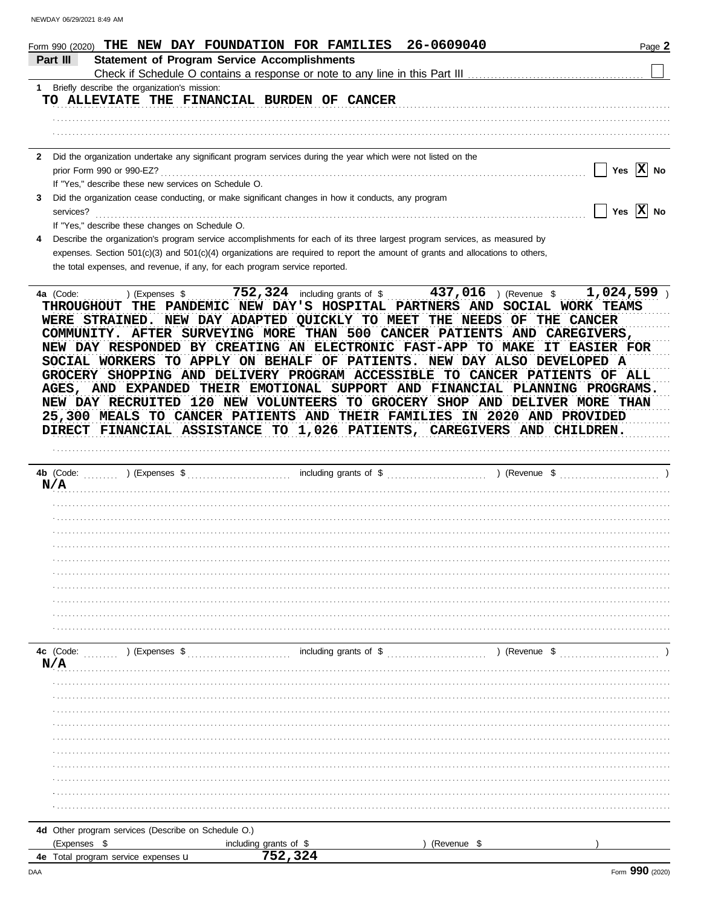| NEWDAY 06/29/2021 8:49 AM |                                                                             |                                                                                                                                                                                                                                                                                                                                                                                                                                                                                                                                                                                                                                                                                                                                                                                                                                                                |                      |                             |
|---------------------------|-----------------------------------------------------------------------------|----------------------------------------------------------------------------------------------------------------------------------------------------------------------------------------------------------------------------------------------------------------------------------------------------------------------------------------------------------------------------------------------------------------------------------------------------------------------------------------------------------------------------------------------------------------------------------------------------------------------------------------------------------------------------------------------------------------------------------------------------------------------------------------------------------------------------------------------------------------|----------------------|-----------------------------|
|                           |                                                                             | Form 990 (2020) THE NEW DAY FOUNDATION FOR FAMILIES                                                                                                                                                                                                                                                                                                                                                                                                                                                                                                                                                                                                                                                                                                                                                                                                            | 26-0609040           | Page 2                      |
| Part III                  | <b>Statement of Program Service Accomplishments</b>                         |                                                                                                                                                                                                                                                                                                                                                                                                                                                                                                                                                                                                                                                                                                                                                                                                                                                                |                      |                             |
|                           | 1 Briefly describe the organization's mission:                              |                                                                                                                                                                                                                                                                                                                                                                                                                                                                                                                                                                                                                                                                                                                                                                                                                                                                |                      |                             |
|                           |                                                                             | TO ALLEVIATE THE FINANCIAL BURDEN OF CANCER                                                                                                                                                                                                                                                                                                                                                                                                                                                                                                                                                                                                                                                                                                                                                                                                                    |                      |                             |
|                           |                                                                             |                                                                                                                                                                                                                                                                                                                                                                                                                                                                                                                                                                                                                                                                                                                                                                                                                                                                |                      |                             |
|                           |                                                                             | 2 Did the organization undertake any significant program services during the year which were not listed on the                                                                                                                                                                                                                                                                                                                                                                                                                                                                                                                                                                                                                                                                                                                                                 |                      |                             |
|                           | If "Yes," describe these new services on Schedule O.                        |                                                                                                                                                                                                                                                                                                                                                                                                                                                                                                                                                                                                                                                                                                                                                                                                                                                                |                      | Yes $\boxed{\mathbf{X}}$ No |
| 3                         |                                                                             | Did the organization cease conducting, or make significant changes in how it conducts, any program                                                                                                                                                                                                                                                                                                                                                                                                                                                                                                                                                                                                                                                                                                                                                             |                      |                             |
| services?                 | If "Yes," describe these changes on Schedule O.                             |                                                                                                                                                                                                                                                                                                                                                                                                                                                                                                                                                                                                                                                                                                                                                                                                                                                                |                      | Yes $\overline{X}$ No       |
|                           |                                                                             | Describe the organization's program service accomplishments for each of its three largest program services, as measured by                                                                                                                                                                                                                                                                                                                                                                                                                                                                                                                                                                                                                                                                                                                                     |                      |                             |
|                           |                                                                             | expenses. Section $501(c)(3)$ and $501(c)(4)$ organizations are required to report the amount of grants and allocations to others,                                                                                                                                                                                                                                                                                                                                                                                                                                                                                                                                                                                                                                                                                                                             |                      |                             |
|                           | the total expenses, and revenue, if any, for each program service reported. |                                                                                                                                                                                                                                                                                                                                                                                                                                                                                                                                                                                                                                                                                                                                                                                                                                                                |                      |                             |
| 4a $(Code:$<br>N/A        |                                                                             | ) (Expenses \$ 752,324 including grants of \$ 437,016 ) (Revenue \$ 1,024,599 )<br>THROUGHOUT THE PANDEMIC NEW DAY'S HOSPITAL PARTNERS AND SOCIAL WORK TEAMS<br>WERE STRAINED. NEW DAY ADAPTED QUICKLY TO MEET THE NEEDS OF THE CANCER<br>COMMUNITY. AFTER SURVEYING MORE THAN 500 CANCER PATIENTS AND CAREGIVERS,<br>NEW DAY RESPONDED BY CREATING AN ELECTRONIC FAST-APP TO MAKE<br>SOCIAL WORKERS TO APPLY ON BEHALF OF PATIENTS. NEW DAY ALSO DEVELOPED A<br>GROCERY SHOPPING AND DELIVERY PROGRAM ACCESSIBLE TO CANCER PATIENTS OF ALL<br>AGES, AND EXPANDED THEIR EMOTIONAL SUPPORT AND FINANCIAL PLANNING PROGRAMS.<br>NEW DAY RECRUITED 120 NEW VOLUNTEERS TO GROCERY SHOP AND DELIVER MORE THAN<br>25,300 MEALS TO CANCER PATIENTS AND THEIR FAMILIES IN 2020 AND PROVIDED<br>DIRECT FINANCIAL ASSISTANCE TO 1,026 PATIENTS, CAREGIVERS AND CHILDREN. | <b>IT EASIER FOR</b> |                             |
|                           |                                                                             |                                                                                                                                                                                                                                                                                                                                                                                                                                                                                                                                                                                                                                                                                                                                                                                                                                                                |                      |                             |
|                           |                                                                             |                                                                                                                                                                                                                                                                                                                                                                                                                                                                                                                                                                                                                                                                                                                                                                                                                                                                |                      |                             |
|                           |                                                                             |                                                                                                                                                                                                                                                                                                                                                                                                                                                                                                                                                                                                                                                                                                                                                                                                                                                                |                      |                             |
|                           |                                                                             |                                                                                                                                                                                                                                                                                                                                                                                                                                                                                                                                                                                                                                                                                                                                                                                                                                                                |                      |                             |
|                           |                                                                             |                                                                                                                                                                                                                                                                                                                                                                                                                                                                                                                                                                                                                                                                                                                                                                                                                                                                |                      |                             |
|                           |                                                                             |                                                                                                                                                                                                                                                                                                                                                                                                                                                                                                                                                                                                                                                                                                                                                                                                                                                                |                      |                             |
|                           |                                                                             |                                                                                                                                                                                                                                                                                                                                                                                                                                                                                                                                                                                                                                                                                                                                                                                                                                                                |                      |                             |
|                           |                                                                             |                                                                                                                                                                                                                                                                                                                                                                                                                                                                                                                                                                                                                                                                                                                                                                                                                                                                |                      |                             |
|                           |                                                                             |                                                                                                                                                                                                                                                                                                                                                                                                                                                                                                                                                                                                                                                                                                                                                                                                                                                                |                      |                             |
|                           |                                                                             |                                                                                                                                                                                                                                                                                                                                                                                                                                                                                                                                                                                                                                                                                                                                                                                                                                                                |                      |                             |
|                           |                                                                             |                                                                                                                                                                                                                                                                                                                                                                                                                                                                                                                                                                                                                                                                                                                                                                                                                                                                |                      |                             |
| N/A                       |                                                                             |                                                                                                                                                                                                                                                                                                                                                                                                                                                                                                                                                                                                                                                                                                                                                                                                                                                                |                      |                             |
|                           |                                                                             |                                                                                                                                                                                                                                                                                                                                                                                                                                                                                                                                                                                                                                                                                                                                                                                                                                                                |                      |                             |
|                           |                                                                             |                                                                                                                                                                                                                                                                                                                                                                                                                                                                                                                                                                                                                                                                                                                                                                                                                                                                |                      |                             |
|                           |                                                                             |                                                                                                                                                                                                                                                                                                                                                                                                                                                                                                                                                                                                                                                                                                                                                                                                                                                                |                      |                             |
|                           |                                                                             |                                                                                                                                                                                                                                                                                                                                                                                                                                                                                                                                                                                                                                                                                                                                                                                                                                                                |                      |                             |
|                           |                                                                             |                                                                                                                                                                                                                                                                                                                                                                                                                                                                                                                                                                                                                                                                                                                                                                                                                                                                |                      |                             |
|                           |                                                                             |                                                                                                                                                                                                                                                                                                                                                                                                                                                                                                                                                                                                                                                                                                                                                                                                                                                                |                      |                             |
|                           |                                                                             |                                                                                                                                                                                                                                                                                                                                                                                                                                                                                                                                                                                                                                                                                                                                                                                                                                                                |                      |                             |
|                           |                                                                             |                                                                                                                                                                                                                                                                                                                                                                                                                                                                                                                                                                                                                                                                                                                                                                                                                                                                |                      |                             |
|                           |                                                                             |                                                                                                                                                                                                                                                                                                                                                                                                                                                                                                                                                                                                                                                                                                                                                                                                                                                                |                      |                             |
|                           |                                                                             |                                                                                                                                                                                                                                                                                                                                                                                                                                                                                                                                                                                                                                                                                                                                                                                                                                                                |                      |                             |

|  |  |  | 4d Other program services (Describe on Schedule O.) |  |
|--|--|--|-----------------------------------------------------|--|
|  |  |  |                                                     |  |

| (Expenses                                          | arants of<br>includina | (Revenue |  |
|----------------------------------------------------|------------------------|----------|--|
| program service<br>expenses <b>u</b><br>otal<br>4е | --                     |          |  |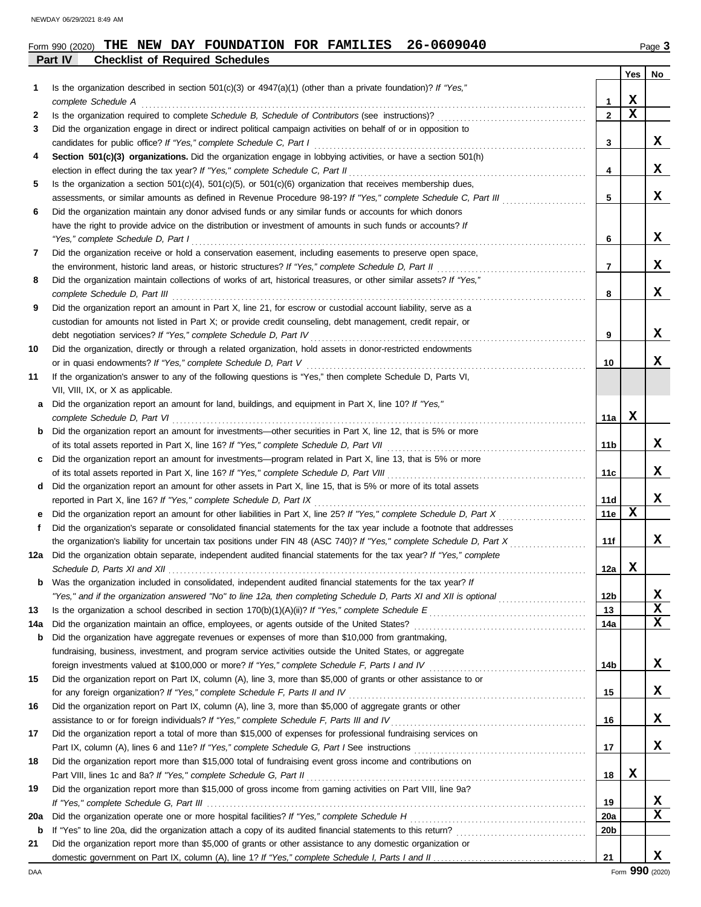|     | <b>Checklist of Required Schedules</b><br>Part IV                                                                                                                                      |                 |             |             |
|-----|----------------------------------------------------------------------------------------------------------------------------------------------------------------------------------------|-----------------|-------------|-------------|
|     |                                                                                                                                                                                        |                 | Yes         | No          |
| 1.  | Is the organization described in section $501(c)(3)$ or $4947(a)(1)$ (other than a private foundation)? If "Yes,"                                                                      |                 |             |             |
|     | complete Schedule A                                                                                                                                                                    | 1               | X           |             |
| 2   |                                                                                                                                                                                        | $\overline{2}$  | $\mathbf x$ |             |
| 3   | Did the organization engage in direct or indirect political campaign activities on behalf of or in opposition to                                                                       |                 |             |             |
|     |                                                                                                                                                                                        | 3               |             | X           |
| 4   | Section 501(c)(3) organizations. Did the organization engage in lobbying activities, or have a section 501(h)                                                                          |                 |             |             |
|     |                                                                                                                                                                                        | 4               |             | X           |
| 5   | Is the organization a section $501(c)(4)$ , $501(c)(5)$ , or $501(c)(6)$ organization that receives membership dues,                                                                   |                 |             |             |
|     | assessments, or similar amounts as defined in Revenue Procedure 98-19? If "Yes," complete Schedule C, Part III                                                                         | 5               |             | X           |
| 6   | Did the organization maintain any donor advised funds or any similar funds or accounts for which donors                                                                                |                 |             |             |
|     | have the right to provide advice on the distribution or investment of amounts in such funds or accounts? If                                                                            |                 |             |             |
|     | "Yes," complete Schedule D, Part I                                                                                                                                                     | 6               |             | X           |
| 7   | Did the organization receive or hold a conservation easement, including easements to preserve open space,                                                                              |                 |             |             |
|     |                                                                                                                                                                                        | $\overline{7}$  |             | X           |
| 8   | Did the organization maintain collections of works of art, historical treasures, or other similar assets? If "Yes,"                                                                    |                 |             |             |
|     |                                                                                                                                                                                        | 8               |             | X           |
| 9   | Did the organization report an amount in Part X, line 21, for escrow or custodial account liability, serve as a                                                                        |                 |             |             |
|     | custodian for amounts not listed in Part X; or provide credit counseling, debt management, credit repair, or                                                                           |                 |             |             |
|     | debt negotiation services? If "Yes," complete Schedule D, Part IV [[20] Concretent content content content for                                                                         | 9               |             | X           |
| 10  | Did the organization, directly or through a related organization, hold assets in donor-restricted endowments                                                                           |                 |             |             |
|     |                                                                                                                                                                                        | 10              |             | x           |
| 11  | If the organization's answer to any of the following questions is "Yes," then complete Schedule D, Parts VI,                                                                           |                 |             |             |
|     | VII, VIII, IX, or X as applicable.                                                                                                                                                     |                 |             |             |
|     | a Did the organization report an amount for land, buildings, and equipment in Part X, line 10? If "Yes,"                                                                               |                 |             |             |
|     |                                                                                                                                                                                        | 11a             | x           |             |
|     | complete Schedule D, Part VI<br><b>b</b> Did the organization report an amount for investments—other securities in Part X, line 12, that is 5% or more                                 |                 |             |             |
|     |                                                                                                                                                                                        |                 |             | X           |
|     |                                                                                                                                                                                        | 11b             |             |             |
|     | c Did the organization report an amount for investments—program related in Part X, line 13, that is 5% or more                                                                         |                 |             | X           |
|     |                                                                                                                                                                                        | 11c             |             |             |
|     | d Did the organization report an amount for other assets in Part X, line 15, that is 5% or more of its total assets                                                                    |                 |             |             |
|     | reported in Part X, line 16? If "Yes," complete Schedule D, Part IX                                                                                                                    | 11d             |             | X           |
|     |                                                                                                                                                                                        | 11e             | x           |             |
| f   | Did the organization's separate or consolidated financial statements for the tax year include a footnote that addresses                                                                |                 |             |             |
|     |                                                                                                                                                                                        | 11f             |             | X           |
|     | 12a Did the organization obtain separate, independent audited financial statements for the tax year? If "Yes," complete                                                                |                 |             |             |
|     |                                                                                                                                                                                        | 12a             | X,          |             |
| b   | Was the organization included in consolidated, independent audited financial statements for the tax year? If                                                                           |                 |             |             |
|     | "Yes," and if the organization answered "No" to line 12a, then completing Schedule D, Parts XI and XII is optional                                                                     | 12b             |             | X           |
| 13  |                                                                                                                                                                                        | 13              |             | $\mathbf x$ |
| 14a |                                                                                                                                                                                        | 14a             |             | X           |
| b   | Did the organization have aggregate revenues or expenses of more than \$10,000 from grantmaking,                                                                                       |                 |             |             |
|     | fundraising, business, investment, and program service activities outside the United States, or aggregate                                                                              |                 |             |             |
|     | foreign investments valued at \$100,000 or more? If "Yes," complete Schedule F, Parts I and IV [[[[[[[[[[[[[[[                                                                         | 14b             |             | X           |
| 15  | Did the organization report on Part IX, column (A), line 3, more than \$5,000 of grants or other assistance to or                                                                      |                 |             |             |
|     | for any foreign organization? If "Yes," complete Schedule F, Parts II and IV                                                                                                           | 15              |             | X           |
| 16  | Did the organization report on Part IX, column (A), line 3, more than \$5,000 of aggregate grants or other                                                                             |                 |             |             |
|     | assistance to or for foreign individuals? If "Yes," complete Schedule F, Parts III and IV<br>assistance to or for foreign individuals? If "Yes," complete Schedule F, Parts III and IV | 16              |             | X           |
| 17  | Did the organization report a total of more than \$15,000 of expenses for professional fundraising services on                                                                         |                 |             |             |
|     |                                                                                                                                                                                        | 17              |             | X           |
| 18  | Did the organization report more than \$15,000 total of fundraising event gross income and contributions on                                                                            |                 |             |             |
|     | Part VIII, lines 1c and 8a? If "Yes," complete Schedule G, Part II                                                                                                                     | 18              | X           |             |
| 19  | Did the organization report more than \$15,000 of gross income from gaming activities on Part VIII, line 9a?                                                                           |                 |             |             |
|     |                                                                                                                                                                                        | 19              |             | X.          |
| 20a |                                                                                                                                                                                        | 20a             |             | X           |
| b   |                                                                                                                                                                                        | 20 <sub>b</sub> |             |             |
| 21  | Did the organization report more than \$5,000 of grants or other assistance to any domestic organization or                                                                            |                 |             |             |
|     |                                                                                                                                                                                        | 21              |             | x           |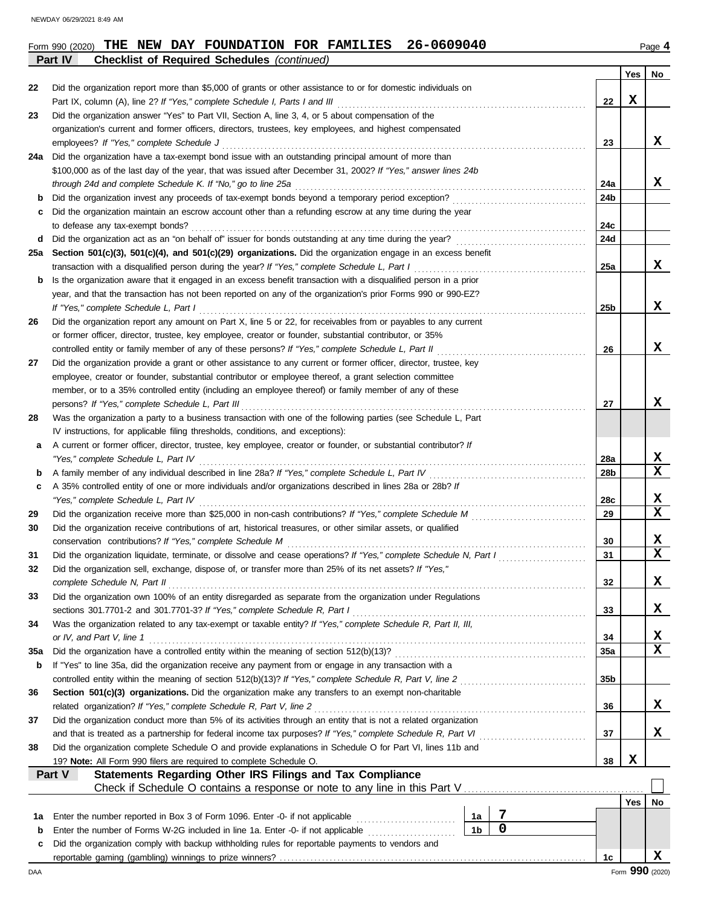**Part IV Checklist of Required Schedules** *(continued)*

|     |                                                                                                                                                                                                                            |                 | Yes | No              |
|-----|----------------------------------------------------------------------------------------------------------------------------------------------------------------------------------------------------------------------------|-----------------|-----|-----------------|
| 22  | Did the organization report more than \$5,000 of grants or other assistance to or for domestic individuals on                                                                                                              |                 |     |                 |
|     | Part IX, column (A), line 2? If "Yes," complete Schedule I, Parts I and III                                                                                                                                                | 22              | X   |                 |
| 23  | Did the organization answer "Yes" to Part VII, Section A, line 3, 4, or 5 about compensation of the                                                                                                                        |                 |     |                 |
|     | organization's current and former officers, directors, trustees, key employees, and highest compensated                                                                                                                    |                 |     |                 |
|     | employees? If "Yes," complete Schedule J                                                                                                                                                                                   | 23              |     | X               |
| 24a | Did the organization have a tax-exempt bond issue with an outstanding principal amount of more than                                                                                                                        |                 |     |                 |
|     | \$100,000 as of the last day of the year, that was issued after December 31, 2002? If "Yes," answer lines 24b                                                                                                              |                 |     |                 |
|     | through 24d and complete Schedule K. If "No," go to line 25a                                                                                                                                                               | 24a             |     | X               |
| b   | Did the organization invest any proceeds of tax-exempt bonds beyond a temporary period exception?<br>Did the organization maintain an escrow account other than a refunding escrow at any time during the year             | 24b             |     |                 |
| c   | to defease any tax-exempt bonds?                                                                                                                                                                                           | 24c             |     |                 |
| d   |                                                                                                                                                                                                                            | 24d             |     |                 |
| 25а | Section 501(c)(3), 501(c)(4), and 501(c)(29) organizations. Did the organization engage in an excess benefit                                                                                                               |                 |     |                 |
|     | transaction with a disqualified person during the year? If "Yes," complete Schedule L, Part I                                                                                                                              | 25a             |     | X               |
| b   | Is the organization aware that it engaged in an excess benefit transaction with a disqualified person in a prior                                                                                                           |                 |     |                 |
|     | year, and that the transaction has not been reported on any of the organization's prior Forms 990 or 990-EZ?                                                                                                               |                 |     |                 |
|     | If "Yes," complete Schedule L, Part I                                                                                                                                                                                      | 25 <sub>b</sub> |     | x               |
| 26  | Did the organization report any amount on Part X, line 5 or 22, for receivables from or payables to any current                                                                                                            |                 |     |                 |
|     | or former officer, director, trustee, key employee, creator or founder, substantial contributor, or 35%                                                                                                                    |                 |     |                 |
|     | controlled entity or family member of any of these persons? If "Yes," complete Schedule L, Part II                                                                                                                         | 26              |     | x               |
| 27  | Did the organization provide a grant or other assistance to any current or former officer, director, trustee, key                                                                                                          |                 |     |                 |
|     | employee, creator or founder, substantial contributor or employee thereof, a grant selection committee                                                                                                                     |                 |     |                 |
|     | member, or to a 35% controlled entity (including an employee thereof) or family member of any of these                                                                                                                     |                 |     |                 |
|     | persons? If "Yes," complete Schedule L, Part III                                                                                                                                                                           | 27              |     | x               |
| 28  | Was the organization a party to a business transaction with one of the following parties (see Schedule L, Part                                                                                                             |                 |     |                 |
|     | IV instructions, for applicable filing thresholds, conditions, and exceptions):                                                                                                                                            |                 |     |                 |
| а   | A current or former officer, director, trustee, key employee, creator or founder, or substantial contributor? If                                                                                                           |                 |     |                 |
|     | "Yes," complete Schedule L, Part IV                                                                                                                                                                                        | 28a             |     | X<br>X          |
| b   | A family member of any individual described in line 28a? If "Yes," complete Schedule L, Part IV<br>A 35% controlled entity of one or more individuals and/or organizations described in lines 28a or 28b? If               | 28b             |     |                 |
| c   | "Yes," complete Schedule L, Part IV                                                                                                                                                                                        | 28c             |     | х               |
| 29  |                                                                                                                                                                                                                            | 29              |     | X               |
| 30  | Did the organization receive contributions of art, historical treasures, or other similar assets, or qualified                                                                                                             |                 |     |                 |
|     | conservation contributions? If "Yes," complete Schedule M                                                                                                                                                                  | 30              |     | X               |
| 31  | Did the organization liquidate, terminate, or dissolve and cease operations? If "Yes," complete Schedule N, Part I                                                                                                         | 31              |     | X               |
| 32  | Did the organization sell, exchange, dispose of, or transfer more than 25% of its net assets? If "Yes,"                                                                                                                    |                 |     |                 |
|     | complete Schedule N, Part II                                                                                                                                                                                               | 32              |     | 4               |
| 33  | Did the organization own 100% of an entity disregarded as separate from the organization under Regulations                                                                                                                 |                 |     |                 |
|     | sections 301.7701-2 and 301.7701-3? If "Yes," complete Schedule R, Part I                                                                                                                                                  | 33              |     | X               |
| 34  | Was the organization related to any tax-exempt or taxable entity? If "Yes," complete Schedule R, Part II, III,                                                                                                             |                 |     |                 |
|     | or IV, and Part V, line 1                                                                                                                                                                                                  | 34              |     | х               |
| 35a | Did the organization have a controlled entity within the meaning of section 512(b)(13)?                                                                                                                                    | 35a             |     | X               |
| b   | If "Yes" to line 35a, did the organization receive any payment from or engage in any transaction with a                                                                                                                    |                 |     |                 |
|     | controlled entity within the meaning of section 512(b)(13)? If "Yes," complete Schedule R, Part V, line 2                                                                                                                  | 35b             |     |                 |
| 36  | Section 501(c)(3) organizations. Did the organization make any transfers to an exempt non-charitable                                                                                                                       |                 |     |                 |
|     | related organization? If "Yes," complete Schedule R, Part V, line 2                                                                                                                                                        | 36              |     | X               |
| 37  | Did the organization conduct more than 5% of its activities through an entity that is not a related organization                                                                                                           | 37              |     | X               |
| 38  | and that is treated as a partnership for federal income tax purposes? If "Yes," complete Schedule R, Part VI<br>Did the organization complete Schedule O and provide explanations in Schedule O for Part VI, lines 11b and |                 |     |                 |
|     | 19? Note: All Form 990 filers are required to complete Schedule O.                                                                                                                                                         | 38              | X   |                 |
|     | Statements Regarding Other IRS Filings and Tax Compliance<br>Part V                                                                                                                                                        |                 |     |                 |
|     |                                                                                                                                                                                                                            |                 |     |                 |
|     |                                                                                                                                                                                                                            |                 | Yes | No              |
| 1а  | 7<br>Enter the number reported in Box 3 of Form 1096. Enter -0- if not applicable<br>1a                                                                                                                                    |                 |     |                 |
| b   | 0<br>1 <sub>b</sub><br>Enter the number of Forms W-2G included in line 1a. Enter -0- if not applicable                                                                                                                     |                 |     |                 |
| c   | Did the organization comply with backup withholding rules for reportable payments to vendors and                                                                                                                           |                 |     |                 |
|     |                                                                                                                                                                                                                            | 1c              |     | X               |
| DAA |                                                                                                                                                                                                                            |                 |     | Form 990 (2020) |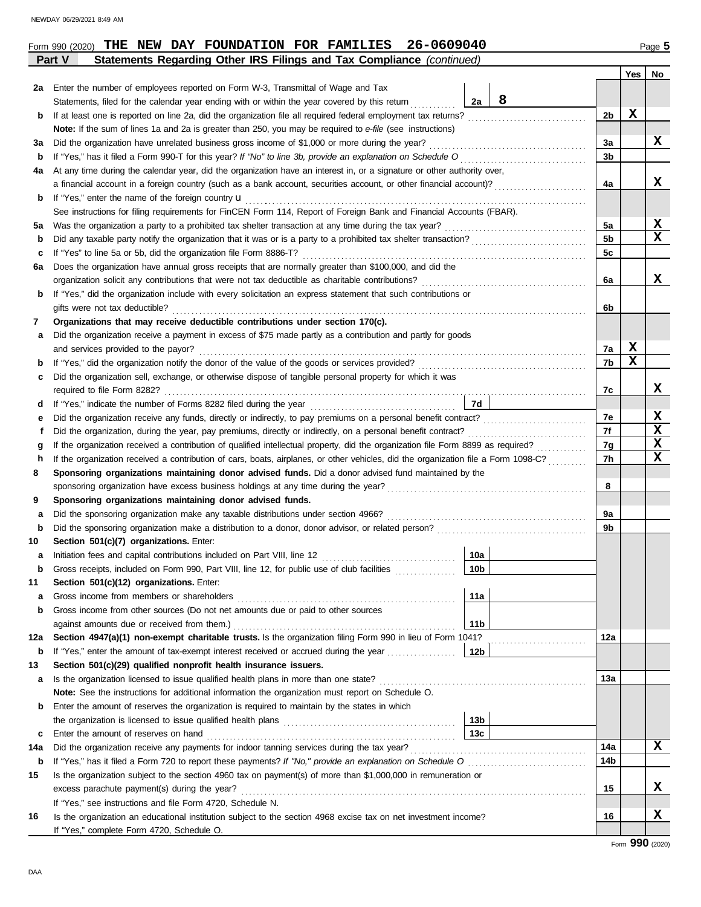|  | Form 990 (2020) | THE | DAY<br>NEW | <b>FOUNDATION</b> | FOR | <b>FAMILIES</b> | 26-0609040 | $\log$ |
|--|-----------------|-----|------------|-------------------|-----|-----------------|------------|--------|
|--|-----------------|-----|------------|-------------------|-----|-----------------|------------|--------|

|          | Statements Regarding Other IRS Filings and Tax Compliance (continued)<br>Part V                                                                                                              |                |     |             |
|----------|----------------------------------------------------------------------------------------------------------------------------------------------------------------------------------------------|----------------|-----|-------------|
|          |                                                                                                                                                                                              |                | Yes | No          |
| 2a       | Enter the number of employees reported on Form W-3, Transmittal of Wage and Tax                                                                                                              |                |     |             |
|          | 8<br>2a<br>Statements, filed for the calendar year ending with or within the year covered by this return                                                                                     |                |     |             |
| b        |                                                                                                                                                                                              | 2b             | х   |             |
|          | Note: If the sum of lines 1a and 2a is greater than 250, you may be required to e-file (see instructions)                                                                                    |                |     |             |
| За       | Did the organization have unrelated business gross income of \$1,000 or more during the year?                                                                                                | 3a             |     | x           |
| b        |                                                                                                                                                                                              | 3 <sub>b</sub> |     |             |
| 4a       | At any time during the calendar year, did the organization have an interest in, or a signature or other authority over,                                                                      |                |     |             |
|          | a financial account in a foreign country (such as a bank account, securities account, or other financial account)?                                                                           | 4a             |     | x           |
| b        | If "Yes," enter the name of the foreign country <b>u</b>                                                                                                                                     |                |     |             |
|          | See instructions for filing requirements for FinCEN Form 114, Report of Foreign Bank and Financial Accounts (FBAR).                                                                          |                |     |             |
| 5а       |                                                                                                                                                                                              | 5a             |     | X           |
| b        |                                                                                                                                                                                              | 5 <sub>b</sub> |     | X           |
| c        | If "Yes" to line 5a or 5b, did the organization file Form 8886-T?                                                                                                                            | 5c             |     |             |
| 6a       | Does the organization have annual gross receipts that are normally greater than \$100,000, and did the                                                                                       |                |     |             |
|          |                                                                                                                                                                                              | 6a             |     | x           |
| b        | If "Yes," did the organization include with every solicitation an express statement that such contributions or                                                                               |                |     |             |
|          | gifts were not tax deductible?                                                                                                                                                               | 6b             |     |             |
| 7        | Organizations that may receive deductible contributions under section 170(c).<br>Did the organization receive a payment in excess of \$75 made partly as a contribution and partly for goods |                |     |             |
| а        | and services provided to the payor?                                                                                                                                                          | 7a             | X   |             |
| b        |                                                                                                                                                                                              | 7b             | х   |             |
| c        | Did the organization sell, exchange, or otherwise dispose of tangible personal property for which it was                                                                                     |                |     |             |
|          |                                                                                                                                                                                              | 7c             |     | x           |
| d        | 7d                                                                                                                                                                                           |                |     |             |
| е        |                                                                                                                                                                                              | 7e             |     | X           |
| t        |                                                                                                                                                                                              | 7f             |     | $\mathbf x$ |
| g        |                                                                                                                                                                                              | 7g             |     | $\mathbf x$ |
| h        | If the organization received a contribution of cars, boats, airplanes, or other vehicles, did the organization file a Form 1098-C?                                                           | 7h             |     | $\mathbf x$ |
| 8        | Sponsoring organizations maintaining donor advised funds. Did a donor advised fund maintained by the                                                                                         |                |     |             |
|          |                                                                                                                                                                                              | 8              |     |             |
| 9        | Sponsoring organizations maintaining donor advised funds.                                                                                                                                    |                |     |             |
| a        |                                                                                                                                                                                              | 9a             |     |             |
| b        |                                                                                                                                                                                              | 9b             |     |             |
| 10       | Section 501(c)(7) organizations. Enter:                                                                                                                                                      |                |     |             |
| а        | 10a                                                                                                                                                                                          |                |     |             |
| b        | Gross receipts, included on Form 990, Part VIII, line 12, for public use of club facilities<br>10b                                                                                           |                |     |             |
| 11       | Section 501(c)(12) organizations. Enter:                                                                                                                                                     |                |     |             |
| a        | 11a                                                                                                                                                                                          |                |     |             |
| b        | Gross income from other sources (Do not net amounts due or paid to other sources                                                                                                             |                |     |             |
|          | 11 <sub>b</sub><br>against amounts due or received from them.)                                                                                                                               |                |     |             |
| 12a      | Section 4947(a)(1) non-exempt charitable trusts. Is the organization filing Form 990 in lieu of Form 1041?                                                                                   | 12a            |     |             |
| b        | 12 <sub>b</sub><br>If "Yes," enter the amount of tax-exempt interest received or accrued during the year                                                                                     |                |     |             |
| 13       | Section 501(c)(29) qualified nonprofit health insurance issuers.                                                                                                                             |                |     |             |
| a        | Is the organization licensed to issue qualified health plans in more than one state?                                                                                                         | 13а            |     |             |
|          | Note: See the instructions for additional information the organization must report on Schedule O.                                                                                            |                |     |             |
| b        | Enter the amount of reserves the organization is required to maintain by the states in which<br>13 <sub>b</sub>                                                                              |                |     |             |
|          | 13c<br>Enter the amount of reserves on hand                                                                                                                                                  |                |     |             |
| c<br>14a |                                                                                                                                                                                              | 14a            |     | X           |
| b        | If "Yes," has it filed a Form 720 to report these payments? If "No," provide an explanation on Schedule O                                                                                    | 14b            |     |             |
| 15       | Is the organization subject to the section 4960 tax on payment(s) of more than \$1,000,000 in remuneration or                                                                                |                |     |             |
|          | excess parachute payment(s) during the year?                                                                                                                                                 | 15             |     | x           |
|          | If "Yes," see instructions and file Form 4720, Schedule N.                                                                                                                                   |                |     |             |
| 16       | Is the organization an educational institution subject to the section 4968 excise tax on net investment income?                                                                              | 16             |     | X           |
|          | If "Yes," complete Form 4720, Schedule O.                                                                                                                                                    |                |     |             |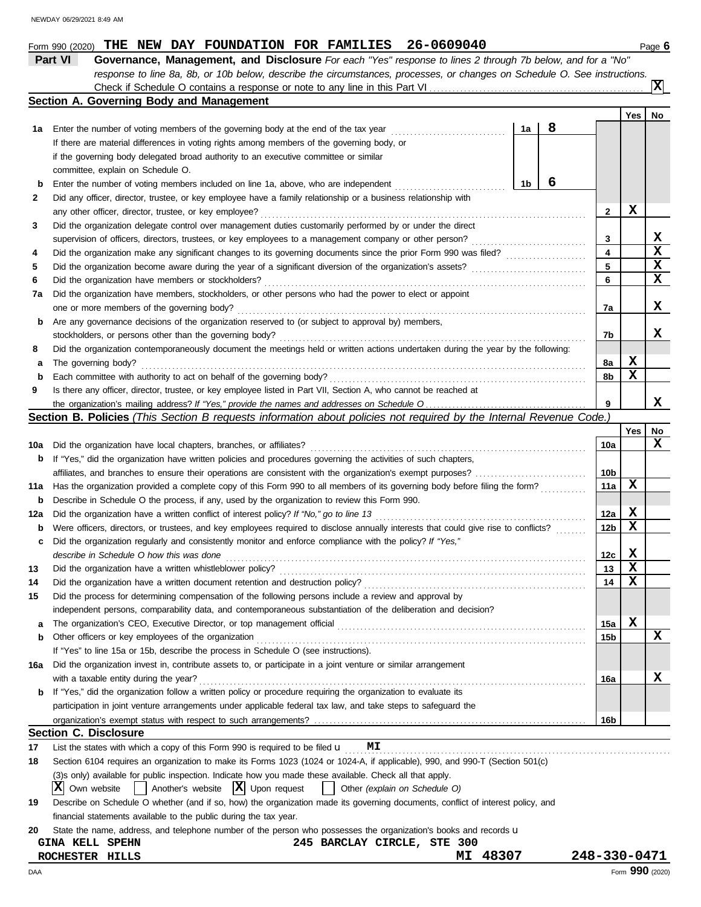|     | <b>Section A. Governing Body and Management</b>                                                                                     |    |   |                 |             |                 |
|-----|-------------------------------------------------------------------------------------------------------------------------------------|----|---|-----------------|-------------|-----------------|
|     |                                                                                                                                     |    |   |                 | Yes         | No              |
| 1а  |                                                                                                                                     | 1a | 8 |                 |             |                 |
|     | If there are material differences in voting rights among members of the governing body, or                                          |    |   |                 |             |                 |
|     | if the governing body delegated broad authority to an executive committee or similar                                                |    |   |                 |             |                 |
|     | committee, explain on Schedule O.                                                                                                   |    |   |                 |             |                 |
| b   | Enter the number of voting members included on line 1a, above, who are independent                                                  | 1b | 6 |                 |             |                 |
| 2   | Did any officer, director, trustee, or key employee have a family relationship or a business relationship with                      |    |   |                 |             |                 |
|     |                                                                                                                                     |    |   | $\mathbf{2}$    | X           |                 |
| 3   | Did the organization delegate control over management duties customarily performed by or under the direct                           |    |   |                 |             |                 |
|     | supervision of officers, directors, trustees, or key employees to a management company or other person?                             |    |   | 3               |             | X               |
| 4   | Did the organization make any significant changes to its governing documents since the prior Form 990 was filed?                    |    |   | 4               |             | $\mathbf x$     |
| 5   |                                                                                                                                     |    |   | 5               |             | $\mathbf x$     |
| 6   |                                                                                                                                     |    |   | 6               |             | $\mathbf x$     |
|     | Did the organization have members, stockholders, or other persons who had the power to elect or appoint                             |    |   |                 |             |                 |
| 7a  |                                                                                                                                     |    |   |                 |             | x               |
|     | one or more members of the governing body?                                                                                          |    |   | 7a              |             |                 |
| b   | Are any governance decisions of the organization reserved to (or subject to approval by) members,                                   |    |   |                 |             | x               |
|     |                                                                                                                                     |    |   | 7b              |             |                 |
| 8   | Did the organization contemporaneously document the meetings held or written actions undertaken during the year by the following:   |    |   |                 |             |                 |
| а   | The governing body?                                                                                                                 |    |   | 8a              | X<br>X      |                 |
| b   |                                                                                                                                     |    |   | 8b              |             |                 |
| 9   | Is there any officer, director, trustee, or key employee listed in Part VII, Section A, who cannot be reached at                    |    |   |                 |             |                 |
|     |                                                                                                                                     |    |   | 9               |             | X               |
|     | Section B. Policies (This Section B requests information about policies not required by the Internal Revenue Code.)                 |    |   |                 |             |                 |
|     |                                                                                                                                     |    |   |                 | Yes         | No              |
| 10a |                                                                                                                                     |    |   | 10a             |             | $\mathbf X$     |
| b   | If "Yes," did the organization have written policies and procedures governing the activities of such chapters,                      |    |   |                 |             |                 |
|     |                                                                                                                                     |    |   | 10b             |             |                 |
| 11a | Has the organization provided a complete copy of this Form 990 to all members of its governing body before filing the form?         |    |   | 11a             | x           |                 |
| b   | Describe in Schedule O the process, if any, used by the organization to review this Form 990.                                       |    |   |                 |             |                 |
| 12a |                                                                                                                                     |    |   | 12a             | X           |                 |
| b   | Were officers, directors, or trustees, and key employees required to disclose annually interests that could give rise to conflicts? |    |   | 12 <sub>b</sub> | X           |                 |
| c   | Did the organization regularly and consistently monitor and enforce compliance with the policy? If "Yes,"                           |    |   |                 |             |                 |
|     | describe in Schedule O how this was done <i>communication</i> and all the schedule of the schedule O how this was done              |    |   | 12c             | $\mathbf x$ |                 |
| 13  |                                                                                                                                     |    |   | 13              | X           |                 |
| 14  |                                                                                                                                     |    |   | 14              | x           |                 |
| 15  | Did the process for determining compensation of the following persons include a review and approval by                              |    |   |                 |             |                 |
|     | independent persons, comparability data, and contemporaneous substantiation of the deliberation and decision?                       |    |   |                 |             |                 |
| а   | The organization's CEO, Executive Director, or top management official                                                              |    |   | 15a             | х           |                 |
| b   | Other officers or key employees of the organization                                                                                 |    |   | 15b             |             | X               |
|     | If "Yes" to line 15a or 15b, describe the process in Schedule O (see instructions).                                                 |    |   |                 |             |                 |
| 16a | Did the organization invest in, contribute assets to, or participate in a joint venture or similar arrangement                      |    |   |                 |             |                 |
|     | with a taxable entity during the year?                                                                                              |    |   | 16a             |             | X               |
| b   | If "Yes," did the organization follow a written policy or procedure requiring the organization to evaluate its                      |    |   |                 |             |                 |
|     | participation in joint venture arrangements under applicable federal tax law, and take steps to safeguard the                       |    |   |                 |             |                 |
|     |                                                                                                                                     |    |   | 16b             |             |                 |
|     | <b>Section C. Disclosure</b>                                                                                                        |    |   |                 |             |                 |
| 17  | List the states with which a copy of this Form 990 is required to be filed $\mathbf u$<br>МI                                        |    |   |                 |             |                 |
| 18  | Section 6104 requires an organization to make its Forms 1023 (1024 or 1024-A, if applicable), 990, and 990-T (Section 501(c)        |    |   |                 |             |                 |
|     | (3)s only) available for public inspection. Indicate how you made these available. Check all that apply.                            |    |   |                 |             |                 |
|     | X <br>$ \mathbf{X} $ Upon request<br>Another's website<br>Other (explain on Schedule O)<br>Own website                              |    |   |                 |             |                 |
| 19  | Describe on Schedule O whether (and if so, how) the organization made its governing documents, conflict of interest policy, and     |    |   |                 |             |                 |
|     | financial statements available to the public during the tax year.                                                                   |    |   |                 |             |                 |
| 20  | State the name, address, and telephone number of the person who possesses the organization's books and records u                    |    |   |                 |             |                 |
|     | 245 BARCLAY CIRCLE, STE 300<br><b>GINA KELL SPEHN</b>                                                                               |    |   |                 |             |                 |
|     | 48307<br>ROCHESTER HILLS<br>MI                                                                                                      |    |   | 248-330-0471    |             |                 |
| DAA |                                                                                                                                     |    |   |                 |             | Form 990 (2020) |

**Part VI Governance, Management, and Disclosure** *For each "Yes" response to lines 2 through 7b below, and for a "No"*

Check if Schedule O contains a response or note to any line in this Part VI.

*response to line 8a, 8b, or 10b below, describe the circumstances, processes, or changes on Schedule O. See instructions.*

Form 990 (2020) THE NEW DAY FOUNDATION FOR FAMILIES 26-0609040 Page 6

**X**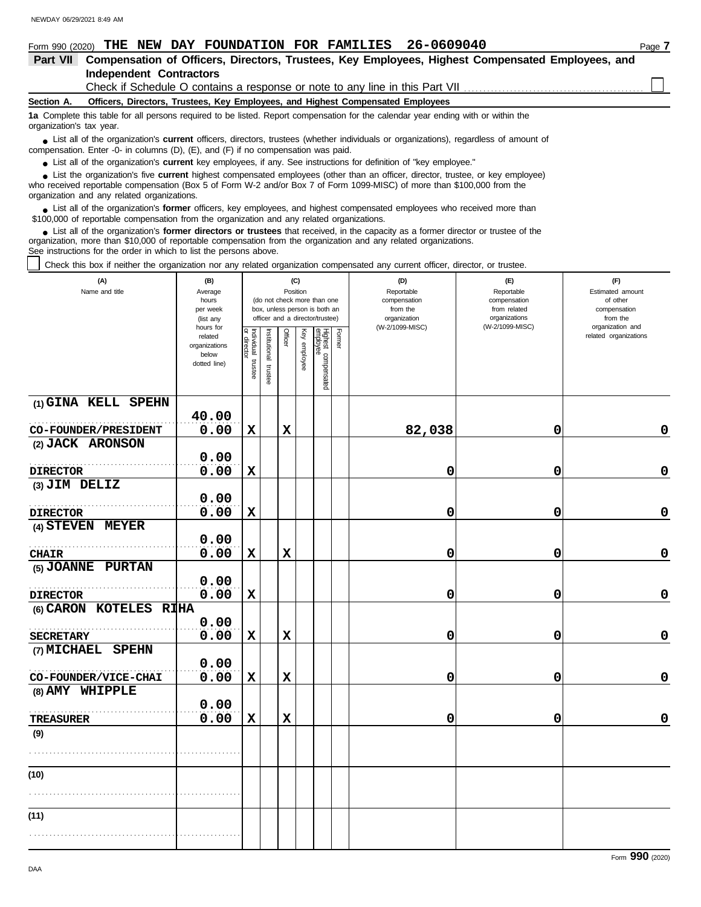| 26-0609040<br>DAY FOUNDATION FOR FAMILIES<br>THE NEW<br>Form 990 (2020)                                                                                                                                                                    | Page 7 |
|--------------------------------------------------------------------------------------------------------------------------------------------------------------------------------------------------------------------------------------------|--------|
| Compensation of Officers, Directors, Trustees, Key Employees, Highest Compensated Employees, and<br>Part VII                                                                                                                               |        |
| <b>Independent Contractors</b>                                                                                                                                                                                                             |        |
|                                                                                                                                                                                                                                            |        |
| Officers, Directors, Trustees, Key Employees, and Highest Compensated Employees<br>Section A.                                                                                                                                              |        |
| 1a Complete this table for all persons required to be listed. Report compensation for the calendar year ending with or within the<br>organization's tax year.                                                                              |        |
| • List all of the organization's <b>current</b> officers, directors, trustees (whether individuals or organizations), regardless of amount of<br>compensation. Enter -0- in columns $(D)$ , $(E)$ , and $(F)$ if no compensation was paid. |        |
| • List all of the organization's current key employees, if any. See instructions for definition of "key employee."                                                                                                                         |        |
| • List the organization's five current highest compensated employees (other than an officer, director, trustee, or key employee)                                                                                                           |        |

who received reportable compensation (Box 5 of Form W-2 and/or Box 7 of Form 1099-MISC) of more than \$100,000 from the organization and any related organizations. **•**

■ List all of the organization's **former** officers, key employees, and highest compensated employees who received more than<br> **•** 00.000 of reportable compensation from the examization and any related erganizations \$100,000 of reportable compensation from the organization and any related organizations.

List all of the organization's **former directors or trustees** that received, in the capacity as a former director or trustee of the organization, more than \$10,000 of reportable compensation from the organization and any related organizations. See instructions for the order in which to list the persons above. **•**

Check this box if neither the organization nor any related organization compensated any current officer, director, or trustee.

| (A)<br>Name and title  | (B)<br>Average<br>hours<br>per week<br>(list any<br>hours for |                                      |                          | Position    | (C)          | (do not check more than one<br>box, unless person is both an<br>officer and a director/trustee) |        | (D)<br>Reportable<br>compensation<br>from the<br>organization<br>(W-2/1099-MISC) | (E)<br>Reportable<br>compensation<br>from related<br>organizations<br>(W-2/1099-MISC) | (F)<br>Estimated amount<br>of other<br>compensation<br>from the<br>organization and |
|------------------------|---------------------------------------------------------------|--------------------------------------|--------------------------|-------------|--------------|-------------------------------------------------------------------------------------------------|--------|----------------------------------------------------------------------------------|---------------------------------------------------------------------------------------|-------------------------------------------------------------------------------------|
|                        | related<br>organizations<br>below<br>dotted line)             | Individual<br>or director<br>trustee | Institutional<br>trustee | Officer     | Key employee | Highest compensated<br>employee                                                                 | Former |                                                                                  |                                                                                       | related organizations                                                               |
| (1) GINA KELL SPEHN    | 40.00                                                         |                                      |                          |             |              |                                                                                                 |        |                                                                                  |                                                                                       |                                                                                     |
| CO-FOUNDER/PRESIDENT   | 0.00                                                          | $\mathbf x$                          |                          | $\mathbf x$ |              |                                                                                                 |        | 82,038                                                                           | 0                                                                                     | 0                                                                                   |
| (2) JACK ARONSON       | 0.00                                                          |                                      |                          |             |              |                                                                                                 |        |                                                                                  |                                                                                       |                                                                                     |
| <b>DIRECTOR</b>        | 0.00                                                          | $\mathbf x$                          |                          |             |              |                                                                                                 |        | 0                                                                                | 0                                                                                     | $\mathbf 0$                                                                         |
| (3) JIM DELIZ          |                                                               |                                      |                          |             |              |                                                                                                 |        |                                                                                  |                                                                                       |                                                                                     |
|                        | 0.00                                                          |                                      |                          |             |              |                                                                                                 |        |                                                                                  |                                                                                       |                                                                                     |
| <b>DIRECTOR</b>        | 0.00                                                          | $\mathbf x$                          |                          |             |              |                                                                                                 |        | 0                                                                                | 0                                                                                     | $\mathbf 0$                                                                         |
| (4) STEVEN MEYER       |                                                               |                                      |                          |             |              |                                                                                                 |        |                                                                                  |                                                                                       |                                                                                     |
|                        | 0.00                                                          |                                      |                          |             |              |                                                                                                 |        |                                                                                  |                                                                                       |                                                                                     |
| <b>CHAIR</b>           | 0.00                                                          | $\mathbf x$                          |                          | $\mathbf x$ |              |                                                                                                 |        | 0                                                                                | 0                                                                                     | 0                                                                                   |
| (5) JOANNE PURTAN      |                                                               |                                      |                          |             |              |                                                                                                 |        |                                                                                  |                                                                                       |                                                                                     |
|                        | 0.00                                                          |                                      |                          |             |              |                                                                                                 |        |                                                                                  |                                                                                       |                                                                                     |
| <b>DIRECTOR</b>        | 0.00                                                          | $\mathbf x$                          |                          |             |              |                                                                                                 |        | 0                                                                                | 0                                                                                     | $\mathbf 0$                                                                         |
| (6) CARON KOTELES RIHA |                                                               |                                      |                          |             |              |                                                                                                 |        |                                                                                  |                                                                                       |                                                                                     |
|                        | 0.00                                                          |                                      |                          |             |              |                                                                                                 |        |                                                                                  |                                                                                       |                                                                                     |
| <b>SECRETARY</b>       | 0.00                                                          | X                                    |                          | X           |              |                                                                                                 |        | 0                                                                                | 0                                                                                     | $\mathbf 0$                                                                         |
| (7) MICHAEL SPEHN      |                                                               |                                      |                          |             |              |                                                                                                 |        |                                                                                  |                                                                                       |                                                                                     |
|                        | 0.00                                                          |                                      |                          |             |              |                                                                                                 |        |                                                                                  |                                                                                       |                                                                                     |
| CO-FOUNDER/VICE-CHAI   | 0.00                                                          | $\mathbf x$                          |                          | $\mathbf x$ |              |                                                                                                 |        | 0                                                                                | 0                                                                                     | 0                                                                                   |
| (8) AMY WHIPPLE        |                                                               |                                      |                          |             |              |                                                                                                 |        |                                                                                  |                                                                                       |                                                                                     |
|                        | 0.00                                                          |                                      |                          |             |              |                                                                                                 |        |                                                                                  |                                                                                       |                                                                                     |
| <b>TREASURER</b>       | 0.00                                                          | $\mathbf x$                          |                          | $\mathbf x$ |              |                                                                                                 |        | 0                                                                                | 0                                                                                     | $\mathbf 0$                                                                         |
| (9)                    |                                                               |                                      |                          |             |              |                                                                                                 |        |                                                                                  |                                                                                       |                                                                                     |
|                        |                                                               |                                      |                          |             |              |                                                                                                 |        |                                                                                  |                                                                                       |                                                                                     |
|                        |                                                               |                                      |                          |             |              |                                                                                                 |        |                                                                                  |                                                                                       |                                                                                     |
| (10)                   |                                                               |                                      |                          |             |              |                                                                                                 |        |                                                                                  |                                                                                       |                                                                                     |
|                        |                                                               |                                      |                          |             |              |                                                                                                 |        |                                                                                  |                                                                                       |                                                                                     |
| (11)                   |                                                               |                                      |                          |             |              |                                                                                                 |        |                                                                                  |                                                                                       |                                                                                     |
|                        |                                                               |                                      |                          |             |              |                                                                                                 |        |                                                                                  |                                                                                       |                                                                                     |

Form **990** (2020)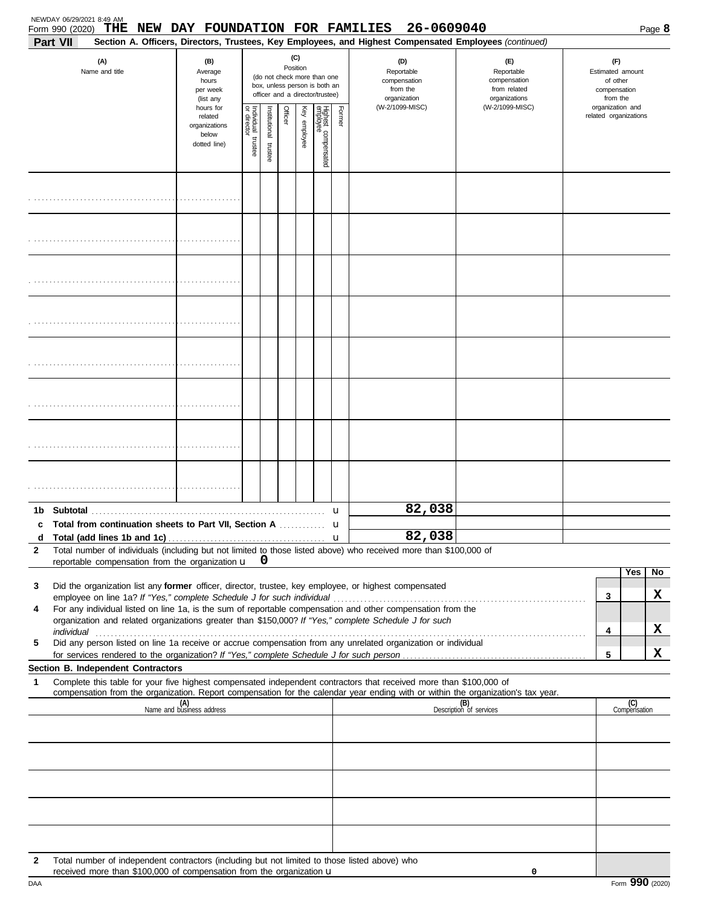|              | NEWDAY 06/29/2021 8:49 AM<br>Form 990 (2020) THE<br>Part VII                                                                                                                                                         | NEW DAY FOUNDATION FOR FAMILIES                                |                       |                      |          |              |                                                                                                 |             | 26-0609040<br>Section A. Officers, Directors, Trustees, Key Employees, and Highest Compensated Employees (continued) |                                                                    |                                                                 |                       | Page 8 |
|--------------|----------------------------------------------------------------------------------------------------------------------------------------------------------------------------------------------------------------------|----------------------------------------------------------------|-----------------------|----------------------|----------|--------------|-------------------------------------------------------------------------------------------------|-------------|----------------------------------------------------------------------------------------------------------------------|--------------------------------------------------------------------|-----------------------------------------------------------------|-----------------------|--------|
|              | (A)<br>Name and title                                                                                                                                                                                                | (B)<br>Average<br>hours<br>per week<br>(list any               |                       |                      | Position | (C)          | (do not check more than one<br>box, unless person is both an<br>officer and a director/trustee) |             | (D)<br>Reportable<br>compensation<br>from the<br>organization                                                        | (E)<br>Reportable<br>compensation<br>from related<br>organizations | (F)<br>Estimated amount<br>of other<br>compensation<br>from the |                       |        |
|              |                                                                                                                                                                                                                      | hours for<br>related<br>organizations<br>below<br>dotted line) | Individual<br>trustee | nstitutional trustee | Officer  | Key employee | Highest compensated<br>employee                                                                 | Former      | (W-2/1099-MISC)                                                                                                      | (W-2/1099-MISC)                                                    | organization and                                                | related organizations |        |
|              |                                                                                                                                                                                                                      |                                                                |                       |                      |          |              |                                                                                                 |             |                                                                                                                      |                                                                    |                                                                 |                       |        |
|              |                                                                                                                                                                                                                      |                                                                |                       |                      |          |              |                                                                                                 |             |                                                                                                                      |                                                                    |                                                                 |                       |        |
|              |                                                                                                                                                                                                                      |                                                                |                       |                      |          |              |                                                                                                 |             |                                                                                                                      |                                                                    |                                                                 |                       |        |
|              |                                                                                                                                                                                                                      |                                                                |                       |                      |          |              |                                                                                                 |             |                                                                                                                      |                                                                    |                                                                 |                       |        |
|              |                                                                                                                                                                                                                      |                                                                |                       |                      |          |              |                                                                                                 |             |                                                                                                                      |                                                                    |                                                                 |                       |        |
|              |                                                                                                                                                                                                                      |                                                                |                       |                      |          |              |                                                                                                 |             |                                                                                                                      |                                                                    |                                                                 |                       |        |
|              |                                                                                                                                                                                                                      |                                                                |                       |                      |          |              |                                                                                                 |             |                                                                                                                      |                                                                    |                                                                 |                       |        |
|              |                                                                                                                                                                                                                      |                                                                |                       |                      |          |              |                                                                                                 |             |                                                                                                                      |                                                                    |                                                                 |                       |        |
| c            | Total from continuation sheets to Part VII, Section A                                                                                                                                                                |                                                                |                       |                      |          |              |                                                                                                 | u<br>u      | 82,038                                                                                                               |                                                                    |                                                                 |                       |        |
| d            |                                                                                                                                                                                                                      |                                                                |                       |                      |          |              |                                                                                                 | $\mathbf u$ | 82,038                                                                                                               |                                                                    |                                                                 |                       |        |
| $\mathbf{2}$ | Total number of individuals (including but not limited to those listed above) who received more than \$100,000 of<br>reportable compensation from the organization u                                                 |                                                                |                       | 0                    |          |              |                                                                                                 |             |                                                                                                                      |                                                                    |                                                                 |                       |        |
| 3            | Did the organization list any former officer, director, trustee, key employee, or highest compensated                                                                                                                |                                                                |                       |                      |          |              |                                                                                                 |             |                                                                                                                      |                                                                    |                                                                 | Yes                   | No     |
|              |                                                                                                                                                                                                                      |                                                                |                       |                      |          |              |                                                                                                 |             |                                                                                                                      |                                                                    | 3                                                               |                       | X.     |
| 4            | For any individual listed on line 1a, is the sum of reportable compensation and other compensation from the<br>organization and related organizations greater than \$150,000? If "Yes," complete Schedule J for such |                                                                |                       |                      |          |              |                                                                                                 |             |                                                                                                                      |                                                                    |                                                                 |                       |        |
| 5            | Did any person listed on line 1a receive or accrue compensation from any unrelated organization or individual                                                                                                        |                                                                |                       |                      |          |              |                                                                                                 |             |                                                                                                                      |                                                                    | 4                                                               |                       | x      |
|              | Section B. Independent Contractors                                                                                                                                                                                   |                                                                |                       |                      |          |              |                                                                                                 |             |                                                                                                                      |                                                                    | 5                                                               |                       | x      |
| 1            | Complete this table for your five highest compensated independent contractors that received more than \$100,000 of                                                                                                   |                                                                |                       |                      |          |              |                                                                                                 |             |                                                                                                                      |                                                                    |                                                                 |                       |        |
|              | compensation from the organization. Report compensation for the calendar year ending with or within the organization's tax year.                                                                                     | (A)<br>Name and business address                               |                       |                      |          |              |                                                                                                 |             |                                                                                                                      | (B)<br>Description of services                                     |                                                                 | (C)<br>Compensation   |        |
|              |                                                                                                                                                                                                                      |                                                                |                       |                      |          |              |                                                                                                 |             |                                                                                                                      |                                                                    |                                                                 |                       |        |
|              |                                                                                                                                                                                                                      |                                                                |                       |                      |          |              |                                                                                                 |             |                                                                                                                      |                                                                    |                                                                 |                       |        |
|              |                                                                                                                                                                                                                      |                                                                |                       |                      |          |              |                                                                                                 |             |                                                                                                                      |                                                                    |                                                                 |                       |        |
|              |                                                                                                                                                                                                                      |                                                                |                       |                      |          |              |                                                                                                 |             |                                                                                                                      |                                                                    |                                                                 |                       |        |
|              |                                                                                                                                                                                                                      |                                                                |                       |                      |          |              |                                                                                                 |             |                                                                                                                      |                                                                    |                                                                 |                       |        |
| 2            | Total number of independent contractors (including but not limited to those listed above) who<br>received more than \$100,000 of compensation from the organization u                                                |                                                                |                       |                      |          |              |                                                                                                 |             |                                                                                                                      | 0                                                                  |                                                                 |                       |        |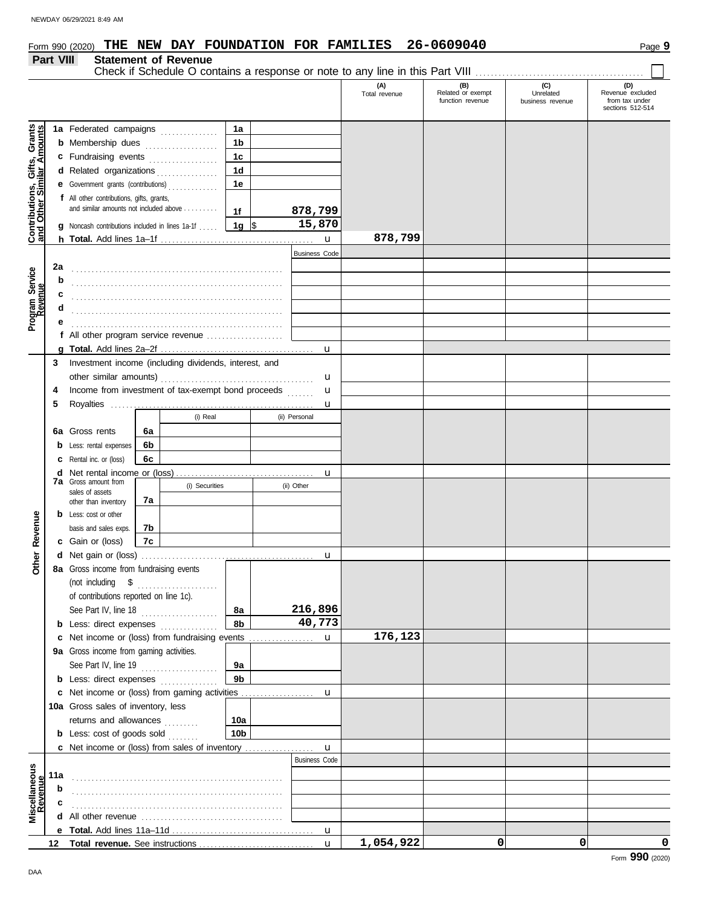#### **Part VIII Statement of Revenue**

| <b>Statement of Revenue</b>                                                   |  |
|-------------------------------------------------------------------------------|--|
| Check if Schedule O contains a response or note to any line in this Part VIII |  |

|                                                                  |     |                                                       |    |                |                 |  |                      | (A)<br>Total revenue | (B)<br>Related or exempt<br>function revenue | (C)<br>Unrelated<br>business revenue | (D)<br>Revenue excluded<br>from tax under<br>sections 512-514 |
|------------------------------------------------------------------|-----|-------------------------------------------------------|----|----------------|-----------------|--|----------------------|----------------------|----------------------------------------------|--------------------------------------|---------------------------------------------------------------|
|                                                                  |     | 1a Federated campaigns                                |    |                | 1a              |  |                      |                      |                                              |                                      |                                                               |
| <b>Contributions, Gifts, Grants</b><br>and Other Similar Amounts |     | <b>b</b> Membership dues                              |    | .              | 1 <sub>b</sub>  |  |                      |                      |                                              |                                      |                                                               |
|                                                                  |     | c Fundraising events                                  |    |                | 1 <sub>c</sub>  |  |                      |                      |                                              |                                      |                                                               |
|                                                                  |     | d Related organizations                               |    |                | 1d              |  |                      |                      |                                              |                                      |                                                               |
|                                                                  |     | Government grants (contributions)                     |    |                | 1е              |  |                      |                      |                                              |                                      |                                                               |
|                                                                  |     | f All other contributions, gifts, grants,             |    |                |                 |  |                      |                      |                                              |                                      |                                                               |
|                                                                  |     | and similar amounts not included above                |    |                | 1f              |  | 878,799              |                      |                                              |                                      |                                                               |
|                                                                  | a   | Noncash contributions included in lines 1a-1f         |    |                | 1g $\sqrt{3}$   |  | 15,870               |                      |                                              |                                      |                                                               |
|                                                                  |     |                                                       |    |                |                 |  | $\mathbf u$          | 878,799              |                                              |                                      |                                                               |
|                                                                  |     |                                                       |    |                |                 |  | <b>Business Code</b> |                      |                                              |                                      |                                                               |
|                                                                  | 2a  |                                                       |    |                |                 |  |                      |                      |                                              |                                      |                                                               |
|                                                                  | b   |                                                       |    |                |                 |  |                      |                      |                                              |                                      |                                                               |
|                                                                  | c   |                                                       |    |                |                 |  |                      |                      |                                              |                                      |                                                               |
| Program Service<br>Revenue                                       |     |                                                       |    |                |                 |  |                      |                      |                                              |                                      |                                                               |
|                                                                  |     |                                                       |    |                |                 |  |                      |                      |                                              |                                      |                                                               |
|                                                                  |     | f All other program service revenue                   |    |                |                 |  |                      |                      |                                              |                                      |                                                               |
|                                                                  |     |                                                       |    |                |                 |  | u                    |                      |                                              |                                      |                                                               |
|                                                                  | 3   | Investment income (including dividends, interest, and |    |                |                 |  |                      |                      |                                              |                                      |                                                               |
|                                                                  |     |                                                       |    |                |                 |  | u                    |                      |                                              |                                      |                                                               |
|                                                                  | 4   | Income from investment of tax-exempt bond proceeds    |    |                |                 |  | u                    |                      |                                              |                                      |                                                               |
|                                                                  | 5   |                                                       |    |                |                 |  | u                    |                      |                                              |                                      |                                                               |
|                                                                  |     |                                                       |    | (i) Real       |                 |  | (ii) Personal        |                      |                                              |                                      |                                                               |
|                                                                  |     | Gross rents                                           | 6a |                |                 |  |                      |                      |                                              |                                      |                                                               |
|                                                                  | 6а  |                                                       | 6b |                |                 |  |                      |                      |                                              |                                      |                                                               |
|                                                                  | b   | Less: rental expenses                                 | 6c |                |                 |  |                      |                      |                                              |                                      |                                                               |
|                                                                  | c   | Rental inc. or (loss)                                 |    |                |                 |  |                      |                      |                                              |                                      |                                                               |
|                                                                  | d   | <b>7a</b> Gross amount from                           |    | (i) Securities |                 |  | u<br>(ii) Other      |                      |                                              |                                      |                                                               |
|                                                                  |     | sales of assets                                       |    |                |                 |  |                      |                      |                                              |                                      |                                                               |
|                                                                  |     | other than inventory                                  | 7a |                |                 |  |                      |                      |                                              |                                      |                                                               |
|                                                                  | b   | Less: cost or other                                   |    |                |                 |  |                      |                      |                                              |                                      |                                                               |
| Revenue                                                          |     | basis and sales exps.                                 | 7b |                |                 |  |                      |                      |                                              |                                      |                                                               |
|                                                                  |     | c Gain or (loss)                                      | 7c |                |                 |  |                      |                      |                                              |                                      |                                                               |
| Other                                                            | d   |                                                       |    |                |                 |  | u                    |                      |                                              |                                      |                                                               |
|                                                                  |     | 8a Gross income from fundraising events               |    |                |                 |  |                      |                      |                                              |                                      |                                                               |
|                                                                  |     | (not including<br>\$                                  |    |                |                 |  |                      |                      |                                              |                                      |                                                               |
|                                                                  |     | of contributions reported on line 1c).                |    |                |                 |  |                      |                      |                                              |                                      |                                                               |
|                                                                  |     | See Part IV, line 18                                  |    | .              | 8a              |  | 216,896              |                      |                                              |                                      |                                                               |
|                                                                  |     | <b>b</b> Less: direct expenses                        |    |                | 8b              |  | 40,773               |                      |                                              |                                      |                                                               |
|                                                                  | c   | Net income or (loss) from fundraising events          |    |                |                 |  | u                    | 176,123              |                                              |                                      |                                                               |
|                                                                  |     | 9a Gross income from gaming activities.               |    |                |                 |  |                      |                      |                                              |                                      |                                                               |
|                                                                  |     | See Part IV, line 19                                  |    |                | 9a              |  |                      |                      |                                              |                                      |                                                               |
|                                                                  |     | <b>b</b> Less: direct expenses <i>minimum</i>         |    |                | 9b              |  |                      |                      |                                              |                                      |                                                               |
|                                                                  | c   | Net income or (loss) from gaming activities           |    |                |                 |  | u                    |                      |                                              |                                      |                                                               |
|                                                                  |     | 10a Gross sales of inventory, less                    |    |                |                 |  |                      |                      |                                              |                                      |                                                               |
|                                                                  |     | returns and allowances                                |    |                | 10a             |  |                      |                      |                                              |                                      |                                                               |
|                                                                  |     | <b>b</b> Less: cost of goods sold                     |    |                | 10 <sub>b</sub> |  |                      |                      |                                              |                                      |                                                               |
|                                                                  |     | c Net income or (loss) from sales of inventory        |    |                |                 |  | u                    |                      |                                              |                                      |                                                               |
|                                                                  |     |                                                       |    |                |                 |  | <b>Business Code</b> |                      |                                              |                                      |                                                               |
| Miscellaneous<br>Revenue                                         | 11a |                                                       |    |                |                 |  |                      |                      |                                              |                                      |                                                               |
|                                                                  | b   |                                                       |    |                |                 |  |                      |                      |                                              |                                      |                                                               |
|                                                                  | c   |                                                       |    |                |                 |  |                      |                      |                                              |                                      |                                                               |
|                                                                  | d   |                                                       |    |                |                 |  |                      |                      |                                              |                                      |                                                               |
|                                                                  |     |                                                       |    |                |                 |  | $\mathbf{u}$         |                      |                                              |                                      |                                                               |
|                                                                  | 12  |                                                       |    |                |                 |  | $\mathbf{u}$         | 1,054,922            | 0                                            | 0                                    | 0                                                             |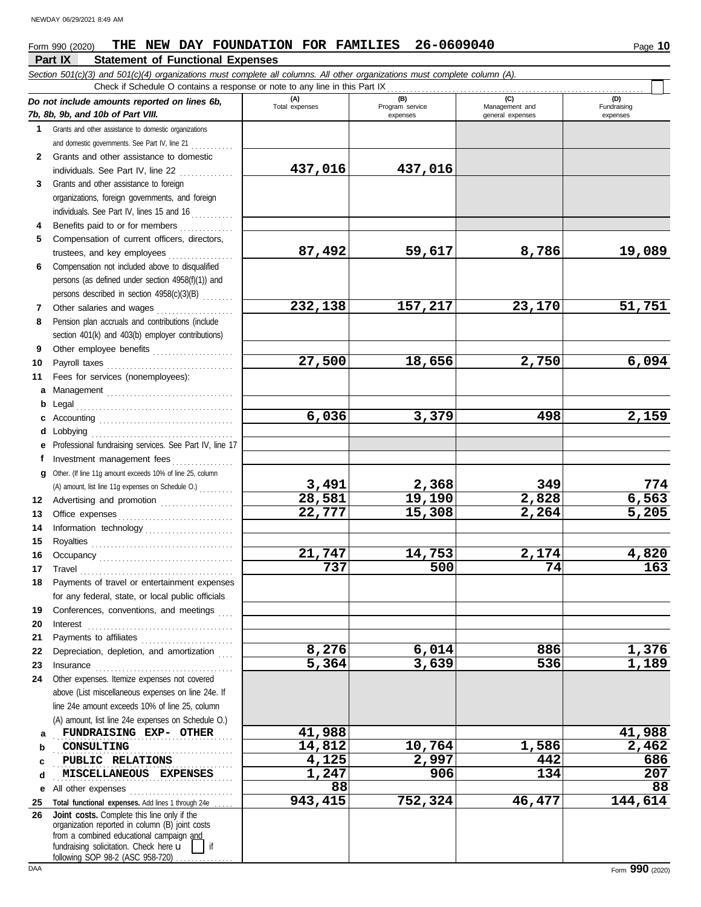#### **Part IX Statement of Functional Expenses** *Section 501(c)(3) and 501(c)(4) organizations must complete all columns. All other organizations must complete column (A). Do not include amounts reported on lines 6b, 7b, 8b, 9b, and 10b of Part VIII.* **1 2 3 4 5 6 7 8 9 10 11 a** Management . . . . . . . . . . . . . . . . . . . . . . . . . . . . . . . . . **b** Legal . . . . . . . . . . . . . . . . . . . . . . . . . . . . . . . . . . . . . . . . . **c** Accounting . . . . . . . . . . . . . . . . . . . . . . . . . . . . . . . . . . . **d** Lobbying . . . . . . . . . . . . . . . . . . . . . . . . . . . . . . . . . . . . . **e** Professional fundraising services. See Part IV, line 17 **f g** Other. (If line 11g amount exceeds 10% of line 25, column **12** Advertising and promotion . . . . . . . . . . . . . . . . . . **13 14 15 16 17 18 19 20 21 22 23 24 a b c d e** All other expenses . . . . . . . . . . . . . . . . . . . . . . . . . . . **25 26** Grants and other assistance to domestic organizations and domestic governments. See Part IV, line 21 . . . . . . . . . . . Grants and other assistance to domestic individuals. See Part IV, line 22 . . . . . . . . . . . . . . Grants and other assistance to foreign organizations, foreign governments, and foreign individuals. See Part IV, lines 15 and 16 Benefits paid to or for members . . . . . . . . . . . . . . Compensation of current officers, directors, trustees, and key employees . . . . . . . . . . . . . . . . . Compensation not included above to disqualified persons (as defined under section 4958(f)(1)) and persons described in section 4958(c)(3)(B) . . . . . . . . Other salaries and wages .................... Pension plan accruals and contributions (include section 401(k) and 403(b) employer contributions) Other employee benefits ..................... Payroll taxes . . . . . . . . . . . . . . . . . . . . . . . . . . . . . . . . . Fees for services (nonemployees): Investment management fees ................. Office expenses . . . . . . . . . . . . . . . . . . . . . . . . . . . . . . Information technology . . . . . . . . . . . . . . . . . . . . . . . Royalties . . . . . . . . . . . . . . . . . . . . . . . . . . . . . . . . . . . . . Occupancy . . . . . . . . . . . . . . . . . . . . . . . . . . . . . . . . . . . Travel . . . . . . . . . . . . . . . . . . . . . . . . . . . . . . . . . . . . . . . . Payments of travel or entertainment expenses for any federal, state, or local public officials Conferences, conventions, and meetings Interest . . . . . . . . . . . . . . . . . . . . . . . . . . . . . . . . . . . . . . Payments to affiliates . . . . . . . . . . . . . . . . . . . . . . . . Depreciation, depletion, and amortization Insurance . . . . . . . . . . . . . . . . . . . . . . . . . . . . . . . . . . . . Other expenses. Itemize expenses not covered above (List miscellaneous expenses on line 24e. If line 24e amount exceeds 10% of line 25, column (A) amount, list line 24e expenses on Schedule O.) Total functional expenses. Add lines 1 through 24e fundraising solicitation. Check here  $\mathbf u$ organization reported in column (B) joint costs from a combined educational campaign and **(A) (B) (C) (D)** Management and expenses and general expenses (D)<br>Fundraising expenses . . . . . . . . . . . . . . . . . . . . . . . . . . . . . . . . . . . . . . . . . . . . . . . **FUNDRAISING EXP- OTHER 41,988 41,988** CONSULTING . . . . . . . . . . . . . . . . . . . . . . . . . . . . . . . . . . . . . . . . . . . . . . . **PUBLIC RELATIONS 4,125 2,997 442 686** . . . . . . . . . . . . . . . . . . . . . . . . . . . . . . . . . . . . . . . . . . . . . . . **MISCELLANEOUS EXPENSES 1,247 906 134 207** Check if Schedule O contains a response or note to any line in this Part IX **Joint costs.** Complete this line only if the (A) amount, list line 11g expenses on Schedule O.) . . . . . . . . . **437,016 437,016 87,492 59,617 8,786 19,089 232,138 157,217 23,170 51,751 27,500 18,656 2,750 6,094 6,036 3,379 498 2,159 3,491 2,368 349 774 28,581 19,190 2,828 6,563 22,777 15,308 2,264 5,205 21,747 14,753 2,174 4,820 737 500 74 163 8,276 6,014 886 1,376 5,364 3,639 536 1,189 CONSULTING 14,812 10,764 1,586 2,462 88 88 943,415 752,324 46,477 144,614**

following SOP 98-2 (ASC 958-720)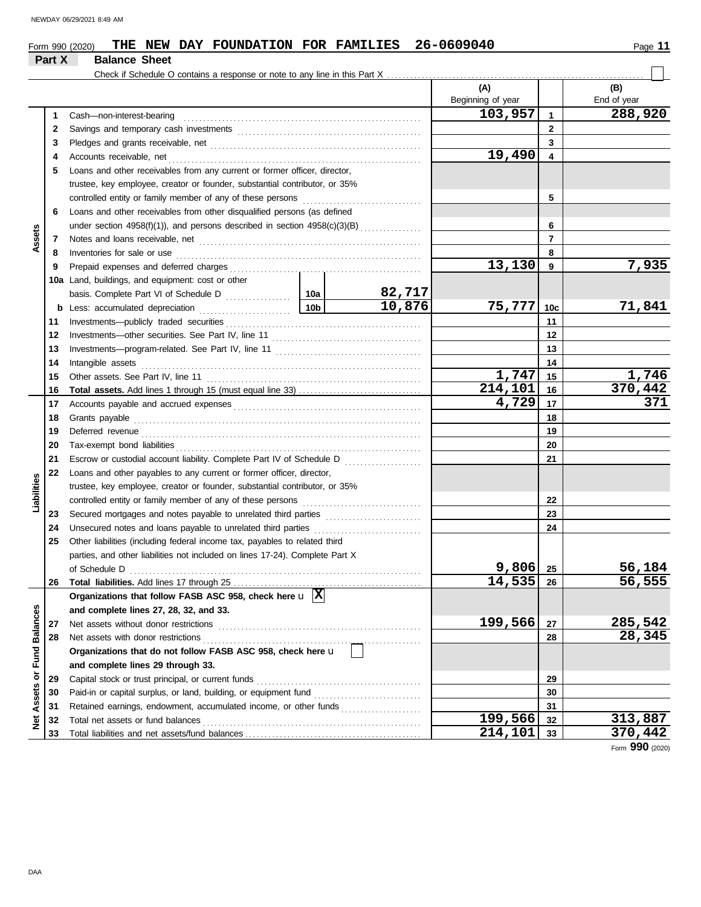|                         | Part X | <b>Balance Sheet</b>                                                                              |                 |                  |                          |                 |                    |
|-------------------------|--------|---------------------------------------------------------------------------------------------------|-----------------|------------------|--------------------------|-----------------|--------------------|
|                         |        | Check if Schedule O contains a response or note to any line in this Part X                        |                 |                  |                          |                 |                    |
|                         |        |                                                                                                   |                 |                  | (A)<br>Beginning of year |                 | (B)<br>End of year |
|                         |        |                                                                                                   |                 |                  | 103,957                  |                 | 288,920            |
|                         | 1      | Cash-non-interest-bearing                                                                         |                 |                  |                          | 1               |                    |
|                         | 2      |                                                                                                   |                 |                  |                          | $\mathbf{2}$    |                    |
|                         | 3      |                                                                                                   |                 |                  |                          | 3               |                    |
|                         | 4      | Accounts receivable, net                                                                          |                 |                  | 19,490                   | 4               |                    |
|                         | 5      | Loans and other receivables from any current or former officer, director,                         |                 |                  |                          |                 |                    |
|                         |        | trustee, key employee, creator or founder, substantial contributor, or 35%                        |                 |                  |                          |                 |                    |
|                         |        | controlled entity or family member of any of these persons                                        |                 |                  |                          | 5               |                    |
|                         | 6      | Loans and other receivables from other disqualified persons (as defined                           |                 |                  |                          |                 |                    |
|                         |        | under section 4958(f)(1)), and persons described in section 4958(c)(3)(B)                         |                 |                  |                          | 6               |                    |
| Assets                  | 7      |                                                                                                   |                 |                  |                          | $\overline{7}$  |                    |
|                         | 8      | Inventories for sale or use                                                                       |                 |                  |                          | 8               |                    |
|                         | 9      |                                                                                                   |                 |                  | 13,130                   | 9               | 7,935              |
|                         |        | 10a Land, buildings, and equipment: cost or other                                                 |                 |                  |                          |                 |                    |
|                         |        |                                                                                                   |                 | 82,717<br>10,876 | 75,777                   |                 |                    |
|                         | b      | Less: accumulated depreciation                                                                    | 10 <sub>b</sub> |                  |                          | 10 <sub>c</sub> | 71,841             |
|                         | 11     | Investments-publicly traded securities                                                            |                 |                  |                          | 11              |                    |
|                         | 12     |                                                                                                   |                 | 12               |                          |                 |                    |
|                         | 13     |                                                                                                   |                 |                  |                          | 13              |                    |
|                         | 14     | Intangible assets                                                                                 |                 |                  |                          | 14              |                    |
|                         | 15     | Other assets. See Part IV, line 11                                                                |                 |                  | 1,747                    | 15              | 1,746              |
|                         | 16     |                                                                                                   |                 |                  | 214,101                  | 16              | 370,442<br>371     |
|                         | 17     |                                                                                                   |                 |                  | 4,729                    | 17              |                    |
|                         | 18     | Grants payable                                                                                    |                 |                  | 18                       |                 |                    |
|                         | 19     | Deferred revenue                                                                                  |                 |                  | 19                       |                 |                    |
|                         | 20     | Tax-exempt bond liabilities                                                                       |                 |                  |                          | 20              |                    |
|                         | 21     | Escrow or custodial account liability. Complete Part IV of Schedule D                             |                 |                  |                          | 21              |                    |
|                         | 22     | Loans and other payables to any current or former officer, director,                              |                 |                  |                          |                 |                    |
| Liabilities             |        | trustee, key employee, creator or founder, substantial contributor, or 35%                        |                 |                  |                          |                 |                    |
|                         |        | controlled entity or family member of any of these persons                                        |                 |                  |                          | 22              |                    |
|                         | 23     | Secured mortgages and notes payable to unrelated third parties                                    |                 |                  |                          | 23              |                    |
|                         | 24     | Unsecured notes and loans payable to unrelated third parties                                      |                 |                  |                          | 24              |                    |
|                         | 25     | Other liabilities (including federal income tax, payables to related third                        |                 |                  |                          |                 |                    |
|                         |        | parties, and other liabilities not included on lines 17-24). Complete Part X                      |                 |                  | 9,806                    |                 | 56,184             |
|                         |        | of Schedule D                                                                                     |                 |                  | 14,535                   | 25              | 56,555             |
|                         | 26     |                                                                                                   |                 |                  |                          | -26             |                    |
|                         |        | Organizations that follow FASB ASC 958, check here $\mathbf{u}$ $\overline{\mathbf{X}}$           |                 |                  |                          |                 |                    |
|                         |        | and complete lines 27, 28, 32, and 33.                                                            |                 |                  | 199,566                  |                 | 285,542            |
|                         | 27     | Net assets without donor restrictions                                                             |                 |                  |                          | 27<br>28        | 28,345             |
|                         | 28     | Net assets with donor restrictions<br>Organizations that do not follow FASB ASC 958, check here u |                 |                  |                          |                 |                    |
|                         |        |                                                                                                   |                 |                  |                          |                 |                    |
|                         |        | and complete lines 29 through 33.                                                                 |                 |                  |                          |                 |                    |
|                         | 29     | Capital stock or trust principal, or current funds                                                |                 |                  |                          | 29              |                    |
| Assets or Fund Balances | 30     | Paid-in or capital surplus, or land, building, or equipment fund                                  |                 |                  |                          | 30              |                    |
|                         | 31     | Retained earnings, endowment, accumulated income, or other funds                                  |                 |                  | 199,566                  | 31              | 313,887            |
| Net                     | 32     | Total net assets or fund balances                                                                 |                 |                  | 214,101                  | 32<br>33        | 370,442            |
|                         | 33     |                                                                                                   |                 |                  |                          |                 |                    |

Form **990** (2020)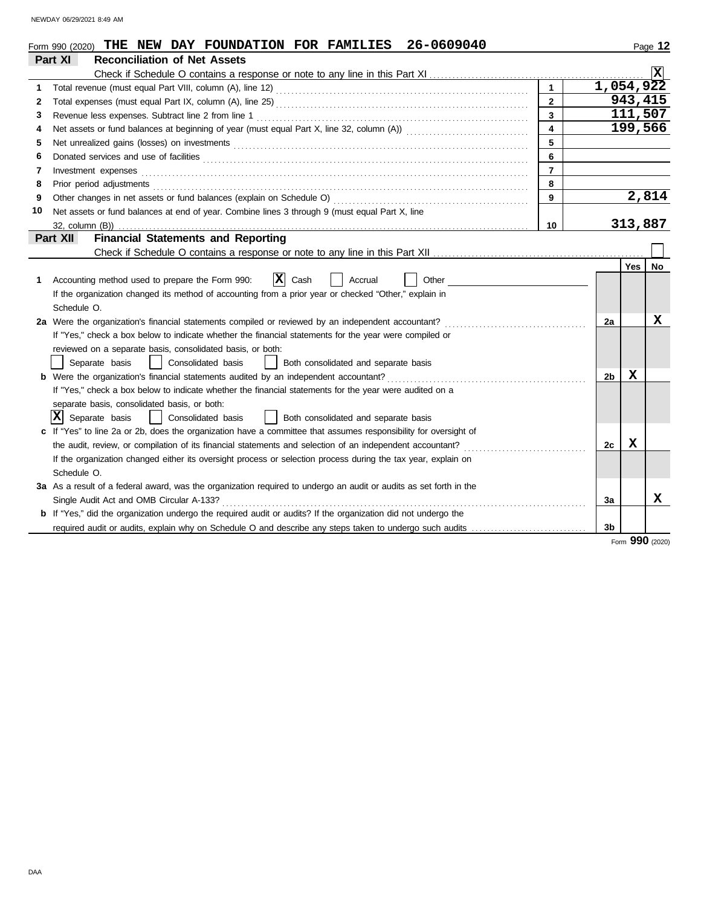NEWDAY 06/29/2021 8:49 AM

|    | 26-0609040<br>Form 990 (2020) THE NEW DAY FOUNDATION FOR FAMILIES                                                          |                |                |     | Page 12   |
|----|----------------------------------------------------------------------------------------------------------------------------|----------------|----------------|-----|-----------|
|    | Part XI<br><b>Reconciliation of Net Assets</b>                                                                             |                |                |     |           |
|    |                                                                                                                            |                |                |     | Ιx        |
| 1  |                                                                                                                            |                | 1,054,922      |     |           |
| 2  |                                                                                                                            | $\overline{2}$ |                |     | 943,415   |
| 3  |                                                                                                                            | 3              |                |     | 111,507   |
| 4  |                                                                                                                            | 4              |                |     | 199,566   |
| 5  |                                                                                                                            | 5              |                |     |           |
| 6  | Donated services and use of facilities <b>constants and interview of the service of the services</b> and use of facilities | 6              |                |     |           |
| 7  | Investment expenses                                                                                                        | $\overline{7}$ |                |     |           |
| 8  | Prior period adjustments                                                                                                   | 8              |                |     |           |
| 9  | Other changes in net assets or fund balances (explain on Schedule O)                                                       | 9              |                |     | 2,814     |
| 10 | Net assets or fund balances at end of year. Combine lines 3 through 9 (must equal Part X, line                             |                |                |     |           |
|    | 32, column (B))                                                                                                            | 10             |                |     | 313,887   |
|    | <b>Financial Statements and Reporting</b><br>Part XII                                                                      |                |                |     |           |
|    |                                                                                                                            |                |                |     |           |
|    |                                                                                                                            |                |                | Yes | <b>No</b> |
| 1  | $ \mathbf{x} $<br>Cash<br>Other<br>Accounting method used to prepare the Form 990:<br>Accrual                              |                |                |     |           |
|    | If the organization changed its method of accounting from a prior year or checked "Other," explain in                      |                |                |     |           |
|    | Schedule O.                                                                                                                |                |                |     |           |
|    | 2a Were the organization's financial statements compiled or reviewed by an independent accountant?                         |                | 2a             |     | х         |
|    | If "Yes," check a box below to indicate whether the financial statements for the year were compiled or                     |                |                |     |           |
|    | reviewed on a separate basis, consolidated basis, or both:                                                                 |                |                |     |           |
|    | Separate basis<br>Consolidated basis<br>Both consolidated and separate basis                                               |                |                |     |           |
|    | <b>b</b> Were the organization's financial statements audited by an independent accountant?                                |                | 2 <sub>b</sub> | x   |           |
|    | If "Yes," check a box below to indicate whether the financial statements for the year were audited on a                    |                |                |     |           |
|    | separate basis, consolidated basis, or both:                                                                               |                |                |     |           |
|    | $ \mathbf{X} $ Separate basis<br>Consolidated basis<br>Both consolidated and separate basis                                |                |                |     |           |
|    | If "Yes" to line 2a or 2b, does the organization have a committee that assumes responsibility for oversight of             |                |                |     |           |
|    | the audit, review, or compilation of its financial statements and selection of an independent accountant?                  |                | 2c             | X   |           |
|    | If the organization changed either its oversight process or selection process during the tax year, explain on              |                |                |     |           |
|    | Schedule O.                                                                                                                |                |                |     |           |
|    | 3a As a result of a federal award, was the organization required to undergo an audit or audits as set forth in the         |                |                |     |           |
|    | Single Audit Act and OMB Circular A-133?                                                                                   |                | 3a             |     | x         |
|    | <b>b</b> If "Yes," did the organization undergo the required audit or audits? If the organization did not undergo the      |                |                |     |           |
|    |                                                                                                                            |                | 3 <sub>b</sub> |     |           |

#### Form **990** (2020)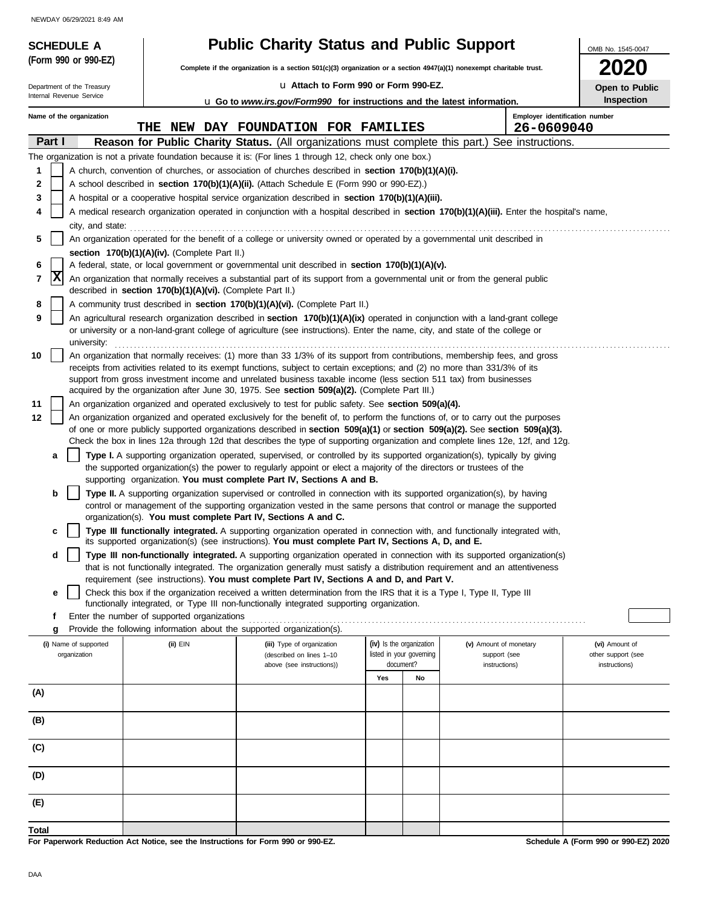NEWDAY 06/29/2021 8:49 AM

| <b>SCHEDULE A</b>          |                                       |                                                                                  | <b>Public Charity Status and Public Support</b>                                                                                                                                                                                          |     |                                                      |                                        | OMB No. 1545-0047                    |
|----------------------------|---------------------------------------|----------------------------------------------------------------------------------|------------------------------------------------------------------------------------------------------------------------------------------------------------------------------------------------------------------------------------------|-----|------------------------------------------------------|----------------------------------------|--------------------------------------|
|                            | (Form 990 or 990-EZ)                  |                                                                                  | Complete if the organization is a section 501(c)(3) organization or a section 4947(a)(1) nonexempt charitable trust.                                                                                                                     |     |                                                      |                                        | <b>2020</b>                          |
| Department of the Treasury |                                       |                                                                                  | La Attach to Form 990 or Form 990-EZ.                                                                                                                                                                                                    |     |                                                      |                                        | Open to Public                       |
| Internal Revenue Service   |                                       |                                                                                  | <b>u</b> Go to www.irs.gov/Form990 for instructions and the latest information.                                                                                                                                                          |     |                                                      |                                        | <b>Inspection</b>                    |
| Name of the organization   |                                       |                                                                                  |                                                                                                                                                                                                                                          |     |                                                      |                                        | Employer identification number       |
|                            |                                       | THE                                                                              | NEW DAY FOUNDATION FOR FAMILIES                                                                                                                                                                                                          |     |                                                      | 26-0609040                             |                                      |
| Part I                     |                                       |                                                                                  | Reason for Public Charity Status. (All organizations must complete this part.)                                                                                                                                                           |     |                                                      | See instructions.                      |                                      |
|                            |                                       |                                                                                  | The organization is not a private foundation because it is: (For lines 1 through 12, check only one box.)                                                                                                                                |     |                                                      |                                        |                                      |
| 1                          |                                       |                                                                                  | A church, convention of churches, or association of churches described in section 170(b)(1)(A)(i).                                                                                                                                       |     |                                                      |                                        |                                      |
| 2<br>3                     |                                       |                                                                                  | A school described in section 170(b)(1)(A)(ii). (Attach Schedule E (Form 990 or 990-EZ).)<br>A hospital or a cooperative hospital service organization described in section 170(b)(1)(A)(iii).                                           |     |                                                      |                                        |                                      |
| 4                          |                                       |                                                                                  | A medical research organization operated in conjunction with a hospital described in section 170(b)(1)(A)(iii). Enter the hospital's name,                                                                                               |     |                                                      |                                        |                                      |
|                            | city, and state:                      |                                                                                  |                                                                                                                                                                                                                                          |     |                                                      |                                        |                                      |
| 5                          |                                       |                                                                                  | An organization operated for the benefit of a college or university owned or operated by a governmental unit described in                                                                                                                |     |                                                      |                                        |                                      |
|                            |                                       | section 170(b)(1)(A)(iv). (Complete Part II.)                                    |                                                                                                                                                                                                                                          |     |                                                      |                                        |                                      |
| 6                          |                                       |                                                                                  | A federal, state, or local government or governmental unit described in section 170(b)(1)(A)(v).                                                                                                                                         |     |                                                      |                                        |                                      |
| x<br>7                     |                                       | described in section 170(b)(1)(A)(vi). (Complete Part II.)                       | An organization that normally receives a substantial part of its support from a governmental unit or from the general public                                                                                                             |     |                                                      |                                        |                                      |
| 8                          |                                       |                                                                                  | A community trust described in section 170(b)(1)(A)(vi). (Complete Part II.)                                                                                                                                                             |     |                                                      |                                        |                                      |
| 9                          |                                       |                                                                                  | An agricultural research organization described in section 170(b)(1)(A)(ix) operated in conjunction with a land-grant college                                                                                                            |     |                                                      |                                        |                                      |
|                            |                                       |                                                                                  | or university or a non-land-grant college of agriculture (see instructions). Enter the name, city, and state of the college or                                                                                                           |     |                                                      |                                        |                                      |
| 10                         | university:                           |                                                                                  | An organization that normally receives: (1) more than 33 1/3% of its support from contributions, membership fees, and gross                                                                                                              |     |                                                      |                                        |                                      |
|                            |                                       |                                                                                  | receipts from activities related to its exempt functions, subject to certain exceptions; and (2) no more than 331/3% of its                                                                                                              |     |                                                      |                                        |                                      |
|                            |                                       |                                                                                  | support from gross investment income and unrelated business taxable income (less section 511 tax) from businesses                                                                                                                        |     |                                                      |                                        |                                      |
|                            |                                       |                                                                                  | acquired by the organization after June 30, 1975. See section 509(a)(2). (Complete Part III.)                                                                                                                                            |     |                                                      |                                        |                                      |
| 11<br>12                   |                                       |                                                                                  | An organization organized and operated exclusively to test for public safety. See section 509(a)(4).<br>An organization organized and operated exclusively for the benefit of, to perform the functions of, or to carry out the purposes |     |                                                      |                                        |                                      |
|                            |                                       |                                                                                  | of one or more publicly supported organizations described in section $509(a)(1)$ or section $509(a)(2)$ . See section $509(a)(3)$ .                                                                                                      |     |                                                      |                                        |                                      |
|                            |                                       |                                                                                  | Check the box in lines 12a through 12d that describes the type of supporting organization and complete lines 12e, 12f, and 12g.                                                                                                          |     |                                                      |                                        |                                      |
| а                          |                                       |                                                                                  | Type I. A supporting organization operated, supervised, or controlled by its supported organization(s), typically by giving                                                                                                              |     |                                                      |                                        |                                      |
|                            |                                       |                                                                                  | the supported organization(s) the power to regularly appoint or elect a majority of the directors or trustees of the<br>supporting organization. You must complete Part IV, Sections A and B.                                            |     |                                                      |                                        |                                      |
| b                          |                                       |                                                                                  | Type II. A supporting organization supervised or controlled in connection with its supported organization(s), by having                                                                                                                  |     |                                                      |                                        |                                      |
|                            |                                       |                                                                                  | control or management of the supporting organization vested in the same persons that control or manage the supported                                                                                                                     |     |                                                      |                                        |                                      |
|                            |                                       | organization(s). You must complete Part IV, Sections A and C.                    |                                                                                                                                                                                                                                          |     |                                                      |                                        |                                      |
| c                          |                                       |                                                                                  | Type III functionally integrated. A supporting organization operated in connection with, and functionally integrated with,<br>its supported organization(s) (see instructions). You must complete Part IV, Sections A, D, and E.         |     |                                                      |                                        |                                      |
| d                          |                                       |                                                                                  | Type III non-functionally integrated. A supporting organization operated in connection with its supported organization(s)                                                                                                                |     |                                                      |                                        |                                      |
|                            |                                       |                                                                                  | that is not functionally integrated. The organization generally must satisfy a distribution requirement and an attentiveness                                                                                                             |     |                                                      |                                        |                                      |
|                            |                                       |                                                                                  | requirement (see instructions). You must complete Part IV, Sections A and D, and Part V.<br>Check this box if the organization received a written determination from the IRS that it is a Type I, Type II, Type III                      |     |                                                      |                                        |                                      |
| е                          |                                       |                                                                                  | functionally integrated, or Type III non-functionally integrated supporting organization.                                                                                                                                                |     |                                                      |                                        |                                      |
| f                          |                                       | Enter the number of supported organizations                                      |                                                                                                                                                                                                                                          |     |                                                      |                                        |                                      |
| g                          |                                       | Provide the following information about the supported organization(s).           |                                                                                                                                                                                                                                          |     |                                                      |                                        |                                      |
|                            | (i) Name of supported<br>organization | (ii) EIN                                                                         | (iii) Type of organization<br>(described on lines 1-10                                                                                                                                                                                   |     | (iv) Is the organization<br>listed in your governing | (v) Amount of monetary<br>support (see | (vi) Amount of<br>other support (see |
|                            |                                       |                                                                                  | above (see instructions))                                                                                                                                                                                                                |     | document?                                            | instructions)                          | instructions)                        |
|                            |                                       |                                                                                  |                                                                                                                                                                                                                                          | Yes | No                                                   |                                        |                                      |
| (A)                        |                                       |                                                                                  |                                                                                                                                                                                                                                          |     |                                                      |                                        |                                      |
| (B)                        |                                       |                                                                                  |                                                                                                                                                                                                                                          |     |                                                      |                                        |                                      |
|                            |                                       |                                                                                  |                                                                                                                                                                                                                                          |     |                                                      |                                        |                                      |
| (C)                        |                                       |                                                                                  |                                                                                                                                                                                                                                          |     |                                                      |                                        |                                      |
|                            |                                       |                                                                                  |                                                                                                                                                                                                                                          |     |                                                      |                                        |                                      |
| (D)                        |                                       |                                                                                  |                                                                                                                                                                                                                                          |     |                                                      |                                        |                                      |
|                            |                                       |                                                                                  |                                                                                                                                                                                                                                          |     |                                                      |                                        |                                      |
| (E)                        |                                       |                                                                                  |                                                                                                                                                                                                                                          |     |                                                      |                                        |                                      |
| Total                      |                                       |                                                                                  |                                                                                                                                                                                                                                          |     |                                                      |                                        |                                      |
|                            |                                       | For Paperwork Reduction Act Notice, see the Instructions for Form 990 or 990-EZ. |                                                                                                                                                                                                                                          |     |                                                      |                                        | Schedule A (Form 990 or 990-EZ) 2020 |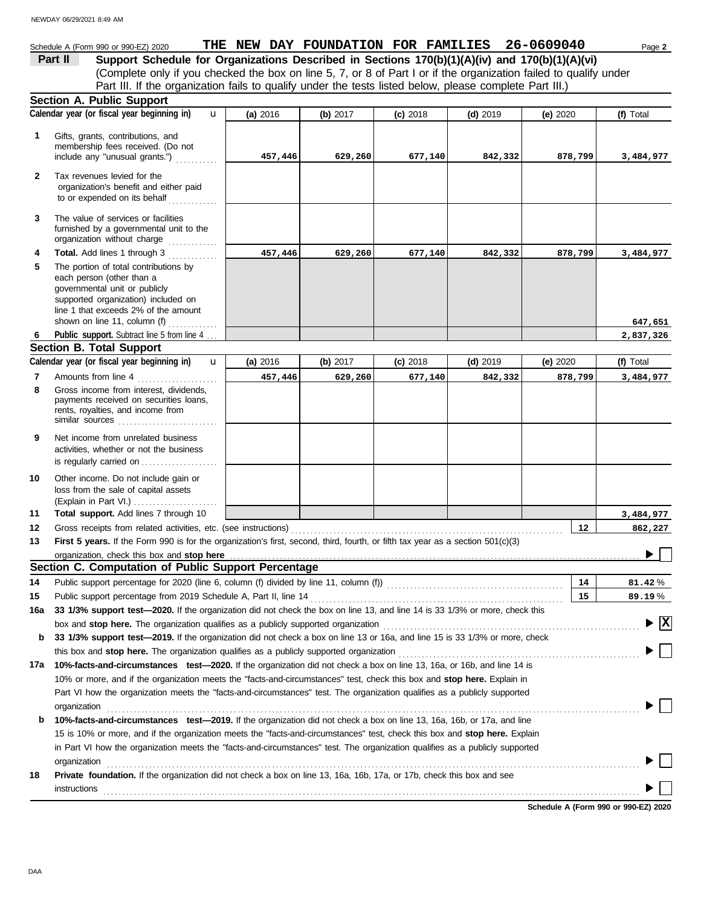### Schedule A (Form 990 or 990-EZ) 2020 **THE NEW DAY FOUNDATION FOR FAMILIES** 26-0609040 Page 2

(Complete only if you checked the box on line 5, 7, or 8 of Part I or if the organization failed to qualify under **Part II Support Schedule for Organizations Described in Sections 170(b)(1)(A)(iv) and 170(b)(1)(A)(vi)** Part III. If the organization fails to qualify under the tests listed below, please complete Part III.)

|              | <b>Section A. Public Support</b>                                                                                                                                                                                            |            |            |            |            |            |                                             |
|--------------|-----------------------------------------------------------------------------------------------------------------------------------------------------------------------------------------------------------------------------|------------|------------|------------|------------|------------|---------------------------------------------|
|              | Calendar year (or fiscal year beginning in)<br>$\mathbf{u}$                                                                                                                                                                 | (a) 2016   | (b) $2017$ | $(c)$ 2018 | $(d)$ 2019 | (e) $2020$ | (f) Total                                   |
| 1            | Gifts, grants, contributions, and<br>membership fees received. (Do not<br>include any "unusual grants.")                                                                                                                    | 457,446    | 629,260    | 677,140    | 842,332    | 878,799    | 3,484,977                                   |
| $\mathbf{2}$ | Tax revenues levied for the<br>organization's benefit and either paid<br>to or expended on its behalf                                                                                                                       |            |            |            |            |            |                                             |
| 3            | The value of services or facilities<br>furnished by a governmental unit to the                                                                                                                                              |            |            |            |            |            |                                             |
| 4            | Total. Add lines 1 through 3                                                                                                                                                                                                | 457,446    | 629,260    | 677,140    | 842,332    | 878,799    | 3,484,977                                   |
| 5            | The portion of total contributions by<br>each person (other than a<br>governmental unit or publicly<br>supported organization) included on<br>line 1 that exceeds 2% of the amount<br>shown on line 11, column (f) $\ldots$ |            |            |            |            |            | 647,651                                     |
| 6            | Public support. Subtract line 5 from line 4                                                                                                                                                                                 |            |            |            |            |            | 2,837,326                                   |
|              | <b>Section B. Total Support</b>                                                                                                                                                                                             |            |            |            |            |            |                                             |
|              | Calendar year (or fiscal year beginning in)<br>$\mathbf{u}$                                                                                                                                                                 | (a) $2016$ | (b) $2017$ | $(c)$ 2018 | $(d)$ 2019 | (e) $2020$ | (f) Total                                   |
| 7            | Amounts from line 4                                                                                                                                                                                                         | 457,446    | 629,260    | 677,140    | 842,332    | 878,799    | 3,484,977                                   |
| 8            | .<br>Gross income from interest, dividends,<br>payments received on securities loans,<br>rents, royalties, and income from<br>similar sources                                                                               |            |            |            |            |            |                                             |
| 9            | Net income from unrelated business<br>activities, whether or not the business<br>is regularly carried on                                                                                                                    |            |            |            |            |            |                                             |
| 10           | Other income. Do not include gain or<br>loss from the sale of capital assets<br>(Explain in Part VI.)                                                                                                                       |            |            |            |            |            |                                             |
| 11           | Total support. Add lines 7 through 10                                                                                                                                                                                       |            |            |            |            |            | 3,484,977                                   |
| 12           | Gross receipts from related activities, etc. (see instructions)                                                                                                                                                             |            |            |            |            | 12         | 862,227                                     |
| 13           | First 5 years. If the Form 990 is for the organization's first, second, third, fourth, or fifth tax year as a section 501(c)(3)                                                                                             |            |            |            |            |            |                                             |
|              | organization, check this box and stop here                                                                                                                                                                                  |            |            |            |            |            |                                             |
|              | Section C. Computation of Public Support Percentage                                                                                                                                                                         |            |            |            |            |            |                                             |
| 14           |                                                                                                                                                                                                                             |            |            |            |            | 14         | $81.42\%$                                   |
| 15           |                                                                                                                                                                                                                             |            |            |            |            | 15         | 89.19%                                      |
| 16a          | 33 1/3% support test-2020. If the organization did not check the box on line 13, and line 14 is 33 1/3% or more, check this                                                                                                 |            |            |            |            |            |                                             |
|              | box and stop here. The organization qualifies as a publicly supported organization                                                                                                                                          |            |            |            |            |            | $\blacktriangleright \overline{\mathbf{X}}$ |
| b            | 33 1/3% support test-2019. If the organization did not check a box on line 13 or 16a, and line 15 is 33 1/3% or more, check                                                                                                 |            |            |            |            |            |                                             |
|              | this box and <b>stop here.</b> The organization qualifies as a publicly supported organization                                                                                                                              |            |            |            |            |            |                                             |
| 17a          | 10%-facts-and-circumstances test-2020. If the organization did not check a box on line 13, 16a, or 16b, and line 14 is                                                                                                      |            |            |            |            |            |                                             |
|              | 10% or more, and if the organization meets the "facts-and-circumstances" test, check this box and stop here. Explain in                                                                                                     |            |            |            |            |            |                                             |
|              | Part VI how the organization meets the "facts-and-circumstances" test. The organization qualifies as a publicly supported                                                                                                   |            |            |            |            |            |                                             |
|              | organization                                                                                                                                                                                                                |            |            |            |            |            |                                             |
| b            | 10%-facts-and-circumstances test-2019. If the organization did not check a box on line 13, 16a, 16b, or 17a, and line                                                                                                       |            |            |            |            |            |                                             |
|              | 15 is 10% or more, and if the organization meets the "facts-and-circumstances" test, check this box and stop here. Explain                                                                                                  |            |            |            |            |            |                                             |
|              | in Part VI how the organization meets the "facts-and-circumstances" test. The organization qualifies as a publicly supported                                                                                                |            |            |            |            |            |                                             |
|              | organization                                                                                                                                                                                                                |            |            |            |            |            |                                             |
| 18           | Private foundation. If the organization did not check a box on line 13, 16a, 16b, 17a, or 17b, check this box and see                                                                                                       |            |            |            |            |            |                                             |
|              | instructions                                                                                                                                                                                                                |            |            |            |            |            |                                             |
|              |                                                                                                                                                                                                                             |            |            |            |            |            |                                             |

**Schedule A (Form 990 or 990-EZ) 2020**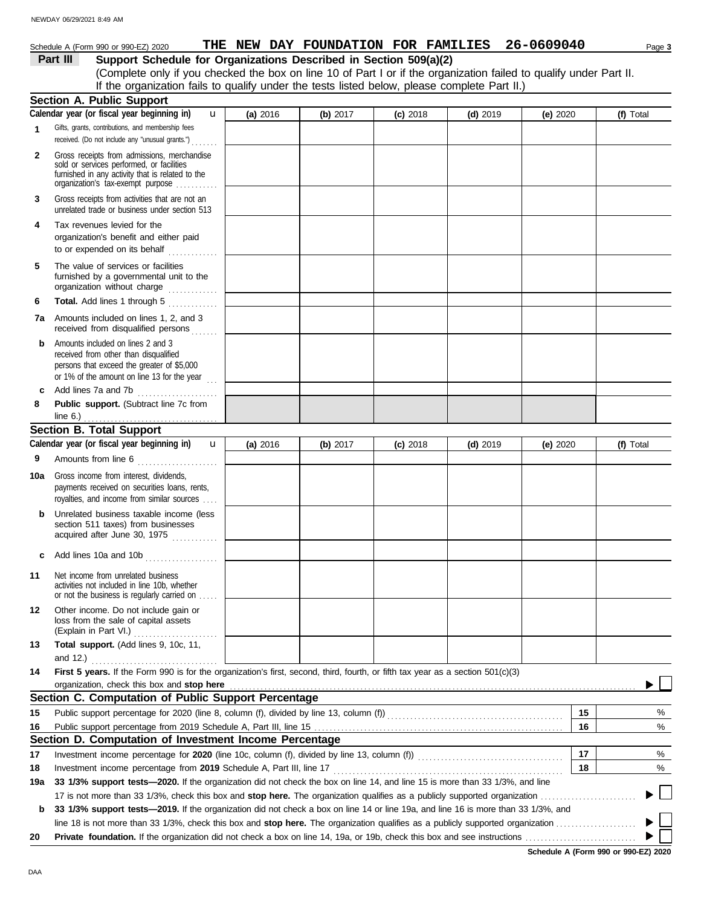DAA

## Schedule A (Form 990 or 990-EZ) 2020 **THE NEW DAY FOUNDATION FOR FAMILIES** 26-0609040 Page 3

**Part III Support Schedule for Organizations Described in Section 509(a)(2)**

(Complete only if you checked the box on line 10 of Part I or if the organization failed to qualify under Part II. If the organization fails to qualify under the tests listed below, please complete Part II.)

|             | <b>Section A. Public Support</b>                                                                                                                                                                     |          |          |            |            |            |              |
|-------------|------------------------------------------------------------------------------------------------------------------------------------------------------------------------------------------------------|----------|----------|------------|------------|------------|--------------|
|             | Calendar year (or fiscal year beginning in)<br>u                                                                                                                                                     | (a) 2016 | (b) 2017 | $(c)$ 2018 | $(d)$ 2019 | (e) $2020$ | (f) Total    |
| $\mathbf 1$ | Gifts, grants, contributions, and membership fees<br>received. (Do not include any "unusual grants.")                                                                                                |          |          |            |            |            |              |
| 2           | Gross receipts from admissions, merchandise<br>sold or services performed, or facilities<br>furnished in any activity that is related to the<br>organization's tax-exempt purpose                    |          |          |            |            |            |              |
| 3           | Gross receipts from activities that are not an<br>unrelated trade or business under section 513                                                                                                      |          |          |            |            |            |              |
| 4           | Tax revenues levied for the<br>organization's benefit and either paid<br>to or expended on its behalf<br>.                                                                                           |          |          |            |            |            |              |
| 5           | The value of services or facilities<br>furnished by a governmental unit to the<br>organization without charge                                                                                        |          |          |            |            |            |              |
| 6           | Total. Add lines 1 through 5                                                                                                                                                                         |          |          |            |            |            |              |
| 7a          | Amounts included on lines 1, 2, and 3<br>received from disqualified persons                                                                                                                          |          |          |            |            |            |              |
| b           | Amounts included on lines 2 and 3<br>received from other than disqualified<br>persons that exceed the greater of \$5,000<br>or 1% of the amount on line 13 for the year                              |          |          |            |            |            |              |
| c           | Add lines 7a and 7b                                                                                                                                                                                  |          |          |            |            |            |              |
| 8           | Public support. (Subtract line 7c from<br>line $6.$ )                                                                                                                                                |          |          |            |            |            |              |
|             | .<br><b>Section B. Total Support</b>                                                                                                                                                                 |          |          |            |            |            |              |
|             | Calendar year (or fiscal year beginning in)<br>$\mathbf{u}$                                                                                                                                          | (a) 2016 | (b) 2017 | $(c)$ 2018 | $(d)$ 2019 | (e) $2020$ | (f) Total    |
| 9           | Amounts from line 6                                                                                                                                                                                  |          |          |            |            |            |              |
| 10a         | Gross income from interest, dividends,<br>payments received on securities loans, rents,<br>royalties, and income from similar sources                                                                |          |          |            |            |            |              |
| b           | Unrelated business taxable income (less<br>section 511 taxes) from businesses<br>acquired after June 30, 1975                                                                                        |          |          |            |            |            |              |
| C           | Add lines 10a and 10b                                                                                                                                                                                |          |          |            |            |            |              |
| 11          | Net income from unrelated business<br>activities not included in line 10b, whether<br>or not the business is regularly carried on                                                                    |          |          |            |            |            |              |
| 12          | Other income. Do not include gain or<br>loss from the sale of capital assets<br>(Explain in Part VI.)                                                                                                |          |          |            |            |            |              |
| 13          | Total support. (Add lines 9, 10c, 11,                                                                                                                                                                |          |          |            |            |            |              |
|             | and $12.$ )                                                                                                                                                                                          |          |          |            |            |            |              |
| 14          | First 5 years. If the Form 990 is for the organization's first, second, third, fourth, or fifth tax year as a section 501(c)(3)                                                                      |          |          |            |            |            |              |
|             | organization, check this box and stop here<br>Section C. Computation of Public Support Percentage                                                                                                    |          |          |            |            |            |              |
|             |                                                                                                                                                                                                      |          |          |            |            |            |              |
| 15          |                                                                                                                                                                                                      |          |          |            |            | 15         | %            |
| 16          |                                                                                                                                                                                                      |          |          |            |            | 16         | %            |
|             | Section D. Computation of Investment Income Percentage                                                                                                                                               |          |          |            |            |            |              |
| 17          |                                                                                                                                                                                                      |          |          |            |            | 17         | %            |
| 18          | Investment income percentage from 2019 Schedule A, Part III, line 17<br>33 1/3% support tests-2020. If the organization did not check the box on line 14, and line 15 is more than 33 1/3%, and line |          |          |            |            | 18         | %            |
| 19a         |                                                                                                                                                                                                      |          |          |            |            |            | $\mathbf{L}$ |
| b           | 33 1/3% support tests—2019. If the organization did not check a box on line 14 or line 19a, and line 16 is more than 33 1/3%, and                                                                    |          |          |            |            |            |              |
|             |                                                                                                                                                                                                      |          |          |            |            |            |              |
| 20          |                                                                                                                                                                                                      |          |          |            |            |            |              |
|             |                                                                                                                                                                                                      |          |          |            |            |            |              |

**Schedule A (Form 990 or 990-EZ) 2020**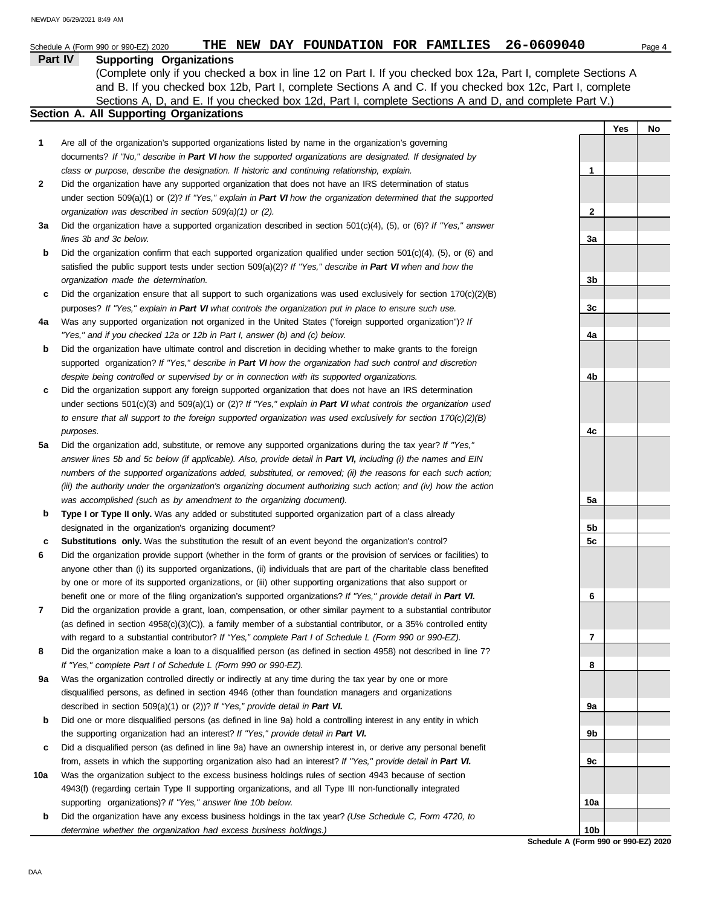Sections A, D, and E. If you checked box 12d, Part I, complete Sections A and D, and complete Part V.) (Complete only if you checked a box in line 12 on Part I. If you checked box 12a, Part I, complete Sections A and B. If you checked box 12b, Part I, complete Sections A and C. If you checked box 12c, Part I, complete

#### **Section A. All Supporting Organizations**

| Are all of the organization's supported organizations listed by name in the organization's governing     |
|----------------------------------------------------------------------------------------------------------|
| documents? If "No," describe in Part VI how the supported organizations are designated. If designated by |
| class or purpose, describe the designation. If historic and continuing relationship, explain.            |

- Did the organization have any supported organization that does not have an IRS determination of status under section 509(a)(1) or (2)? *If "Yes," explain in Part VI how the organization determined that the supported organization was described in section 509(a)(1) or (2).* **2**
- **3a** Did the organization have a supported organization described in section 501(c)(4), (5), or (6)? *If "Yes," answer lines 3b and 3c below.*
- **b** Did the organization confirm that each supported organization qualified under section 501(c)(4), (5), or (6) and satisfied the public support tests under section 509(a)(2)? *If "Yes," describe in Part VI when and how the organization made the determination.*
- **c** Did the organization ensure that all support to such organizations was used exclusively for section  $170(c)(2)(B)$ purposes? *If "Yes," explain in Part VI what controls the organization put in place to ensure such use.*
- **4a** Was any supported organization not organized in the United States ("foreign supported organization")? *If "Yes," and if you checked 12a or 12b in Part I, answer (b) and (c) below.*
- **b** Did the organization have ultimate control and discretion in deciding whether to make grants to the foreign supported organization? *If "Yes," describe in Part VI how the organization had such control and discretion despite being controlled or supervised by or in connection with its supported organizations.*
- **c** Did the organization support any foreign supported organization that does not have an IRS determination under sections 501(c)(3) and 509(a)(1) or (2)? *If "Yes," explain in Part VI what controls the organization used to ensure that all support to the foreign supported organization was used exclusively for section 170(c)(2)(B) purposes.*
- **5a** Did the organization add, substitute, or remove any supported organizations during the tax year? *If "Yes," answer lines 5b and 5c below (if applicable). Also, provide detail in Part VI, including (i) the names and EIN numbers of the supported organizations added, substituted, or removed; (ii) the reasons for each such action; (iii) the authority under the organization's organizing document authorizing such action; and (iv) how the action was accomplished (such as by amendment to the organizing document).*
- **b Type I or Type II only.** Was any added or substituted supported organization part of a class already designated in the organization's organizing document?
- **c Substitutions only.** Was the substitution the result of an event beyond the organization's control?
- **6** Did the organization provide support (whether in the form of grants or the provision of services or facilities) to anyone other than (i) its supported organizations, (ii) individuals that are part of the charitable class benefited by one or more of its supported organizations, or (iii) other supporting organizations that also support or benefit one or more of the filing organization's supported organizations? *If "Yes," provide detail in Part VI.*
- **7** Did the organization provide a grant, loan, compensation, or other similar payment to a substantial contributor (as defined in section 4958(c)(3)(C)), a family member of a substantial contributor, or a 35% controlled entity with regard to a substantial contributor? *If "Yes," complete Part I of Schedule L (Form 990 or 990-EZ).*
- **8** Did the organization make a loan to a disqualified person (as defined in section 4958) not described in line 7? *If "Yes," complete Part I of Schedule L (Form 990 or 990-EZ).*
- **9a** Was the organization controlled directly or indirectly at any time during the tax year by one or more disqualified persons, as defined in section 4946 (other than foundation managers and organizations described in section 509(a)(1) or (2))? *If "Yes," provide detail in Part VI.*
- **b** Did one or more disqualified persons (as defined in line 9a) hold a controlling interest in any entity in which the supporting organization had an interest? *If "Yes," provide detail in Part VI.*
- **c** Did a disqualified person (as defined in line 9a) have an ownership interest in, or derive any personal benefit from, assets in which the supporting organization also had an interest? *If "Yes," provide detail in Part VI.*
- **10a** Was the organization subject to the excess business holdings rules of section 4943 because of section 4943(f) (regarding certain Type II supporting organizations, and all Type III non-functionally integrated supporting organizations)? *If "Yes," answer line 10b below.*
- **b** Did the organization have any excess business holdings in the tax year? *(Use Schedule C, Form 4720, to determine whether the organization had excess business holdings.)*

**1 2 3a 3b 3c 4a 4b 4c 5a 5b 5c 6 7 8 9a 9b 9c 10a 10b**

**Yes No**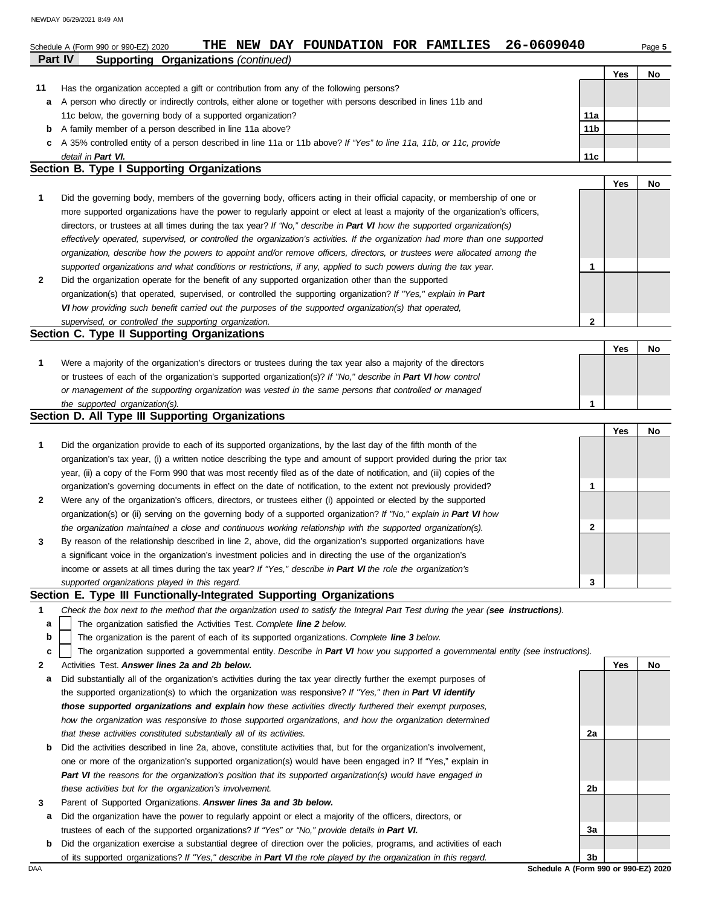|    | NEWDAY 06/29/2021 8:49 AM                                                                                                         |                 |            |        |
|----|-----------------------------------------------------------------------------------------------------------------------------------|-----------------|------------|--------|
|    | 26-0609040<br>THE NEW DAY FOUNDATION FOR FAMILIES<br>Schedule A (Form 990 or 990-EZ) 2020                                         |                 |            | Page 5 |
|    | <b>Supporting Organizations (continued)</b><br><b>Part IV</b>                                                                     |                 |            |        |
|    |                                                                                                                                   |                 | Yes        | No     |
| 11 | Has the organization accepted a gift or contribution from any of the following persons?                                           |                 |            |        |
| а  | A person who directly or indirectly controls, either alone or together with persons described in lines 11b and                    |                 |            |        |
|    | 11c below, the governing body of a supported organization?                                                                        | 11a             |            |        |
| b  | A family member of a person described in line 11a above?                                                                          | 11 <sub>b</sub> |            |        |
| c  | A 35% controlled entity of a person described in line 11a or 11b above? If "Yes" to line 11a, 11b, or 11c, provide                |                 |            |        |
|    | detail in Part VI.                                                                                                                | 11c             |            |        |
|    | <b>Section B. Type I Supporting Organizations</b>                                                                                 |                 |            |        |
|    |                                                                                                                                   |                 | <b>Yes</b> | No     |
| 1  | Did the governing body, members of the governing body, officers acting in their official capacity, or membership of one or        |                 |            |        |
|    | more supported organizations have the power to regularly appoint or elect at least a majority of the organization's officers,     |                 |            |        |
|    | directors, or trustees at all times during the tax year? If "No," describe in Part VI how the supported organization(s)           |                 |            |        |
|    | effectively operated, supervised, or controlled the organization's activities. If the organization had more than one supported    |                 |            |        |
|    | organization, describe how the powers to appoint and/or remove officers, directors, or trustees were allocated among the          |                 |            |        |
|    | supported organizations and what conditions or restrictions, if any, applied to such powers during the tax year.                  | 1               |            |        |
| 2  | Did the organization operate for the benefit of any supported organization other than the supported                               |                 |            |        |
|    | organization(s) that operated, supervised, or controlled the supporting organization? If "Yes," explain in Part                   |                 |            |        |
|    | VI how providing such benefit carried out the purposes of the supported organization(s) that operated,                            |                 |            |        |
|    | supervised, or controlled the supporting organization.                                                                            | 2               |            |        |
|    | Section C. Type II Supporting Organizations                                                                                       |                 |            |        |
|    |                                                                                                                                   |                 | Yes        | No     |
| 1  | Were a majority of the organization's directors or trustees during the tax year also a majority of the directors                  |                 |            |        |
|    | or trustees of each of the organization's supported organization(s)? If "No," describe in Part VI how control                     |                 |            |        |
|    | or management of the supporting organization was vested in the same persons that controlled or managed                            |                 |            |        |
|    | the supported organization(s).                                                                                                    | 1               |            |        |
|    | Section D. All Type III Supporting Organizations                                                                                  |                 |            |        |
|    |                                                                                                                                   |                 | <b>Yes</b> | No     |
| 1  | Did the organization provide to each of its supported organizations, by the last day of the fifth month of the                    |                 |            |        |
|    | organization's tax year, (i) a written notice describing the type and amount of support provided during the prior tax             |                 |            |        |
|    | year, (ii) a copy of the Form 990 that was most recently filed as of the date of notification, and (iii) copies of the            |                 |            |        |
|    | organization's governing documents in effect on the date of notification, to the extent not previously provided?                  | 1               |            |        |
| 2  | Were any of the organization's officers, directors, or trustees either (i) appointed or elected by the supported                  |                 |            |        |
|    | organization(s) or (ii) serving on the governing body of a supported organization? If "No," explain in Part VI how                |                 |            |        |
|    | the organization maintained a close and continuous working relationship with the supported organization(s).                       | 2               |            |        |
| 3  | By reason of the relationship described in line 2, above, did the organization's supported organizations have                     |                 |            |        |
|    | a significant voice in the organization's investment policies and in directing the use of the organization's                      |                 |            |        |
|    | income or assets at all times during the tax year? If "Yes," describe in Part VI the role the organization's                      |                 |            |        |
|    | supported organizations played in this regard.                                                                                    | 3               |            |        |
|    | Section E. Type III Functionally-Integrated Supporting Organizations                                                              |                 |            |        |
| 1  | Check the box next to the method that the organization used to satisfy the Integral Part Test during the year (see instructions). |                 |            |        |
| a  | The organization satisfied the Activities Test. Complete line 2 below.                                                            |                 |            |        |
| b  | The organization is the parent of each of its supported organizations. Complete line 3 below.                                     |                 |            |        |
| c  | The organization supported a governmental entity. Describe in Part VI how you supported a governmental entity (see instructions). |                 |            |        |
| 2  | Activities Test. Answer lines 2a and 2b below.                                                                                    |                 | Yes        | No     |
| а  | Did substantially all of the organization's activities during the tax year directly further the exempt purposes of                |                 |            |        |
|    | cupperted examination(a) to which the examination was reaponsive? If "Yes" then in Dart III identify                              |                 |            |        |

| the supported organization(s) to which the organization was responsive? If "Yes," then in Part VI identify                   |
|------------------------------------------------------------------------------------------------------------------------------|
| those supported organizations and explain how these activities directly furthered their exempt purposes,                     |
| how the organization was responsive to those supported organizations, and how the organization determined                    |
| that these activities constituted substantially all of its activities.                                                       |
| <b>b</b> Did the activities described in line 2a, above, constitute activities that, but for the organization's involvement, |

| these activities but for the organization's involvement. | <b>b</b> Did the activities described in line 2a, above, constitute activities that, but for the organization's involvement, |
|----------------------------------------------------------|------------------------------------------------------------------------------------------------------------------------------|
|                                                          | one or more of the organization's supported organization(s) would have been engaged in? If "Yes," explain in                 |
|                                                          | Part VI the reasons for the organization's position that its supported organization(s) would have engaged in                 |
|                                                          |                                                                                                                              |

- **3** Parent of Supported Organizations. *Answer lines 3a and 3b below.*
- **a** Did the organization have the power to regularly appoint or elect a majority of the officers, directors, or trustees of each of the supported organizations? *If "Yes" or "No," provide details in Part VI.*
- **b** Did the organization exercise a substantial degree of direction over the policies, programs, and activities of each of its supported organizations? *If "Yes," describe in Part VI the role played by the organization in this regard.*

DAA **Schedule A (Form 990 or 990-EZ) 2020 3b**

**2a**

**2b**

**3a**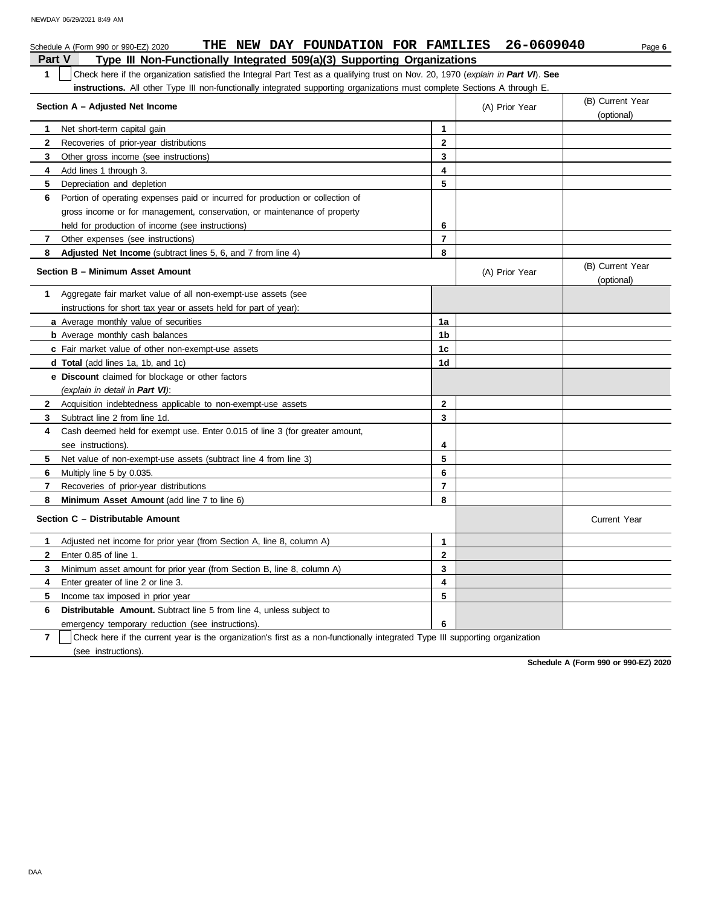|              | THE NEW DAY FOUNDATION FOR FAMILIES<br>Schedule A (Form 990 or 990-EZ) 2020                                                      |                |                | 26-0609040 | Page 6                         |
|--------------|----------------------------------------------------------------------------------------------------------------------------------|----------------|----------------|------------|--------------------------------|
| Part V       | Type III Non-Functionally Integrated 509(a)(3) Supporting Organizations                                                          |                |                |            |                                |
| $\mathbf{1}$ | Check here if the organization satisfied the Integral Part Test as a qualifying trust on Nov. 20, 1970 (explain in Part VI). See |                |                |            |                                |
|              | <b>instructions.</b> All other Type III non-functionally integrated supporting organizations must complete Sections A through E. |                |                |            |                                |
|              | Section A - Adjusted Net Income                                                                                                  |                | (A) Prior Year |            | (B) Current Year<br>(optional) |
| 1            | Net short-term capital gain                                                                                                      | $\mathbf{1}$   |                |            |                                |
| $\mathbf{2}$ | Recoveries of prior-year distributions                                                                                           | $\overline{2}$ |                |            |                                |
| 3            | Other gross income (see instructions)                                                                                            | 3              |                |            |                                |
| 4            | Add lines 1 through 3.                                                                                                           | 4              |                |            |                                |
| 5            | Depreciation and depletion                                                                                                       | 5              |                |            |                                |
| 6            | Portion of operating expenses paid or incurred for production or collection of                                                   |                |                |            |                                |
|              | gross income or for management, conservation, or maintenance of property                                                         |                |                |            |                                |
|              | held for production of income (see instructions)                                                                                 | 6              |                |            |                                |
| 7            | Other expenses (see instructions)                                                                                                | $\overline{7}$ |                |            |                                |
| 8            | Adjusted Net Income (subtract lines 5, 6, and 7 from line 4)                                                                     | 8              |                |            |                                |
|              | Section B - Minimum Asset Amount                                                                                                 |                | (A) Prior Year |            | (B) Current Year<br>(optional) |
| 1.           | Aggregate fair market value of all non-exempt-use assets (see                                                                    |                |                |            |                                |
|              | instructions for short tax year or assets held for part of year):                                                                |                |                |            |                                |
|              | a Average monthly value of securities                                                                                            | 1a             |                |            |                                |
|              | <b>b</b> Average monthly cash balances                                                                                           | 1 <sub>b</sub> |                |            |                                |
|              | c Fair market value of other non-exempt-use assets                                                                               | 1 <sub>c</sub> |                |            |                                |
|              | <b>d Total</b> (add lines 1a, 1b, and 1c)                                                                                        | 1d             |                |            |                                |
|              | e Discount claimed for blockage or other factors                                                                                 |                |                |            |                                |
|              | (explain in detail in Part VI):                                                                                                  |                |                |            |                                |
| $\mathbf{2}$ | Acquisition indebtedness applicable to non-exempt-use assets                                                                     | $\mathbf{2}$   |                |            |                                |
| 3            | Subtract line 2 from line 1d.                                                                                                    | 3              |                |            |                                |
| 4            | Cash deemed held for exempt use. Enter 0.015 of line 3 (for greater amount,                                                      |                |                |            |                                |
|              | see instructions).                                                                                                               | 4              |                |            |                                |
| 5            | Net value of non-exempt-use assets (subtract line 4 from line 3)                                                                 | 5              |                |            |                                |
| 6            | Multiply line 5 by 0.035.                                                                                                        | 6              |                |            |                                |
| 7            | Recoveries of prior-year distributions                                                                                           | $\overline{7}$ |                |            |                                |
| 8            | Minimum Asset Amount (add line 7 to line 6)                                                                                      | 8              |                |            |                                |
|              | Section C - Distributable Amount                                                                                                 |                |                |            | <b>Current Year</b>            |
| 1.           | Adjusted net income for prior year (from Section A, line 8, column A)                                                            | 1              |                |            |                                |
| $\mathbf{2}$ | Enter 0.85 of line 1.                                                                                                            | $\mathbf 2$    |                |            |                                |
| 3            | Minimum asset amount for prior year (from Section B, line 8, column A)                                                           | 3              |                |            |                                |
| 4            | Enter greater of line 2 or line 3.                                                                                               | 4              |                |            |                                |
| 5            | Income tax imposed in prior year                                                                                                 | 5              |                |            |                                |
| 6            | <b>Distributable Amount.</b> Subtract line 5 from line 4, unless subject to                                                      |                |                |            |                                |
|              | emergency temporary reduction (see instructions).                                                                                | 6              |                |            |                                |
|              |                                                                                                                                  |                |                |            |                                |

**7** | Check here if the current year is the organization's first as a non-functionally integrated Type III supporting organization (see instructions).

**Schedule A (Form 990 or 990-EZ) 2020**

DAA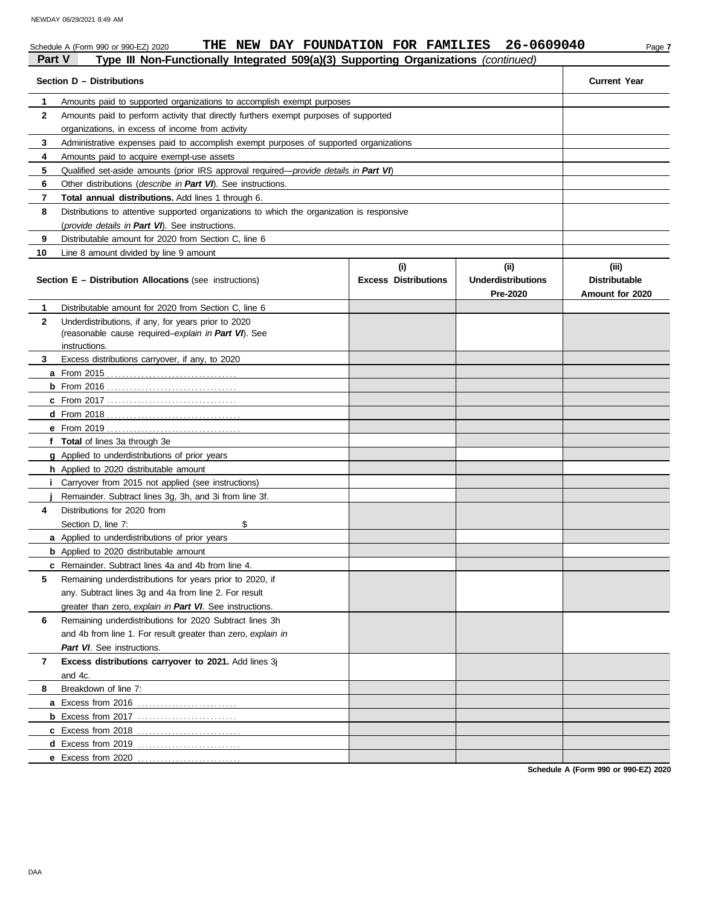#### Schedule A (Form 990 or 990-EZ) 2020 **THE NEW DAY FOUNDATION FOR FAMILIES** 26-0609040 Page 7 **Part V Type III Non-Functionally Integrated 509(a)(3) Supporting Organizations** *(continued)* **Section D – Distributions Current Year 1 2 3 4 5 6 7 8** Amounts paid to supported organizations to accomplish exempt purposes Amounts paid to perform activity that directly furthers exempt purposes of supported organizations, in excess of income from activity Administrative expenses paid to accomplish exempt purposes of supported organizations Amounts paid to acquire exempt-use assets Qualified set-aside amounts (prior IRS approval required—*provide details in Part VI*) Other distributions (*describe in Part VI*). See instructions. **Total annual distributions.** Add lines 1 through 6. Distributions to attentive supported organizations to which the organization is responsive

|                | Distributions to attentive supported organizations to writer the organization is responsive                                 |                                    |                                                     |                                                  |
|----------------|-----------------------------------------------------------------------------------------------------------------------------|------------------------------------|-----------------------------------------------------|--------------------------------------------------|
|                | (provide details in Part VI). See instructions.                                                                             |                                    |                                                     |                                                  |
| 9              | Distributable amount for 2020 from Section C. line 6                                                                        |                                    |                                                     |                                                  |
| 10             | Line 8 amount divided by line 9 amount                                                                                      |                                    |                                                     |                                                  |
|                | <b>Section E – Distribution Allocations (see instructions)</b>                                                              | (i)<br><b>Excess Distributions</b> | (i)<br><b>Underdistributions</b><br><b>Pre-2020</b> | (iii)<br><b>Distributable</b><br>Amount for 2020 |
| 1              | Distributable amount for 2020 from Section C, line 6                                                                        |                                    |                                                     |                                                  |
| $\mathbf{2}$   | Underdistributions, if any, for years prior to 2020<br>(reasonable cause required–explain in Part VI). See<br>instructions. |                                    |                                                     |                                                  |
| 3              | Excess distributions carryover, if any, to 2020                                                                             |                                    |                                                     |                                                  |
|                |                                                                                                                             |                                    |                                                     |                                                  |
|                | $b$ From 2016                                                                                                               |                                    |                                                     |                                                  |
|                |                                                                                                                             |                                    |                                                     |                                                  |
|                |                                                                                                                             |                                    |                                                     |                                                  |
|                |                                                                                                                             |                                    |                                                     |                                                  |
|                | f Total of lines 3a through 3e                                                                                              |                                    |                                                     |                                                  |
|                | g Applied to underdistributions of prior years                                                                              |                                    |                                                     |                                                  |
|                | h Applied to 2020 distributable amount                                                                                      |                                    |                                                     |                                                  |
|                | <i>i</i> Carryover from 2015 not applied (see instructions)                                                                 |                                    |                                                     |                                                  |
|                | Remainder. Subtract lines 3g, 3h, and 3i from line 3f.                                                                      |                                    |                                                     |                                                  |
| 4              | Distributions for 2020 from                                                                                                 |                                    |                                                     |                                                  |
|                | \$<br>Section D, line 7:                                                                                                    |                                    |                                                     |                                                  |
|                | a Applied to underdistributions of prior years                                                                              |                                    |                                                     |                                                  |
|                | <b>b</b> Applied to 2020 distributable amount                                                                               |                                    |                                                     |                                                  |
|                | c Remainder. Subtract lines 4a and 4b from line 4.                                                                          |                                    |                                                     |                                                  |
| 5              | Remaining underdistributions for years prior to 2020, if                                                                    |                                    |                                                     |                                                  |
|                | any. Subtract lines 3g and 4a from line 2. For result                                                                       |                                    |                                                     |                                                  |
|                | greater than zero, explain in Part VI. See instructions.                                                                    |                                    |                                                     |                                                  |
| 6              | Remaining underdistributions for 2020 Subtract lines 3h                                                                     |                                    |                                                     |                                                  |
|                | and 4b from line 1. For result greater than zero, explain in                                                                |                                    |                                                     |                                                  |
|                | Part VI. See instructions.                                                                                                  |                                    |                                                     |                                                  |
| $\overline{7}$ | Excess distributions carryover to 2021. Add lines 3j                                                                        |                                    |                                                     |                                                  |
|                | and 4c.                                                                                                                     |                                    |                                                     |                                                  |
| 8              | Breakdown of line 7:                                                                                                        |                                    |                                                     |                                                  |
|                | a Excess from 2016                                                                                                          |                                    |                                                     |                                                  |
|                |                                                                                                                             |                                    |                                                     |                                                  |
|                | c Excess from 2018                                                                                                          |                                    |                                                     |                                                  |
|                | d Excess from 2019                                                                                                          |                                    |                                                     |                                                  |
|                | e Excess from 2020                                                                                                          |                                    |                                                     |                                                  |

**Schedule A (Form 990 or 990-EZ) 2020**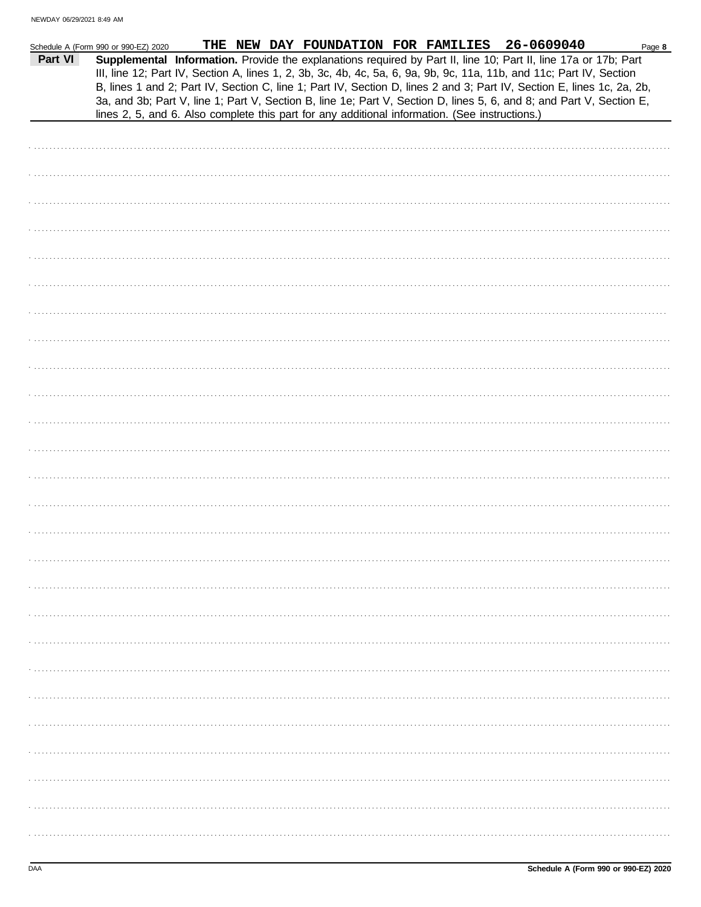| Supplemental Information. Provide the explanations required by Part II, line 10; Part II, line 17a or 17b; Part<br>Part VI<br>III, line 12; Part IV, Section A, lines 1, 2, 3b, 3c, 4b, 4c, 5a, 6, 9a, 9b, 9c, 11a, 11b, and 11c; Part IV, Section<br>B, lines 1 and 2; Part IV, Section C, line 1; Part IV, Section D, lines 2 and 3; Part IV, Section E, lines 1c, 2a, 2b,<br>3a, and 3b; Part V, line 1; Part V, Section B, line 1e; Part V, Section D, lines 5, 6, and 8; and Part V, Section E,<br>lines 2, 5, and 6. Also complete this part for any additional information. (See instructions.) | Schedule A (Form 990 or 990-EZ) 2020 |  | THE NEW DAY FOUNDATION FOR FAMILIES 26-0609040 | Page 8 |
|--------------------------------------------------------------------------------------------------------------------------------------------------------------------------------------------------------------------------------------------------------------------------------------------------------------------------------------------------------------------------------------------------------------------------------------------------------------------------------------------------------------------------------------------------------------------------------------------------------|--------------------------------------|--|------------------------------------------------|--------|
|                                                                                                                                                                                                                                                                                                                                                                                                                                                                                                                                                                                                        |                                      |  |                                                |        |
|                                                                                                                                                                                                                                                                                                                                                                                                                                                                                                                                                                                                        |                                      |  |                                                |        |
|                                                                                                                                                                                                                                                                                                                                                                                                                                                                                                                                                                                                        |                                      |  |                                                |        |
|                                                                                                                                                                                                                                                                                                                                                                                                                                                                                                                                                                                                        |                                      |  |                                                |        |
|                                                                                                                                                                                                                                                                                                                                                                                                                                                                                                                                                                                                        |                                      |  |                                                |        |
|                                                                                                                                                                                                                                                                                                                                                                                                                                                                                                                                                                                                        |                                      |  |                                                |        |
|                                                                                                                                                                                                                                                                                                                                                                                                                                                                                                                                                                                                        |                                      |  |                                                |        |
|                                                                                                                                                                                                                                                                                                                                                                                                                                                                                                                                                                                                        |                                      |  |                                                |        |
|                                                                                                                                                                                                                                                                                                                                                                                                                                                                                                                                                                                                        |                                      |  |                                                |        |
|                                                                                                                                                                                                                                                                                                                                                                                                                                                                                                                                                                                                        |                                      |  |                                                |        |
|                                                                                                                                                                                                                                                                                                                                                                                                                                                                                                                                                                                                        |                                      |  |                                                |        |
|                                                                                                                                                                                                                                                                                                                                                                                                                                                                                                                                                                                                        |                                      |  |                                                |        |
|                                                                                                                                                                                                                                                                                                                                                                                                                                                                                                                                                                                                        |                                      |  |                                                |        |
|                                                                                                                                                                                                                                                                                                                                                                                                                                                                                                                                                                                                        |                                      |  |                                                |        |
|                                                                                                                                                                                                                                                                                                                                                                                                                                                                                                                                                                                                        |                                      |  |                                                |        |
|                                                                                                                                                                                                                                                                                                                                                                                                                                                                                                                                                                                                        |                                      |  |                                                |        |
|                                                                                                                                                                                                                                                                                                                                                                                                                                                                                                                                                                                                        |                                      |  |                                                |        |
|                                                                                                                                                                                                                                                                                                                                                                                                                                                                                                                                                                                                        |                                      |  |                                                |        |
|                                                                                                                                                                                                                                                                                                                                                                                                                                                                                                                                                                                                        |                                      |  |                                                |        |
|                                                                                                                                                                                                                                                                                                                                                                                                                                                                                                                                                                                                        |                                      |  |                                                |        |
|                                                                                                                                                                                                                                                                                                                                                                                                                                                                                                                                                                                                        |                                      |  |                                                |        |
|                                                                                                                                                                                                                                                                                                                                                                                                                                                                                                                                                                                                        |                                      |  |                                                |        |
|                                                                                                                                                                                                                                                                                                                                                                                                                                                                                                                                                                                                        |                                      |  |                                                |        |
|                                                                                                                                                                                                                                                                                                                                                                                                                                                                                                                                                                                                        |                                      |  |                                                |        |
|                                                                                                                                                                                                                                                                                                                                                                                                                                                                                                                                                                                                        |                                      |  |                                                |        |
|                                                                                                                                                                                                                                                                                                                                                                                                                                                                                                                                                                                                        |                                      |  |                                                |        |
|                                                                                                                                                                                                                                                                                                                                                                                                                                                                                                                                                                                                        |                                      |  |                                                |        |
|                                                                                                                                                                                                                                                                                                                                                                                                                                                                                                                                                                                                        |                                      |  |                                                |        |
|                                                                                                                                                                                                                                                                                                                                                                                                                                                                                                                                                                                                        |                                      |  |                                                |        |
|                                                                                                                                                                                                                                                                                                                                                                                                                                                                                                                                                                                                        |                                      |  |                                                |        |
|                                                                                                                                                                                                                                                                                                                                                                                                                                                                                                                                                                                                        |                                      |  |                                                |        |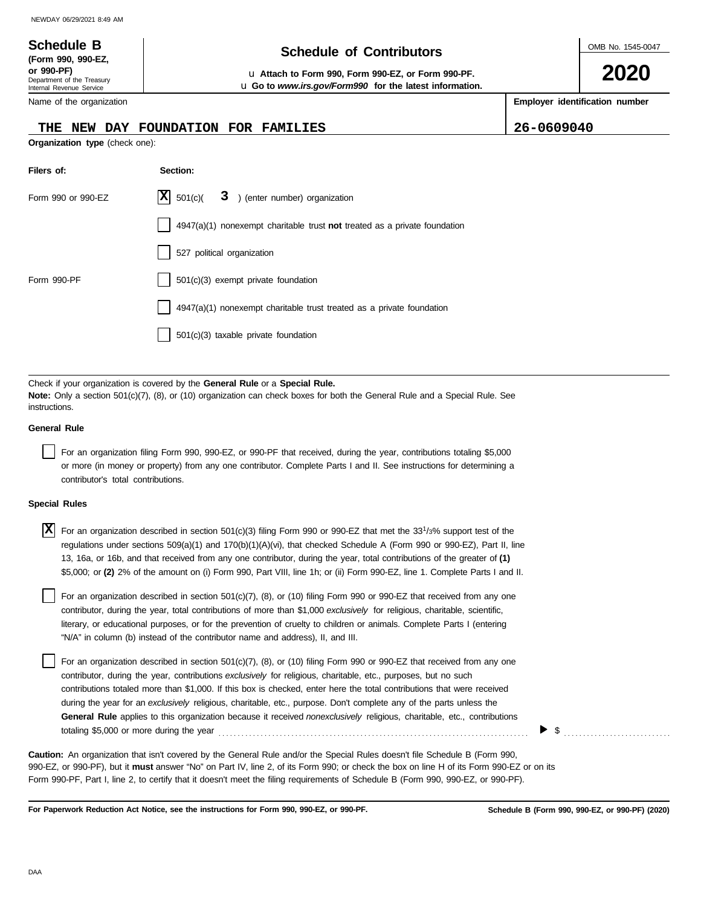# **Schedule of Contributors Schedule B**

**or 990-PF)** u **Attach to Form 990, Form 990-EZ, or Form 990-PF.** u **Go to** *www.irs.gov/Form990* **for the latest information.** OMB No. 1545-0047

**2020**

**Employer identification number**

|  | Name of the organization |
|--|--------------------------|
|--|--------------------------|

Department of the Treasury Internal Revenue Service

**(Form 990, 990-EZ,**

#### **THE NEW DAY FOUNDATION FOR FAMILIES 26-0609040**

**Organization type** (check one):

| Filers of:         | Section:                                                                  |
|--------------------|---------------------------------------------------------------------------|
| Form 990 or 990-EZ | $ \mathbf{X} $ 501(c)( 3) (enter number) organization                     |
|                    | 4947(a)(1) nonexempt charitable trust not treated as a private foundation |
|                    | 527 political organization                                                |
| Form 990-PF        | $\vert$ 501(c)(3) exempt private foundation                               |
|                    | 4947(a)(1) nonexempt charitable trust treated as a private foundation     |
|                    | 501(c)(3) taxable private foundation                                      |

Check if your organization is covered by the **General Rule** or a **Special Rule. Note:** Only a section 501(c)(7), (8), or (10) organization can check boxes for both the General Rule and a Special Rule. See instructions.

#### **General Rule**

For an organization filing Form 990, 990-EZ, or 990-PF that received, during the year, contributions totaling \$5,000 or more (in money or property) from any one contributor. Complete Parts I and II. See instructions for determining a contributor's total contributions.

#### **Special Rules**

| $\overline{X}$ For an organization described in section 501(c)(3) filing Form 990 or 990-EZ that met the 33 <sup>1</sup> /3% support test of the |
|--------------------------------------------------------------------------------------------------------------------------------------------------|
| regulations under sections 509(a)(1) and 170(b)(1)(A)(vi), that checked Schedule A (Form 990 or 990-EZ), Part II, line                           |
| 13, 16a, or 16b, and that received from any one contributor, during the year, total contributions of the greater of (1)                          |
| \$5,000; or (2) 2% of the amount on (i) Form 990, Part VIII, line 1h; or (ii) Form 990-EZ, line 1. Complete Parts I and II.                      |

literary, or educational purposes, or for the prevention of cruelty to children or animals. Complete Parts I (entering For an organization described in section 501(c)(7), (8), or (10) filing Form 990 or 990-EZ that received from any one contributor, during the year, total contributions of more than \$1,000 *exclusively* for religious, charitable, scientific, "N/A" in column (b) instead of the contributor name and address), II, and III.

For an organization described in section 501(c)(7), (8), or (10) filing Form 990 or 990-EZ that received from any one contributor, during the year, contributions *exclusively* for religious, charitable, etc., purposes, but no such contributions totaled more than \$1,000. If this box is checked, enter here the total contributions that were received during the year for an *exclusively* religious, charitable, etc., purpose. Don't complete any of the parts unless the **General Rule** applies to this organization because it received *nonexclusively* religious, charitable, etc., contributions totaling \$5,000 or more during the year . . . . . . . . . . . . . . . . . . . . . . . . . . . . . . . . . . . . . . . . . . . . . . . . . . . . . . . . . . . . . . . . . . . . . . . . . . . . . . . . .

990-EZ, or 990-PF), but it **must** answer "No" on Part IV, line 2, of its Form 990; or check the box on line H of its Form 990-EZ or on its Form 990-PF, Part I, line 2, to certify that it doesn't meet the filing requirements of Schedule B (Form 990, 990-EZ, or 990-PF). **Caution:** An organization that isn't covered by the General Rule and/or the Special Rules doesn't file Schedule B (Form 990,

**For Paperwork Reduction Act Notice, see the instructions for Form 990, 990-EZ, or 990-PF.**

 $\triangleright$  \$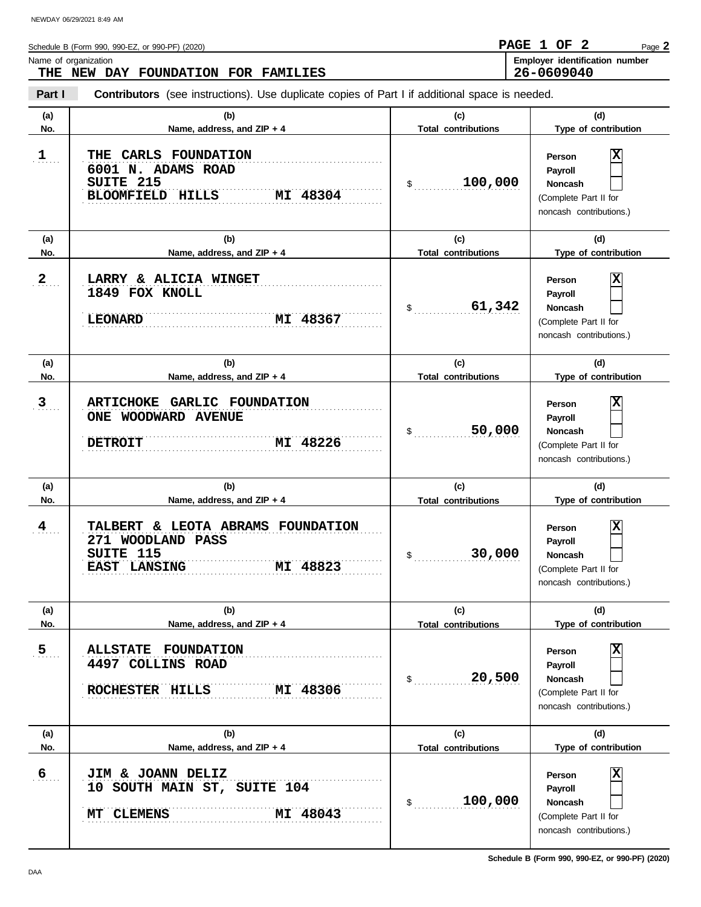| Schedule B (Form 990, 990-EZ, or 990-PF) (2020) | PAGE 1 OF  |  | Page 2                         |
|-------------------------------------------------|------------|--|--------------------------------|
| Name of organization                            |            |  | Employer identification number |
| DAY FOUNDATION FOR FAMILIES<br>THE<br>NEW       | 26-0609040 |  |                                |

#### **THE NEW DAY FOUNDATION FOR FAMILIES**

**Part I Contributors** (see instructions). Use duplicate copies of Part I if additional space is needed.

| (a)               | (b)                                                                                                  | (c)                               | (d)                                                                                          |
|-------------------|------------------------------------------------------------------------------------------------------|-----------------------------------|----------------------------------------------------------------------------------------------|
| No.               | Name, address, and ZIP + 4                                                                           | <b>Total contributions</b>        | Type of contribution                                                                         |
| 1                 | CARLS FOUNDATION<br>THE<br>6001 N. ADAMS ROAD<br>SUITE 215<br><b>BLOOMFIELD</b><br>HILLS<br>MI 48304 | 100,000<br>$\frac{1}{2}$          | х<br>Person<br>Payroll<br><b>Noncash</b><br>(Complete Part II for<br>noncash contributions.) |
| (a)               | (b)                                                                                                  | (c)                               | (d)                                                                                          |
| No.               | Name, address, and ZIP + 4                                                                           | <b>Total contributions</b>        | Type of contribution                                                                         |
| $2_{\ldots}$      | LARRY & ALICIA WINGET<br>1849 FOX KNOLL<br><b>LEONARD</b><br>MI 48367                                | 61,342<br>$\mathsf{\$}$           | х<br>Person<br>Payroll<br>Noncash<br>(Complete Part II for<br>noncash contributions.)        |
| (a)               | (b)                                                                                                  | (c)                               | (d)                                                                                          |
| No.               | Name, address, and ZIP + 4                                                                           | <b>Total contributions</b>        | Type of contribution                                                                         |
| $\mathbf{3}$      | ARTICHOKE GARLIC FOUNDATION<br>ONE WOODWARD AVENUE<br>MI 48226<br><b>DETROIT</b>                     | 50,000<br>\$                      | x<br>Person<br>Payroll<br>Noncash<br>(Complete Part II for<br>noncash contributions.)        |
| (a)               | (b)                                                                                                  | (c)                               | (d)                                                                                          |
| No.               | Name, address, and ZIP + 4                                                                           | <b>Total contributions</b>        | Type of contribution                                                                         |
| $\frac{4}{\cdot}$ | TALBERT & LEOTA ABRAMS FOUNDATION                                                                    |                                   | х<br>Person                                                                                  |
|                   | 271 WOODLAND PASS<br>SUITE 115<br>EAST LANSING<br>MI 48823                                           | 30,000<br>\$                      | Payroll<br>Noncash<br>(Complete Part II for<br>noncash contributions.)                       |
| (a)               | (b)                                                                                                  | (c)                               | (d)                                                                                          |
| No.               | Name, address, and $ZIP + 4$                                                                         | <b>Total contributions</b>        | Type of contribution                                                                         |
| 5 <sub>1</sub>    | <b>ALLSTATE FOUNDATION</b><br>4497 COLLINS ROAD<br>MI 48306<br>ROCHESTER HILLS                       | 20,500<br>$\frac{1}{2}$           | X<br>Person<br>Payroll<br>Noncash<br>(Complete Part II for<br>noncash contributions.)        |
|                   |                                                                                                      |                                   |                                                                                              |
| (a)<br>No.        | (b)<br>Name, address, and ZIP + 4                                                                    | (c)<br><b>Total contributions</b> | (d)<br>Type of contribution                                                                  |

**Schedule B (Form 990, 990-EZ, or 990-PF) (2020)**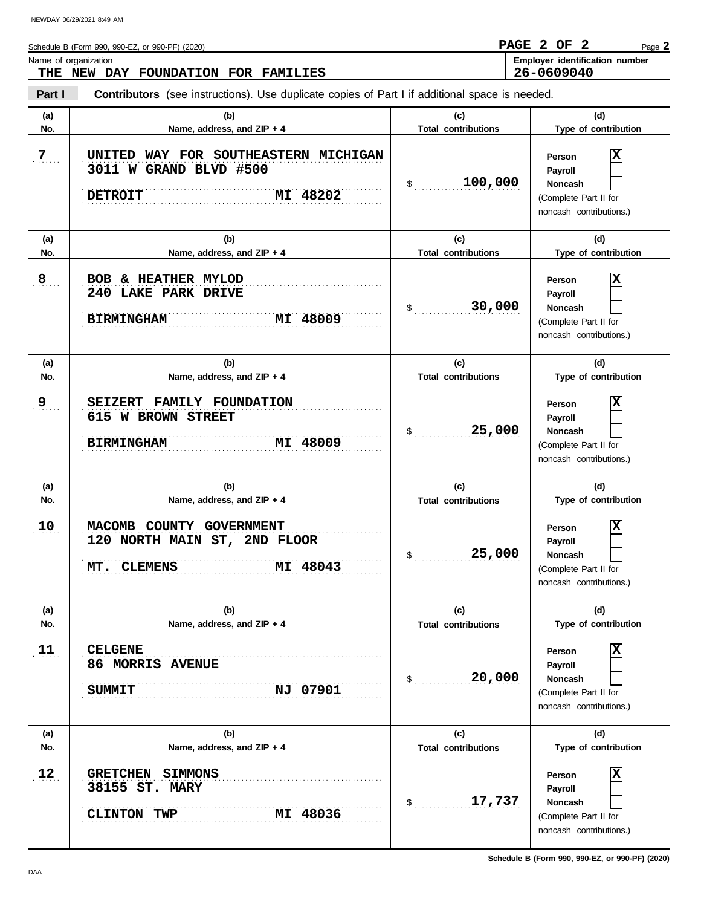| Schedule B (Form 990, 990-EZ, or 990-PF) (2020) | PAGE 2 OF 2 |  | Page 2                         |
|-------------------------------------------------|-------------|--|--------------------------------|
| Name of organization                            |             |  | Employer identification number |
| THE NEW DAY FOUNDATION FOR FAMILIES             | 26-0609040  |  |                                |

#### **THE NEW DAY FOUNDATION FOR FAMILIES**

**Part I Contributors** (see instructions). Use duplicate copies of Part I if additional space is needed.

| (a)        | (b)                                                                                               | (c)                               | (d)                                                                                          |
|------------|---------------------------------------------------------------------------------------------------|-----------------------------------|----------------------------------------------------------------------------------------------|
| No.        | Name, address, and ZIP + 4                                                                        | <b>Total contributions</b>        | Type of contribution                                                                         |
| 7          | UNITED WAY FOR SOUTHEASTERN MICHIGAN<br>3011 W GRAND BLVD #500<br>MI 48202<br><b>DETROIT</b>      | 100,000<br>$\mathfrak{S}$         | X<br>Person<br>Payroll<br><b>Noncash</b><br>(Complete Part II for<br>noncash contributions.) |
| (a)        | (b)                                                                                               | (c)                               | (d)                                                                                          |
| No.        | Name, address, and ZIP + 4                                                                        | <b>Total contributions</b>        | Type of contribution                                                                         |
| 8          | <b>BOB</b><br>& HEATHER MYLOD<br>240 LAKE PARK DRIVE<br><b>BIRMINGHAM</b><br>MI 48009             | 30,000<br>$\mathfrak s$           | х<br>Person<br>Payroll<br><b>Noncash</b><br>(Complete Part II for<br>noncash contributions.) |
| (a)        | (b)                                                                                               | (c)                               | (d)                                                                                          |
| No.        | Name, address, and ZIP + 4                                                                        | <b>Total contributions</b>        | Type of contribution                                                                         |
| 9          | <b>FAMILY FOUNDATION</b><br><b>SEIZERT</b><br>615 W BROWN STREET<br><b>BIRMINGHAM</b><br>MI 48009 | 25,000<br>\$                      | х<br>Person<br>Payroll<br><b>Noncash</b><br>(Complete Part II for<br>noncash contributions.) |
|            |                                                                                                   |                                   |                                                                                              |
| (a)        | (b)                                                                                               | (c)                               | (d)                                                                                          |
| No.        | Name, address, and ZIP + 4                                                                        | <b>Total contributions</b>        | Type of contribution                                                                         |
| 10         | MACOMB<br>COUNTY GOVERNMENT<br>120 NORTH MAIN ST, 2ND FLOOR<br>MI 48043<br>MT. CLEMENS            | 25,000<br>\$                      | х<br>Person<br>Payroll<br><b>Noncash</b><br>(Complete Part II for<br>noncash contributions.) |
| (a)        | (b)                                                                                               | (c)                               | (d)                                                                                          |
| No.        | Name, address, and ZIP + 4                                                                        | <b>Total contributions</b>        | Type of contribution                                                                         |
| 11         | <b>CELGENE</b><br>86 MORRIS AVENUE<br>NJ 07901<br><b>SUMMIT</b>                                   | 20,000<br>$\frac{1}{2}$           | Χ<br>Person<br>Payroll<br><b>Noncash</b><br>(Complete Part II for<br>noncash contributions.) |
|            |                                                                                                   |                                   |                                                                                              |
| (a)<br>No. | (b)<br>Name, address, and ZIP + 4                                                                 | (c)<br><b>Total contributions</b> | (d)<br>Type of contribution                                                                  |

**Schedule B (Form 990, 990-EZ, or 990-PF) (2020)**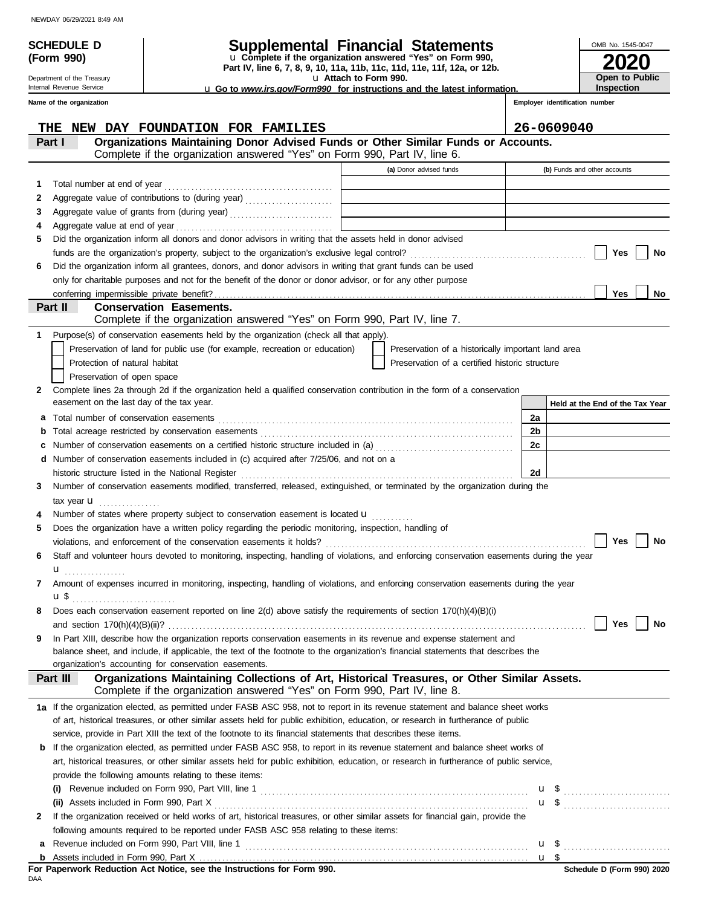**(Form 990)**

Department of the Treasury Internal Revenue Service

## **SCHEDULE D Supplemental Financial Statements**

**Part IV, line 6, 7, 8, 9, 10, 11a, 11b, 11c, 11d, 11e, 11f, 12a, or 12b.** u **Complete if the organization answered "Yes" on Form 990,**

u **Attach to Form 990.** 

u **Go to** *www.irs.gov/Form990* **for instructions and the latest information.**

**2020 Open to Public Inspection**

OMB No. 1545-0047

**Employer identification number**

|              | Name of the organization                                                                                                                                                                   |                                                    | Employer identification number  |
|--------------|--------------------------------------------------------------------------------------------------------------------------------------------------------------------------------------------|----------------------------------------------------|---------------------------------|
|              | <b>NEW DAY FOUNDATION FOR FAMILIES</b><br>THE                                                                                                                                              |                                                    | 26-0609040                      |
|              | Organizations Maintaining Donor Advised Funds or Other Similar Funds or Accounts.<br>Part I<br>Complete if the organization answered "Yes" on Form 990, Part IV, line 6.                   |                                                    |                                 |
|              |                                                                                                                                                                                            | (a) Donor advised funds                            | (b) Funds and other accounts    |
| 1.           |                                                                                                                                                                                            |                                                    |                                 |
| 2            | Aggregate value of contributions to (during year)                                                                                                                                          |                                                    |                                 |
| З            |                                                                                                                                                                                            |                                                    |                                 |
| 4            |                                                                                                                                                                                            |                                                    |                                 |
| 5            | Did the organization inform all donors and donor advisors in writing that the assets held in donor advised                                                                                 |                                                    |                                 |
|              |                                                                                                                                                                                            |                                                    | Yes<br>No                       |
| 6            | Did the organization inform all grantees, donors, and donor advisors in writing that grant funds can be used                                                                               |                                                    |                                 |
|              | only for charitable purposes and not for the benefit of the donor or donor advisor, or for any other purpose                                                                               |                                                    |                                 |
|              |                                                                                                                                                                                            |                                                    | Yes<br>No                       |
|              | Part II<br><b>Conservation Easements.</b>                                                                                                                                                  |                                                    |                                 |
|              | Complete if the organization answered "Yes" on Form 990, Part IV, line 7.                                                                                                                  |                                                    |                                 |
| 1            | Purpose(s) of conservation easements held by the organization (check all that apply).                                                                                                      |                                                    |                                 |
|              | Preservation of land for public use (for example, recreation or education)                                                                                                                 | Preservation of a historically important land area |                                 |
|              | Protection of natural habitat                                                                                                                                                              | Preservation of a certified historic structure     |                                 |
|              | Preservation of open space                                                                                                                                                                 |                                                    |                                 |
| 2            | Complete lines 2a through 2d if the organization held a qualified conservation contribution in the form of a conservation                                                                  |                                                    |                                 |
|              | easement on the last day of the tax year.                                                                                                                                                  |                                                    | Held at the End of the Tax Year |
| а            | Total number of conservation easements                                                                                                                                                     |                                                    | 2a                              |
| b            |                                                                                                                                                                                            |                                                    | 2b                              |
| c            | Number of conservation easements on a certified historic structure included in (a) [[[[[[[[[[[[[[[[[[[[[[[[[[]]]]]]]                                                                       |                                                    | 2c                              |
| d            | Number of conservation easements included in (c) acquired after 7/25/06, and not on a                                                                                                      |                                                    |                                 |
|              | historic structure listed in the National Register                                                                                                                                         |                                                    | 2d                              |
| 3            | Number of conservation easements modified, transferred, released, extinguished, or terminated by the organization during the                                                               |                                                    |                                 |
|              | tax year $\mathbf u$                                                                                                                                                                       |                                                    |                                 |
|              | Number of states where property subject to conservation easement is located <b>u</b>                                                                                                       |                                                    |                                 |
| 5            | Does the organization have a written policy regarding the periodic monitoring, inspection, handling of                                                                                     |                                                    |                                 |
|              |                                                                                                                                                                                            |                                                    | Yes<br>No                       |
| 6            | Staff and volunteer hours devoted to monitoring, inspecting, handling of violations, and enforcing conservation easements during the year                                                  |                                                    |                                 |
|              | u                                                                                                                                                                                          |                                                    |                                 |
| 7            | Amount of expenses incurred in monitoring, inspecting, handling of violations, and enforcing conservation easements during the year                                                        |                                                    |                                 |
|              |                                                                                                                                                                                            |                                                    |                                 |
|              | Does each conservation easement reported on line 2(d) above satisfy the requirements of section 170(h)(4)(B)(i)                                                                            |                                                    |                                 |
|              |                                                                                                                                                                                            |                                                    | Yes<br>No                       |
| 9            | In Part XIII, describe how the organization reports conservation easements in its revenue and expense statement and                                                                        |                                                    |                                 |
|              | balance sheet, and include, if applicable, the text of the footnote to the organization's financial statements that describes the<br>organization's accounting for conservation easements. |                                                    |                                 |
|              | Organizations Maintaining Collections of Art, Historical Treasures, or Other Similar Assets.<br>Part III                                                                                   |                                                    |                                 |
|              | Complete if the organization answered "Yes" on Form 990, Part IV, line 8.                                                                                                                  |                                                    |                                 |
|              | 1a If the organization elected, as permitted under FASB ASC 958, not to report in its revenue statement and balance sheet works                                                            |                                                    |                                 |
|              | of art, historical treasures, or other similar assets held for public exhibition, education, or research in furtherance of public                                                          |                                                    |                                 |
|              | service, provide in Part XIII the text of the footnote to its financial statements that describes these items.                                                                             |                                                    |                                 |
| b            | If the organization elected, as permitted under FASB ASC 958, to report in its revenue statement and balance sheet works of                                                                |                                                    |                                 |
|              | art, historical treasures, or other similar assets held for public exhibition, education, or research in furtherance of public service,                                                    |                                                    |                                 |
|              | provide the following amounts relating to these items:                                                                                                                                     |                                                    |                                 |
|              | (i)                                                                                                                                                                                        |                                                    | u \$                            |
|              |                                                                                                                                                                                            |                                                    | $\mathbf{u}$ \$                 |
| $\mathbf{2}$ | If the organization received or held works of art, historical treasures, or other similar assets for financial gain, provide the                                                           |                                                    |                                 |
|              | following amounts required to be reported under FASB ASC 958 relating to these items:                                                                                                      |                                                    |                                 |
|              |                                                                                                                                                                                            |                                                    | $\mathbf{u}$ \$                 |
|              |                                                                                                                                                                                            |                                                    |                                 |

Assets included in Form 990, Part X . . . . . . . . . . . . . . . . . . . . . . . . . . . . . . . . . . . . . . . . . . . . . . . . . . . . . . . . . . . . . . . . . . . . . . . . . . . . . . . . . . . . . . **b**

<u>u \$</u>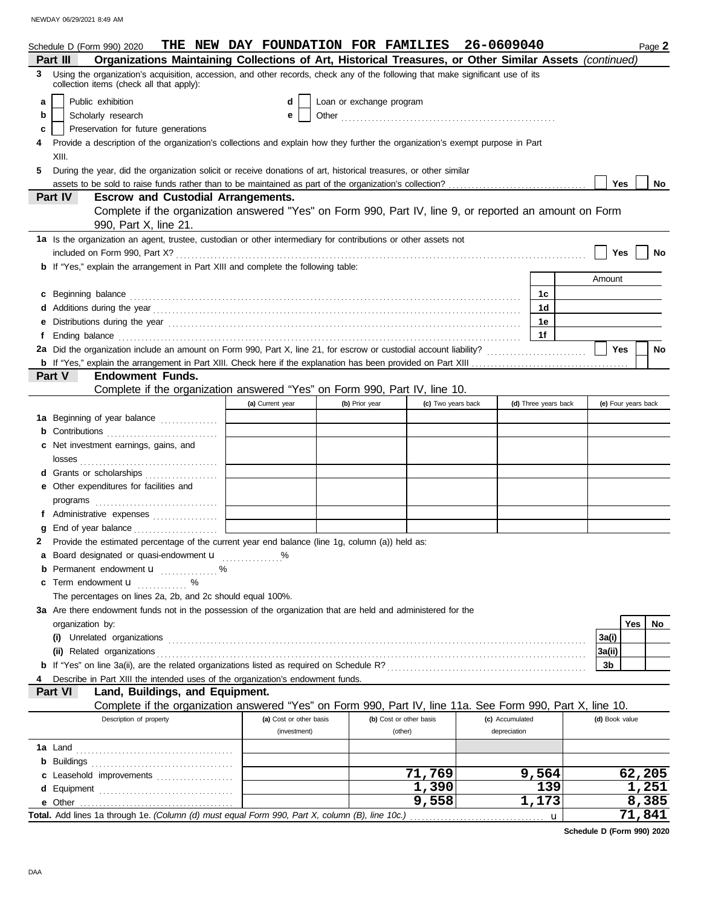NEWDAY 06/29/2021 8:49 AM

|   | Schedule D (Form 990) 2020                                                                                                                                                                                                          | THE NEW DAY FOUNDATION FOR FAMILIES 26-0609040 |                          |                         |                    |                 |                      |   |                     |     | Page 2    |
|---|-------------------------------------------------------------------------------------------------------------------------------------------------------------------------------------------------------------------------------------|------------------------------------------------|--------------------------|-------------------------|--------------------|-----------------|----------------------|---|---------------------|-----|-----------|
|   | Organizations Maintaining Collections of Art, Historical Treasures, or Other Similar Assets (continued)<br>Part III                                                                                                                 |                                                |                          |                         |                    |                 |                      |   |                     |     |           |
| 3 | Using the organization's acquisition, accession, and other records, check any of the following that make significant use of its<br>collection items (check all that apply):                                                         |                                                |                          |                         |                    |                 |                      |   |                     |     |           |
| a | Public exhibition                                                                                                                                                                                                                   | d                                              | Loan or exchange program |                         |                    |                 |                      |   |                     |     |           |
| b | Scholarly research                                                                                                                                                                                                                  | е                                              |                          |                         |                    |                 |                      |   |                     |     |           |
| c | Preservation for future generations                                                                                                                                                                                                 |                                                |                          |                         |                    |                 |                      |   |                     |     |           |
|   | Provide a description of the organization's collections and explain how they further the organization's exempt purpose in Part                                                                                                      |                                                |                          |                         |                    |                 |                      |   |                     |     |           |
|   | XIII.                                                                                                                                                                                                                               |                                                |                          |                         |                    |                 |                      |   |                     |     |           |
| 5 | During the year, did the organization solicit or receive donations of art, historical treasures, or other similar                                                                                                                   |                                                |                          |                         |                    |                 |                      |   |                     |     |           |
|   |                                                                                                                                                                                                                                     |                                                |                          |                         |                    |                 |                      |   | Yes                 |     | No        |
|   | <b>Escrow and Custodial Arrangements.</b><br>Part IV                                                                                                                                                                                |                                                |                          |                         |                    |                 |                      |   |                     |     |           |
|   | Complete if the organization answered "Yes" on Form 990, Part IV, line 9, or reported an amount on Form                                                                                                                             |                                                |                          |                         |                    |                 |                      |   |                     |     |           |
|   | 990, Part X, line 21.                                                                                                                                                                                                               |                                                |                          |                         |                    |                 |                      |   |                     |     |           |
|   | 1a Is the organization an agent, trustee, custodian or other intermediary for contributions or other assets not                                                                                                                     |                                                |                          |                         |                    |                 |                      |   |                     |     |           |
|   |                                                                                                                                                                                                                                     |                                                |                          |                         |                    |                 |                      |   | Yes                 |     | No        |
|   | <b>b</b> If "Yes," explain the arrangement in Part XIII and complete the following table:                                                                                                                                           |                                                |                          |                         |                    |                 |                      |   |                     |     |           |
|   |                                                                                                                                                                                                                                     |                                                |                          |                         |                    |                 |                      |   | Amount              |     |           |
| c |                                                                                                                                                                                                                                     |                                                |                          |                         |                    |                 | 1c                   |   |                     |     |           |
|   |                                                                                                                                                                                                                                     |                                                |                          |                         |                    |                 | 1 <sub>d</sub>       |   |                     |     |           |
|   |                                                                                                                                                                                                                                     |                                                |                          |                         |                    |                 | 1e                   |   |                     |     |           |
|   | Ending balance <b>constructs</b> and constructs and constructs and constructs are the constructed and constructs are constructed and constructs are constructed and construct and construct and construct and construct and constru |                                                |                          |                         |                    |                 | 1f                   |   |                     |     |           |
|   |                                                                                                                                                                                                                                     |                                                |                          |                         |                    |                 |                      |   | Yes                 |     | <b>No</b> |
|   |                                                                                                                                                                                                                                     |                                                |                          |                         |                    |                 |                      |   |                     |     |           |
|   | Part V<br><b>Endowment Funds.</b>                                                                                                                                                                                                   |                                                |                          |                         |                    |                 |                      |   |                     |     |           |
|   | Complete if the organization answered "Yes" on Form 990, Part IV, line 10.                                                                                                                                                          |                                                |                          |                         |                    |                 |                      |   |                     |     |           |
|   |                                                                                                                                                                                                                                     | (a) Current year                               | (b) Prior year           |                         | (c) Two years back |                 | (d) Three years back |   | (e) Four years back |     |           |
|   | 1a Beginning of year balance                                                                                                                                                                                                        |                                                |                          |                         |                    |                 |                      |   |                     |     |           |
|   | Contributions                                                                                                                                                                                                                       |                                                |                          |                         |                    |                 |                      |   |                     |     |           |
|   | c Net investment earnings, gains, and                                                                                                                                                                                               |                                                |                          |                         |                    |                 |                      |   |                     |     |           |
|   |                                                                                                                                                                                                                                     |                                                |                          |                         |                    |                 |                      |   |                     |     |           |
|   | d Grants or scholarships<br>e Other expenditures for facilities and                                                                                                                                                                 |                                                |                          |                         |                    |                 |                      |   |                     |     |           |
|   |                                                                                                                                                                                                                                     |                                                |                          |                         |                    |                 |                      |   |                     |     |           |
|   | Administrative expenses                                                                                                                                                                                                             |                                                |                          |                         |                    |                 |                      |   |                     |     |           |
|   | End of year balance                                                                                                                                                                                                                 |                                                |                          |                         |                    |                 |                      |   |                     |     |           |
|   | Provide the estimated percentage of the current year end balance (line 1g, column (a)) held as:                                                                                                                                     |                                                |                          |                         |                    |                 |                      |   |                     |     |           |
|   | a Board designated or quasi-endowment u                                                                                                                                                                                             |                                                |                          |                         |                    |                 |                      |   |                     |     |           |
|   | <b>b</b> Permanent endowment <b>u</b> %                                                                                                                                                                                             |                                                |                          |                         |                    |                 |                      |   |                     |     |           |
| c | Term endowment <b>u</b> %                                                                                                                                                                                                           |                                                |                          |                         |                    |                 |                      |   |                     |     |           |
|   | The percentages on lines 2a, 2b, and 2c should equal 100%.                                                                                                                                                                          |                                                |                          |                         |                    |                 |                      |   |                     |     |           |
|   | 3a Are there endowment funds not in the possession of the organization that are held and administered for the                                                                                                                       |                                                |                          |                         |                    |                 |                      |   |                     |     |           |
|   | organization by:                                                                                                                                                                                                                    |                                                |                          |                         |                    |                 |                      |   |                     | Yes | No        |
|   |                                                                                                                                                                                                                                     |                                                |                          |                         |                    |                 |                      |   | 3a(i)               |     |           |
|   | (ii) Related organizations <b>contracts</b> and a contract of the contract of the contract of the contract of the contract of the contract of the contract of the contract of the contract of the contract of the contract of the c |                                                |                          |                         |                    |                 |                      |   | 3a(ii)              |     |           |
|   |                                                                                                                                                                                                                                     |                                                |                          |                         |                    |                 |                      |   | 3b                  |     |           |
|   | Describe in Part XIII the intended uses of the organization's endowment funds.                                                                                                                                                      |                                                |                          |                         |                    |                 |                      |   |                     |     |           |
|   | Land, Buildings, and Equipment.<br><b>Part VI</b>                                                                                                                                                                                   |                                                |                          |                         |                    |                 |                      |   |                     |     |           |
|   | Complete if the organization answered "Yes" on Form 990, Part IV, line 11a. See Form 990, Part X, line 10.                                                                                                                          |                                                |                          |                         |                    |                 |                      |   |                     |     |           |
|   | Description of property                                                                                                                                                                                                             | (a) Cost or other basis                        |                          | (b) Cost or other basis |                    | (c) Accumulated |                      |   | (d) Book value      |     |           |
|   |                                                                                                                                                                                                                                     | (investment)                                   |                          | (other)                 |                    | depreciation    |                      |   |                     |     |           |
|   |                                                                                                                                                                                                                                     |                                                |                          |                         |                    |                 |                      |   |                     |     |           |
|   |                                                                                                                                                                                                                                     |                                                |                          |                         |                    |                 |                      |   |                     |     |           |
|   | c Leasehold improvements                                                                                                                                                                                                            |                                                |                          |                         | 71,769             |                 | 9,564                |   |                     |     | 62,205    |
|   |                                                                                                                                                                                                                                     |                                                |                          |                         | 1,390              |                 | 139                  |   |                     |     | 1,251     |
|   | e Other                                                                                                                                                                                                                             |                                                |                          |                         | 9,558              |                 | 1,173                |   |                     |     | 8,385     |
|   | Total. Add lines 1a through 1e. (Column (d) must equal Form 990, Part X, column (B), line 10c.)                                                                                                                                     |                                                |                          |                         |                    |                 |                      | u |                     |     | 71,841    |

**Schedule D (Form 990) 2020**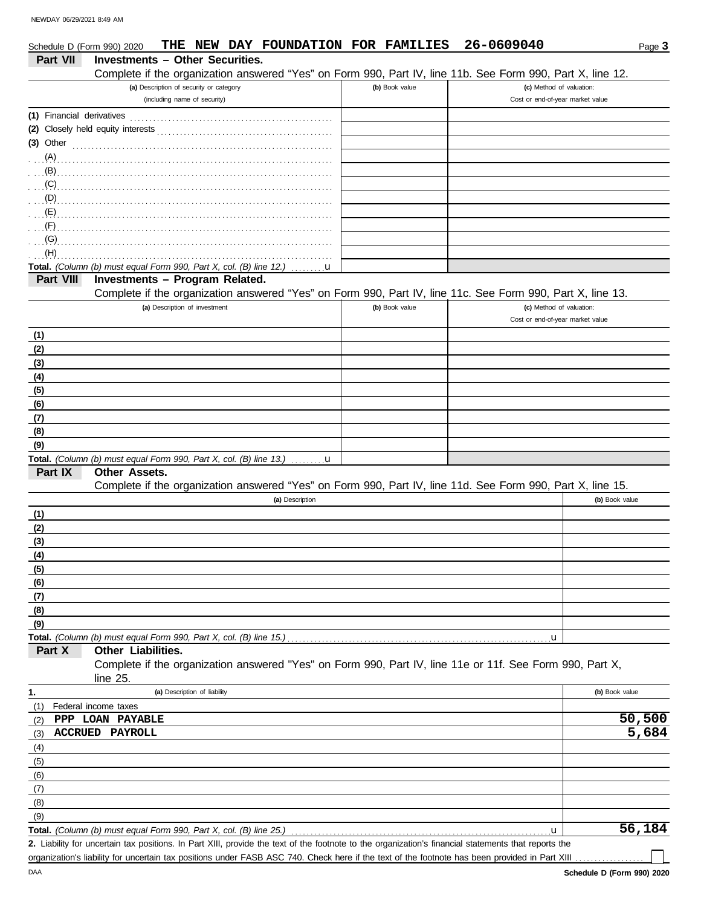| Schedule D (Form 990) 2020 | NEW DAY FOUNDATION FOR FAMILIES<br>THE                                                                     |                | 26-0609040                                                   | Page 3         |
|----------------------------|------------------------------------------------------------------------------------------------------------|----------------|--------------------------------------------------------------|----------------|
| <b>Part VII</b>            | Investments - Other Securities.                                                                            |                |                                                              |                |
|                            | Complete if the organization answered "Yes" on Form 990, Part IV, line 11b. See Form 990, Part X, line 12. |                |                                                              |                |
|                            | (a) Description of security or category<br>(including name of security)                                    | (b) Book value | (c) Method of valuation:<br>Cost or end-of-year market value |                |
| (1) Financial derivatives  |                                                                                                            |                |                                                              |                |
|                            |                                                                                                            |                |                                                              |                |
| $(3)$ Other                |                                                                                                            |                |                                                              |                |
| (A)                        |                                                                                                            |                |                                                              |                |
| (B)                        |                                                                                                            |                |                                                              |                |
| (C)                        |                                                                                                            |                |                                                              |                |
| (D)                        |                                                                                                            |                |                                                              |                |
| $\mathcal{L}(\mathsf{E})$  |                                                                                                            |                |                                                              |                |
| (F)                        |                                                                                                            |                |                                                              |                |
| (G)                        |                                                                                                            |                |                                                              |                |
| (H)                        |                                                                                                            |                |                                                              |                |
|                            | Total. (Column (b) must equal Form 990, Part X, col. (B) line 12.)<br>u                                    |                |                                                              |                |
| Part VIII                  | Investments - Program Related.                                                                             |                |                                                              |                |
|                            | Complete if the organization answered "Yes" on Form 990, Part IV, line 11c. See Form 990, Part X, line 13. |                |                                                              |                |
|                            | (a) Description of investment                                                                              | (b) Book value | (c) Method of valuation:<br>Cost or end-of-year market value |                |
|                            |                                                                                                            |                |                                                              |                |
| (1)<br>(2)                 |                                                                                                            |                |                                                              |                |
| (3)                        |                                                                                                            |                |                                                              |                |
| (4)                        |                                                                                                            |                |                                                              |                |
| (5)                        |                                                                                                            |                |                                                              |                |
| (6)                        |                                                                                                            |                |                                                              |                |
| (7)                        |                                                                                                            |                |                                                              |                |
| (8)                        |                                                                                                            |                |                                                              |                |
| (9)                        |                                                                                                            |                |                                                              |                |
|                            | Total. (Column (b) must equal Form 990, Part X, col. (B) line 13.)<br>$\mathbf{u}$                         |                |                                                              |                |
| Part IX                    | Other Assets.                                                                                              |                |                                                              |                |
|                            | Complete if the organization answered "Yes" on Form 990, Part IV, line 11d. See Form 990, Part X, line 15. |                |                                                              |                |
|                            | (a) Description                                                                                            |                |                                                              | (b) Book value |
| (1)                        |                                                                                                            |                |                                                              |                |
| (2)                        |                                                                                                            |                |                                                              |                |
| (3)                        |                                                                                                            |                |                                                              |                |
| <u>(4)</u>                 |                                                                                                            |                |                                                              |                |
| (5)                        |                                                                                                            |                |                                                              |                |
| (6)                        |                                                                                                            |                |                                                              |                |
| (7)                        |                                                                                                            |                |                                                              |                |
| (8)                        |                                                                                                            |                |                                                              |                |
| (9)                        | Total. (Column (b) must equal Form 990, Part X, col. (B) line 15.)                                         |                | u                                                            |                |
| Part X                     | Other Liabilities.                                                                                         |                |                                                              |                |
|                            | Complete if the organization answered "Yes" on Form 990, Part IV, line 11e or 11f. See Form 990, Part X,   |                |                                                              |                |
|                            | line 25.                                                                                                   |                |                                                              |                |
| 1.                         | (a) Description of liability                                                                               |                |                                                              | (b) Book value |
| (1)                        | Federal income taxes                                                                                       |                |                                                              |                |
| (2)                        | PPP LOAN PAYABLE                                                                                           |                |                                                              | 50,500         |
| (3)                        | <b>ACCRUED PAYROLL</b>                                                                                     |                |                                                              | 5,684          |
| (4)                        |                                                                                                            |                |                                                              |                |
| (5)                        |                                                                                                            |                |                                                              |                |
| (6)                        |                                                                                                            |                |                                                              |                |
| (7)                        |                                                                                                            |                |                                                              |                |
| (8)                        |                                                                                                            |                |                                                              |                |
| (9)                        |                                                                                                            |                |                                                              |                |
|                            | <b>Total.</b> (Column (b) must equal Form 990, Part X, col. (B) line 25.)                                  |                | u                                                            | 56,184         |

Liability for uncertain tax positions. In Part XIII, provide the text of the footnote to the organization's financial statements that reports the **2.** organization's liability for uncertain tax positions under FASB ASC 740. Check here if the text of the footnote has been provided in Part XIII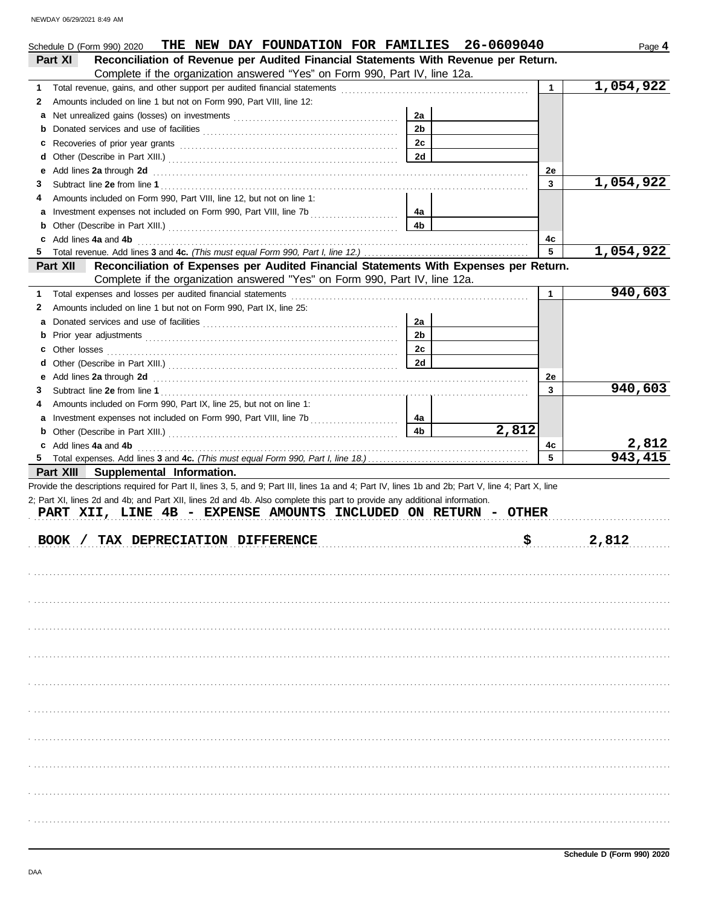|        | THE NEW DAY FOUNDATION FOR FAMILIES<br>Schedule D (Form 990) 2020                                                                                                                                                                                                                |                | 26-0609040 |              | Page 4    |
|--------|----------------------------------------------------------------------------------------------------------------------------------------------------------------------------------------------------------------------------------------------------------------------------------|----------------|------------|--------------|-----------|
|        | Reconciliation of Revenue per Audited Financial Statements With Revenue per Return.<br>Part XI                                                                                                                                                                                   |                |            |              |           |
|        | Complete if the organization answered "Yes" on Form 990, Part IV, line 12a.                                                                                                                                                                                                      |                |            |              |           |
| 1      |                                                                                                                                                                                                                                                                                  |                |            | $\mathbf{1}$ | 1,054,922 |
| 2      | Amounts included on line 1 but not on Form 990, Part VIII, line 12:                                                                                                                                                                                                              |                |            |              |           |
| a      |                                                                                                                                                                                                                                                                                  | 2a             |            |              |           |
|        |                                                                                                                                                                                                                                                                                  | 2 <sub>b</sub> |            |              |           |
| c      |                                                                                                                                                                                                                                                                                  | 2c             |            |              |           |
| d      |                                                                                                                                                                                                                                                                                  | 2d             |            |              |           |
| е      | Add lines 2a through 2d <b>contained a contained a contained a contained a contained a contained a contained a contained a contained a contained a contained a contained a contained a contained a contained a contained a conta</b>                                             |                |            | 2е<br>3      | 1,054,922 |
| 3<br>4 |                                                                                                                                                                                                                                                                                  |                |            |              |           |
|        | Amounts included on Form 990, Part VIII, line 12, but not on line 1:                                                                                                                                                                                                             |                |            |              |           |
| а      |                                                                                                                                                                                                                                                                                  | 4a<br>4b       |            |              |           |
| b      | c Add lines 4a and 4b                                                                                                                                                                                                                                                            |                |            | 4c           |           |
| 5      |                                                                                                                                                                                                                                                                                  |                |            | 5            | 1,054,922 |
|        | Reconciliation of Expenses per Audited Financial Statements With Expenses per Return.<br>Part XII                                                                                                                                                                                |                |            |              |           |
|        | Complete if the organization answered "Yes" on Form 990, Part IV, line 12a.                                                                                                                                                                                                      |                |            |              |           |
| 1      | Total expenses and losses per audited financial statements                                                                                                                                                                                                                       |                |            | 1            | 940,603   |
| 2      | Amounts included on line 1 but not on Form 990, Part IX, line 25:                                                                                                                                                                                                                |                |            |              |           |
| а      |                                                                                                                                                                                                                                                                                  | 2a             |            |              |           |
|        |                                                                                                                                                                                                                                                                                  | 2 <sub>b</sub> |            |              |           |
|        |                                                                                                                                                                                                                                                                                  | 2c             |            |              |           |
| d      |                                                                                                                                                                                                                                                                                  | 2d             |            |              |           |
| е      | Add lines 2a through 2d [11] Additional Property and Table 2a through the Additional Property and Table 2a through 2d                                                                                                                                                            |                |            | 2е           |           |
| 3      |                                                                                                                                                                                                                                                                                  |                |            | 3            | 940,603   |
| 4      | Amounts included on Form 990, Part IX, line 25, but not on line 1:                                                                                                                                                                                                               |                |            |              |           |
| а      |                                                                                                                                                                                                                                                                                  | 4a             |            |              |           |
|        |                                                                                                                                                                                                                                                                                  | 4b             | 2,812      |              |           |
|        | c Add lines 4a and 4b                                                                                                                                                                                                                                                            |                |            | 4c           | 2,812     |
| 5.     |                                                                                                                                                                                                                                                                                  |                |            | 5            | 943, 415  |
|        | Part XIII Supplemental Information.                                                                                                                                                                                                                                              |                |            |              |           |
|        | Provide the descriptions required for Part II, lines 3, 5, and 9; Part III, lines 1a and 4; Part IV, lines 1b and 2b; Part V, line 4; Part X, line<br>2; Part XI, lines 2d and 4b; and Part XII, lines 2d and 4b. Also complete this part to provide any additional information. |                |            |              |           |
|        | PART XII, LINE 4B - EXPENSE AMOUNTS INCLUDED ON RETURN - OTHER                                                                                                                                                                                                                   |                |            |              |           |
|        |                                                                                                                                                                                                                                                                                  |                |            |              |           |
|        | BOOK / TAX DEPRECIATION DIFFERENCE                                                                                                                                                                                                                                               |                | \$         |              | 2,812     |
|        |                                                                                                                                                                                                                                                                                  |                |            |              |           |
|        |                                                                                                                                                                                                                                                                                  |                |            |              |           |
|        |                                                                                                                                                                                                                                                                                  |                |            |              |           |
|        |                                                                                                                                                                                                                                                                                  |                |            |              |           |
|        |                                                                                                                                                                                                                                                                                  |                |            |              |           |
|        |                                                                                                                                                                                                                                                                                  |                |            |              |           |
|        |                                                                                                                                                                                                                                                                                  |                |            |              |           |
|        |                                                                                                                                                                                                                                                                                  |                |            |              |           |
|        |                                                                                                                                                                                                                                                                                  |                |            |              |           |
|        |                                                                                                                                                                                                                                                                                  |                |            |              |           |
|        |                                                                                                                                                                                                                                                                                  |                |            |              |           |
|        |                                                                                                                                                                                                                                                                                  |                |            |              |           |
|        |                                                                                                                                                                                                                                                                                  |                |            |              |           |
|        |                                                                                                                                                                                                                                                                                  |                |            |              |           |
|        |                                                                                                                                                                                                                                                                                  |                |            |              |           |
|        |                                                                                                                                                                                                                                                                                  |                |            |              |           |
|        |                                                                                                                                                                                                                                                                                  |                |            |              |           |
|        |                                                                                                                                                                                                                                                                                  |                |            |              |           |
|        |                                                                                                                                                                                                                                                                                  |                |            |              |           |
|        |                                                                                                                                                                                                                                                                                  |                |            |              |           |
|        |                                                                                                                                                                                                                                                                                  |                |            |              |           |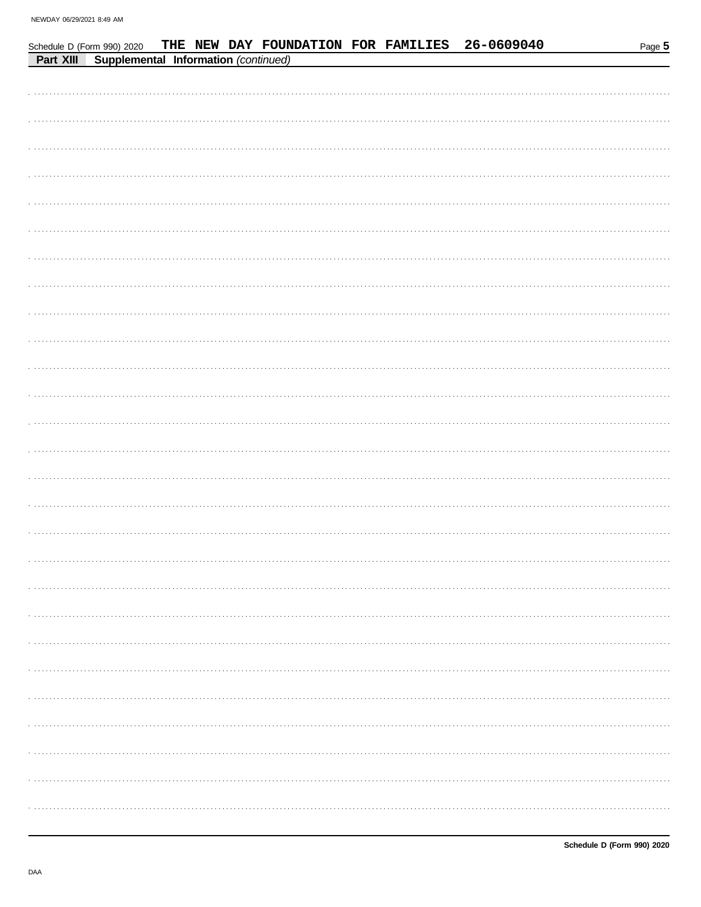| Schedule D (Form 990) 2020                     |  |  |  | THE NEW DAY FOUNDATION FOR FAMILIES 26-0609040 | Page 5 |
|------------------------------------------------|--|--|--|------------------------------------------------|--------|
| Part XIII Supplemental Information (continued) |  |  |  |                                                |        |
|                                                |  |  |  |                                                |        |
|                                                |  |  |  |                                                |        |
|                                                |  |  |  |                                                |        |
|                                                |  |  |  |                                                |        |
|                                                |  |  |  |                                                |        |
|                                                |  |  |  |                                                |        |
|                                                |  |  |  |                                                |        |
|                                                |  |  |  |                                                |        |
|                                                |  |  |  |                                                |        |
|                                                |  |  |  |                                                |        |
|                                                |  |  |  |                                                |        |
|                                                |  |  |  |                                                |        |
|                                                |  |  |  |                                                |        |
|                                                |  |  |  |                                                |        |
|                                                |  |  |  |                                                |        |
|                                                |  |  |  |                                                |        |
|                                                |  |  |  |                                                |        |
|                                                |  |  |  |                                                |        |
|                                                |  |  |  |                                                |        |
|                                                |  |  |  |                                                |        |
|                                                |  |  |  |                                                |        |
|                                                |  |  |  |                                                |        |
|                                                |  |  |  |                                                |        |
|                                                |  |  |  |                                                |        |
|                                                |  |  |  |                                                |        |
|                                                |  |  |  |                                                |        |
|                                                |  |  |  |                                                |        |
|                                                |  |  |  |                                                |        |
|                                                |  |  |  |                                                |        |
|                                                |  |  |  |                                                |        |
|                                                |  |  |  |                                                |        |
|                                                |  |  |  |                                                |        |
|                                                |  |  |  |                                                |        |
|                                                |  |  |  |                                                |        |
|                                                |  |  |  |                                                |        |
|                                                |  |  |  |                                                |        |
|                                                |  |  |  |                                                |        |
|                                                |  |  |  |                                                |        |
|                                                |  |  |  |                                                |        |
|                                                |  |  |  |                                                |        |
|                                                |  |  |  |                                                |        |
|                                                |  |  |  |                                                |        |
|                                                |  |  |  |                                                |        |
|                                                |  |  |  |                                                |        |
|                                                |  |  |  |                                                |        |

THE NEW DAY FOUNDATION FOR FAMILIES

26-0609040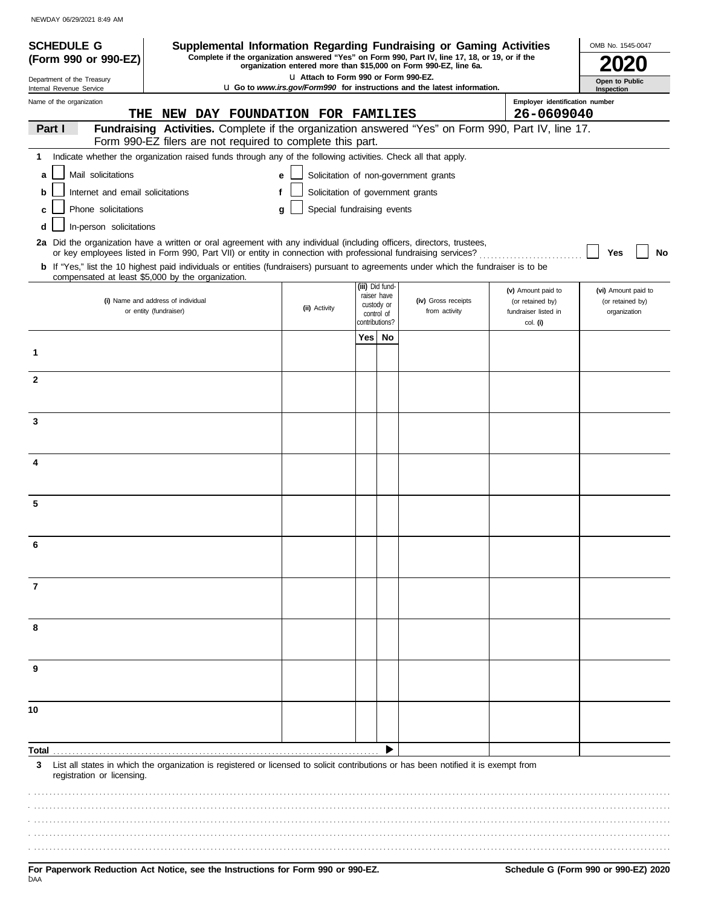NEWDAY 06/29/2021 8:49 AM

| <b>SCHEDULE G</b>                                           | Supplemental Information Regarding Fundraising or Gaming Activities                                                                                                                                                                      |                                        |                              |                           |                                                                                                                                                                     |                                                            | OMB No. 1545-0047                |  |  |
|-------------------------------------------------------------|------------------------------------------------------------------------------------------------------------------------------------------------------------------------------------------------------------------------------------------|----------------------------------------|------------------------------|---------------------------|---------------------------------------------------------------------------------------------------------------------------------------------------------------------|------------------------------------------------------------|----------------------------------|--|--|
| (Form 990 or 990-EZ)                                        |                                                                                                                                                                                                                                          |                                        |                              |                           | Complete if the organization answered "Yes" on Form 990, Part IV, line 17, 18, or 19, or if the<br>organization entered more than \$15,000 on Form 990-EZ, line 6a. |                                                            |                                  |  |  |
| Department of the Treasury                                  |                                                                                                                                                                                                                                          | LI Attach to Form 990 or Form 990-EZ.  |                              |                           |                                                                                                                                                                     |                                                            | Open to Public                   |  |  |
| Internal Revenue Service<br>Name of the organization<br>THE | NEW DAY FOUNDATION FOR FAMILIES                                                                                                                                                                                                          |                                        |                              |                           | <b>u</b> Go to <i>www.irs.gov/Form990</i> for instructions and the latest information.                                                                              | Inspection<br>Employer identification number<br>26-0609040 |                                  |  |  |
| Part I                                                      | Fundraising Activities. Complete if the organization answered "Yes" on Form 990, Part IV, line 17.                                                                                                                                       |                                        |                              |                           |                                                                                                                                                                     |                                                            |                                  |  |  |
|                                                             | Form 990-EZ filers are not required to complete this part.                                                                                                                                                                               |                                        |                              |                           |                                                                                                                                                                     |                                                            |                                  |  |  |
| 1.                                                          | Indicate whether the organization raised funds through any of the following activities. Check all that apply.                                                                                                                            |                                        |                              |                           |                                                                                                                                                                     |                                                            |                                  |  |  |
| Mail solicitations<br>a                                     |                                                                                                                                                                                                                                          | е                                      |                              |                           | Solicitation of non-government grants                                                                                                                               |                                                            |                                  |  |  |
| Internet and email solicitations<br>b                       |                                                                                                                                                                                                                                          | Solicitation of government grants<br>f |                              |                           |                                                                                                                                                                     |                                                            |                                  |  |  |
| Phone solicitations<br>c                                    |                                                                                                                                                                                                                                          | Special fundraising events<br>g        |                              |                           |                                                                                                                                                                     |                                                            |                                  |  |  |
| In-person solicitations                                     |                                                                                                                                                                                                                                          |                                        |                              |                           |                                                                                                                                                                     |                                                            |                                  |  |  |
|                                                             | 2a Did the organization have a written or oral agreement with any individual (including officers, directors, trustees,<br>or key employees listed in Form 990, Part VII) or entity in connection with professional fundraising services? |                                        |                              |                           |                                                                                                                                                                     |                                                            | No<br>Yes                        |  |  |
|                                                             | b If "Yes," list the 10 highest paid individuals or entities (fundraisers) pursuant to agreements under which the fundraiser is to be<br>compensated at least \$5,000 by the organization.                                               |                                        |                              |                           |                                                                                                                                                                     |                                                            |                                  |  |  |
|                                                             |                                                                                                                                                                                                                                          |                                        |                              | (iii) Did fund-           |                                                                                                                                                                     | (v) Amount paid to                                         | (vi) Amount paid to              |  |  |
|                                                             | (i) Name and address of individual<br>or entity (fundraiser)                                                                                                                                                                             | (ii) Activity                          |                              | raiser have<br>custody or | (iv) Gross receipts<br>from activity                                                                                                                                | (or retained by)<br>fundraiser listed in                   | (or retained by)<br>organization |  |  |
|                                                             |                                                                                                                                                                                                                                          |                                        | control of<br>contributions? |                           |                                                                                                                                                                     | col. (i)                                                   |                                  |  |  |
|                                                             |                                                                                                                                                                                                                                          |                                        |                              | Yes   No                  |                                                                                                                                                                     |                                                            |                                  |  |  |
| 1                                                           |                                                                                                                                                                                                                                          |                                        |                              |                           |                                                                                                                                                                     |                                                            |                                  |  |  |
| $\mathbf{2}$                                                |                                                                                                                                                                                                                                          |                                        |                              |                           |                                                                                                                                                                     |                                                            |                                  |  |  |
|                                                             |                                                                                                                                                                                                                                          |                                        |                              |                           |                                                                                                                                                                     |                                                            |                                  |  |  |
|                                                             |                                                                                                                                                                                                                                          |                                        |                              |                           |                                                                                                                                                                     |                                                            |                                  |  |  |
| 3                                                           |                                                                                                                                                                                                                                          |                                        |                              |                           |                                                                                                                                                                     |                                                            |                                  |  |  |
|                                                             |                                                                                                                                                                                                                                          |                                        |                              |                           |                                                                                                                                                                     |                                                            |                                  |  |  |
| 4                                                           |                                                                                                                                                                                                                                          |                                        |                              |                           |                                                                                                                                                                     |                                                            |                                  |  |  |
|                                                             |                                                                                                                                                                                                                                          |                                        |                              |                           |                                                                                                                                                                     |                                                            |                                  |  |  |
| 5                                                           |                                                                                                                                                                                                                                          |                                        |                              |                           |                                                                                                                                                                     |                                                            |                                  |  |  |
|                                                             |                                                                                                                                                                                                                                          |                                        |                              |                           |                                                                                                                                                                     |                                                            |                                  |  |  |
|                                                             |                                                                                                                                                                                                                                          |                                        |                              |                           |                                                                                                                                                                     |                                                            |                                  |  |  |
|                                                             |                                                                                                                                                                                                                                          |                                        |                              |                           |                                                                                                                                                                     |                                                            |                                  |  |  |
|                                                             |                                                                                                                                                                                                                                          |                                        |                              |                           |                                                                                                                                                                     |                                                            |                                  |  |  |
| 7                                                           |                                                                                                                                                                                                                                          |                                        |                              |                           |                                                                                                                                                                     |                                                            |                                  |  |  |
|                                                             |                                                                                                                                                                                                                                          |                                        |                              |                           |                                                                                                                                                                     |                                                            |                                  |  |  |
|                                                             |                                                                                                                                                                                                                                          |                                        |                              |                           |                                                                                                                                                                     |                                                            |                                  |  |  |
| 8                                                           |                                                                                                                                                                                                                                          |                                        |                              |                           |                                                                                                                                                                     |                                                            |                                  |  |  |
|                                                             |                                                                                                                                                                                                                                          |                                        |                              |                           |                                                                                                                                                                     |                                                            |                                  |  |  |
| 9                                                           |                                                                                                                                                                                                                                          |                                        |                              |                           |                                                                                                                                                                     |                                                            |                                  |  |  |
|                                                             |                                                                                                                                                                                                                                          |                                        |                              |                           |                                                                                                                                                                     |                                                            |                                  |  |  |
| 10                                                          |                                                                                                                                                                                                                                          |                                        |                              |                           |                                                                                                                                                                     |                                                            |                                  |  |  |
|                                                             |                                                                                                                                                                                                                                          |                                        |                              |                           |                                                                                                                                                                     |                                                            |                                  |  |  |
|                                                             |                                                                                                                                                                                                                                          |                                        |                              |                           |                                                                                                                                                                     |                                                            |                                  |  |  |
| Total.                                                      |                                                                                                                                                                                                                                          |                                        |                              |                           |                                                                                                                                                                     |                                                            |                                  |  |  |
| 3<br>registration or licensing.                             | List all states in which the organization is registered or licensed to solicit contributions or has been notified it is exempt from                                                                                                      |                                        |                              |                           |                                                                                                                                                                     |                                                            |                                  |  |  |
|                                                             |                                                                                                                                                                                                                                          |                                        |                              |                           |                                                                                                                                                                     |                                                            |                                  |  |  |
|                                                             |                                                                                                                                                                                                                                          |                                        |                              |                           |                                                                                                                                                                     |                                                            |                                  |  |  |
|                                                             |                                                                                                                                                                                                                                          |                                        |                              |                           |                                                                                                                                                                     |                                                            |                                  |  |  |
|                                                             |                                                                                                                                                                                                                                          |                                        |                              |                           |                                                                                                                                                                     |                                                            |                                  |  |  |
|                                                             |                                                                                                                                                                                                                                          |                                        |                              |                           |                                                                                                                                                                     |                                                            |                                  |  |  |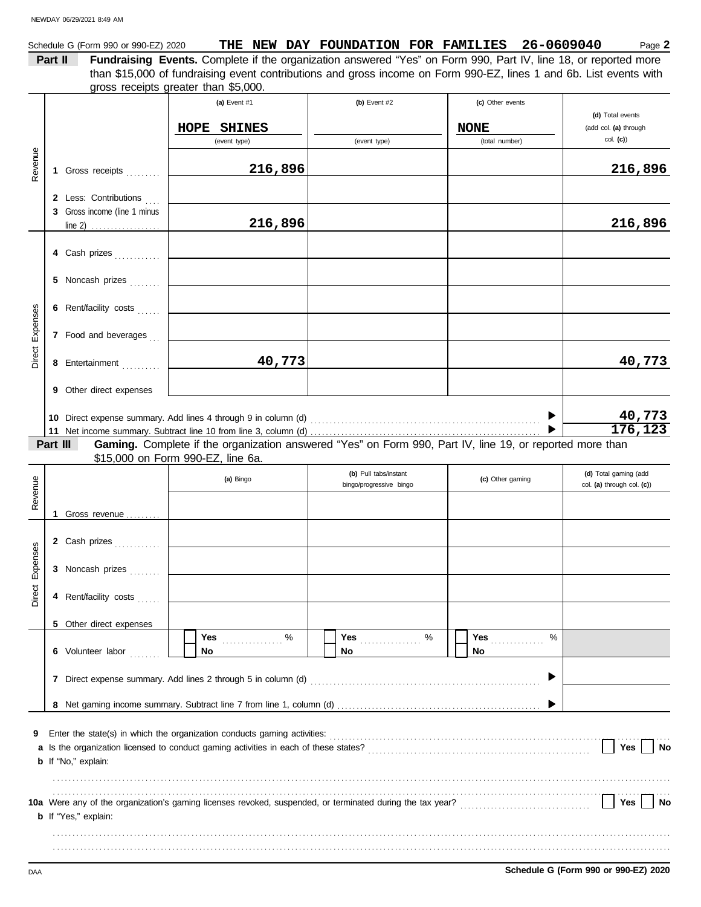|            | Schedule G (Form 990 or 990-EZ) 2020<br>Part II | Fundraising Events. Complete if the organization answered "Yes" on Form 990, Part IV, line 18, or reported more                                                                                                        |                                                  | THE NEW DAY FOUNDATION FOR FAMILIES 26-0609040 | Page 2                                              |
|------------|-------------------------------------------------|------------------------------------------------------------------------------------------------------------------------------------------------------------------------------------------------------------------------|--------------------------------------------------|------------------------------------------------|-----------------------------------------------------|
|            |                                                 | than \$15,000 of fundraising event contributions and gross income on Form 990-EZ, lines 1 and 6b. List events with                                                                                                     |                                                  |                                                |                                                     |
|            |                                                 | gross receipts greater than \$5,000.                                                                                                                                                                                   |                                                  |                                                |                                                     |
|            |                                                 | (a) Event #1                                                                                                                                                                                                           | (b) Event $#2$                                   | (c) Other events                               |                                                     |
|            |                                                 | HOPE SHINES                                                                                                                                                                                                            |                                                  | <b>NONE</b>                                    | (d) Total events<br>(add col. (a) through           |
|            |                                                 | (event type)                                                                                                                                                                                                           | (event type)                                     | (total number)                                 | col. (c)                                            |
|            |                                                 |                                                                                                                                                                                                                        |                                                  |                                                |                                                     |
| Revenue    | 1 Gross receipts                                | 216,896                                                                                                                                                                                                                |                                                  |                                                | 216,896                                             |
|            | 2 Less: Contributions                           |                                                                                                                                                                                                                        |                                                  |                                                |                                                     |
|            | 3 Gross income (line 1 minus                    |                                                                                                                                                                                                                        |                                                  |                                                |                                                     |
|            |                                                 | 216,896                                                                                                                                                                                                                |                                                  |                                                | 216,896                                             |
|            | 4 Cash prizes                                   |                                                                                                                                                                                                                        |                                                  |                                                |                                                     |
|            |                                                 |                                                                                                                                                                                                                        |                                                  |                                                |                                                     |
|            | 5 Noncash prizes                                |                                                                                                                                                                                                                        |                                                  |                                                |                                                     |
|            | 6 Rent/facility costs                           | <u> 1990 - Johann Barbara, martxa a</u>                                                                                                                                                                                |                                                  |                                                |                                                     |
| Expenses   |                                                 |                                                                                                                                                                                                                        |                                                  |                                                |                                                     |
|            | 7 Food and beverages                            |                                                                                                                                                                                                                        |                                                  |                                                |                                                     |
| Direct     | 8 Entertainment                                 | 40,773                                                                                                                                                                                                                 |                                                  |                                                | 40,773                                              |
|            | 9 Other direct expenses                         |                                                                                                                                                                                                                        |                                                  |                                                |                                                     |
|            |                                                 |                                                                                                                                                                                                                        |                                                  |                                                |                                                     |
|            |                                                 |                                                                                                                                                                                                                        |                                                  |                                                | 40,773<br>176, 123                                  |
|            | Part III                                        | Gaming. Complete if the organization answered "Yes" on Form 990, Part IV, line 19, or reported more than                                                                                                               |                                                  |                                                |                                                     |
|            |                                                 | \$15,000 on Form 990-EZ, line 6a.                                                                                                                                                                                      |                                                  |                                                |                                                     |
|            |                                                 | (a) Bingo                                                                                                                                                                                                              | (b) Pull tabs/instant<br>bingo/progressive bingo | (c) Other gaming                               | (d) Total gaming (add<br>col. (a) through col. (c)) |
| Revenue    |                                                 |                                                                                                                                                                                                                        |                                                  |                                                |                                                     |
|            | Gross revenue<br>1                              |                                                                                                                                                                                                                        |                                                  |                                                |                                                     |
|            |                                                 |                                                                                                                                                                                                                        |                                                  |                                                |                                                     |
| <b>ses</b> | 2 Cash prizes                                   |                                                                                                                                                                                                                        |                                                  |                                                |                                                     |
| Expens     | 3 Noncash prizes                                |                                                                                                                                                                                                                        |                                                  |                                                |                                                     |
| Direct     |                                                 |                                                                                                                                                                                                                        |                                                  |                                                |                                                     |
|            | 4 Rent/facility costs                           |                                                                                                                                                                                                                        |                                                  |                                                |                                                     |
|            | 5 Other direct expenses                         |                                                                                                                                                                                                                        |                                                  |                                                |                                                     |
|            |                                                 | Yes<br>%                                                                                                                                                                                                               | Yes <u></u><br>%                                 | %<br>Yes                                       |                                                     |
|            | 6 Volunteer labor                               | No.                                                                                                                                                                                                                    | <b>No</b>                                        | No                                             |                                                     |
|            |                                                 |                                                                                                                                                                                                                        |                                                  |                                                |                                                     |
|            |                                                 |                                                                                                                                                                                                                        |                                                  |                                                |                                                     |
|            |                                                 |                                                                                                                                                                                                                        |                                                  |                                                |                                                     |
| 9          |                                                 |                                                                                                                                                                                                                        |                                                  |                                                |                                                     |
|            |                                                 |                                                                                                                                                                                                                        |                                                  |                                                | $\vert$ Yes<br><b>No</b>                            |
|            | <b>b</b> If "No," explain:                      |                                                                                                                                                                                                                        |                                                  |                                                |                                                     |
|            |                                                 |                                                                                                                                                                                                                        |                                                  |                                                |                                                     |
|            |                                                 | 10a Were any of the organization's gaming licenses revoked, suspended, or terminated during the tax year?<br>10a Were any of the organization's gaming licenses revoked, suspended, or terminated during the tax year? |                                                  |                                                | Yes<br>No                                           |
|            | <b>b</b> If "Yes," explain:                     |                                                                                                                                                                                                                        |                                                  |                                                |                                                     |
|            |                                                 |                                                                                                                                                                                                                        |                                                  |                                                |                                                     |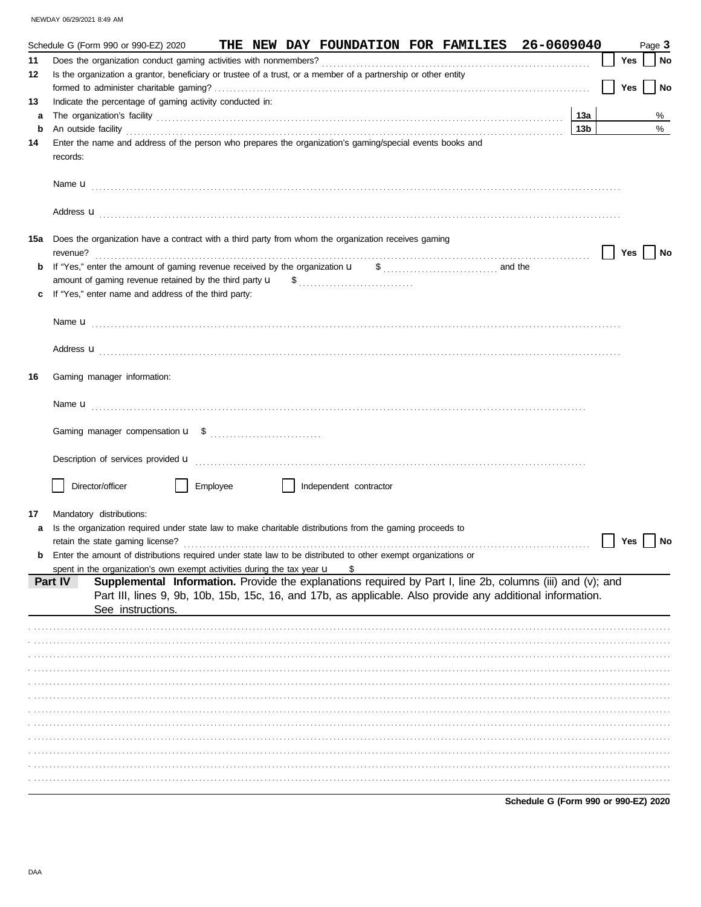NEWDAY 06/29/2021 8:49 AM

|    | THE NEW DAY FOUNDATION FOR FAMILIES 26-0609040<br>Schedule G (Form 990 or 990-EZ) 2020                                                                                                                                             |                 |            | Page 3 |    |
|----|------------------------------------------------------------------------------------------------------------------------------------------------------------------------------------------------------------------------------------|-----------------|------------|--------|----|
| 11 |                                                                                                                                                                                                                                    |                 | Yes        |        | No |
| 12 | Is the organization a grantor, beneficiary or trustee of a trust, or a member of a partnership or other entity                                                                                                                     |                 |            |        |    |
|    |                                                                                                                                                                                                                                    |                 | <b>Yes</b> |        | No |
| 13 | Indicate the percentage of gaming activity conducted in:                                                                                                                                                                           |                 |            |        |    |
| a  |                                                                                                                                                                                                                                    | 13а             |            |        | %  |
| b  | An outside facility <b>contained a control of the facility control of the control of the control of the control of the control of the control of the control of the control of the control of the control of the control of th</b> | 13 <sub>b</sub> |            |        | %  |
| 14 | Enter the name and address of the person who prepares the organization's gaming/special events books and<br>records:                                                                                                               |                 |            |        |    |
|    |                                                                                                                                                                                                                                    |                 |            |        |    |
|    | Address <b>u</b>                                                                                                                                                                                                                   |                 |            |        |    |
|    | 15a Does the organization have a contract with a third party from whom the organization receives gaming<br>revenue?                                                                                                                |                 | Yes        |        | No |
| b  |                                                                                                                                                                                                                                    |                 |            |        |    |
|    |                                                                                                                                                                                                                                    |                 |            |        |    |
|    | If "Yes," enter name and address of the third party:                                                                                                                                                                               |                 |            |        |    |
|    |                                                                                                                                                                                                                                    |                 |            |        |    |
|    |                                                                                                                                                                                                                                    |                 |            |        |    |
|    |                                                                                                                                                                                                                                    |                 |            |        |    |
|    | Address <b>u</b>                                                                                                                                                                                                                   |                 |            |        |    |
| 16 | Gaming manager information:                                                                                                                                                                                                        |                 |            |        |    |
|    | Name <b>u</b>                                                                                                                                                                                                                      |                 |            |        |    |
|    |                                                                                                                                                                                                                                    |                 |            |        |    |
|    | Description of services provided <b>u</b> electron contract the contract of the contract of services provided <b>u</b>                                                                                                             |                 |            |        |    |
|    | Director/officer<br>Employee<br>Independent contractor                                                                                                                                                                             |                 |            |        |    |
| 17 | Mandatory distributions:                                                                                                                                                                                                           |                 |            |        |    |
|    | Is the organization required under state law to make charitable distributions from the gaming proceeds to                                                                                                                          |                 |            |        |    |
|    | retain the state gaming license?                                                                                                                                                                                                   |                 | <b>Yes</b> |        | No |
|    | Enter the amount of distributions required under state law to be distributed to other exempt organizations or                                                                                                                      |                 |            |        |    |
|    | spent in the organization's own exempt activities during the tax year $\mathbf u$<br>\$                                                                                                                                            |                 |            |        |    |
|    | Supplemental Information. Provide the explanations required by Part I, line 2b, columns (iii) and (v); and<br>Part IV                                                                                                              |                 |            |        |    |
|    | Part III, lines 9, 9b, 10b, 15b, 15c, 16, and 17b, as applicable. Also provide any additional information.                                                                                                                         |                 |            |        |    |
|    | See instructions.                                                                                                                                                                                                                  |                 |            |        |    |
|    |                                                                                                                                                                                                                                    |                 |            |        |    |
|    |                                                                                                                                                                                                                                    |                 |            |        |    |
|    |                                                                                                                                                                                                                                    |                 |            |        |    |
|    |                                                                                                                                                                                                                                    |                 |            |        |    |
|    |                                                                                                                                                                                                                                    |                 |            |        |    |
|    |                                                                                                                                                                                                                                    |                 |            |        |    |
|    |                                                                                                                                                                                                                                    |                 |            |        |    |
|    |                                                                                                                                                                                                                                    |                 |            |        |    |
|    |                                                                                                                                                                                                                                    |                 |            |        |    |
|    |                                                                                                                                                                                                                                    |                 |            |        |    |
|    |                                                                                                                                                                                                                                    |                 |            |        |    |
|    |                                                                                                                                                                                                                                    |                 |            |        |    |

Schedule G (Form 990 or 990-EZ) 2020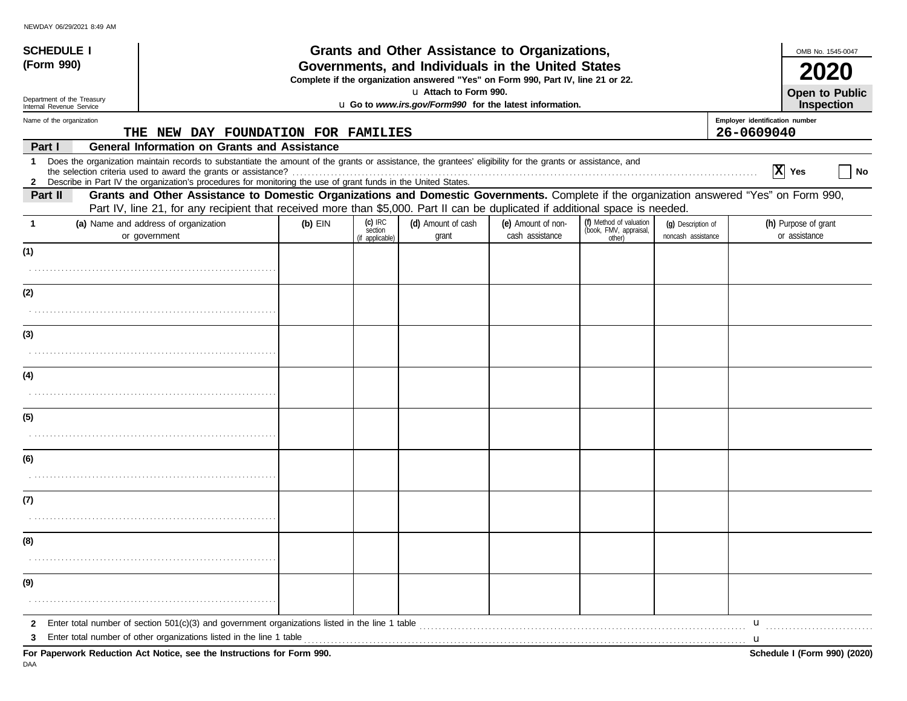| <b>SCHEDULE I</b>                                      |                                                                                                                                                                                                                                                                               |           |                                         | Grants and Other Assistance to Organizations,                                                                                         |                                       |                                                             |                                          |                                | OMB No. 1545-0047                     |  |
|--------------------------------------------------------|-------------------------------------------------------------------------------------------------------------------------------------------------------------------------------------------------------------------------------------------------------------------------------|-----------|-----------------------------------------|---------------------------------------------------------------------------------------------------------------------------------------|---------------------------------------|-------------------------------------------------------------|------------------------------------------|--------------------------------|---------------------------------------|--|
| (Form 990)                                             |                                                                                                                                                                                                                                                                               |           |                                         | Governments, and Individuals in the United States<br>Complete if the organization answered "Yes" on Form 990, Part IV, line 21 or 22. |                                       |                                                             |                                          |                                |                                       |  |
| Department of the Treasury<br>Internal Revenue Service |                                                                                                                                                                                                                                                                               |           |                                         | u Attach to Form 990.<br>u Go to www.irs.gov/Form990 for the latest information.                                                      |                                       |                                                             |                                          |                                | <b>Open to Public</b><br>Inspection   |  |
| Name of the organization                               |                                                                                                                                                                                                                                                                               |           |                                         |                                                                                                                                       |                                       |                                                             |                                          | Employer identification number |                                       |  |
|                                                        | THE NEW DAY FOUNDATION FOR FAMILIES                                                                                                                                                                                                                                           |           |                                         |                                                                                                                                       |                                       |                                                             |                                          | 26-0609040                     |                                       |  |
| Part I                                                 | <b>General Information on Grants and Assistance</b>                                                                                                                                                                                                                           |           |                                         |                                                                                                                                       |                                       |                                                             |                                          |                                |                                       |  |
| -1                                                     | Does the organization maintain records to substantiate the amount of the grants or assistance, the grantees' eligibility for the grants or assistance, and<br>2 Describe in Part IV the organization's procedures for monitoring the use of grant funds in the United States. |           |                                         |                                                                                                                                       |                                       |                                                             |                                          |                                | $ \mathbf{X} $ Yes<br>No              |  |
| Part II                                                | Grants and Other Assistance to Domestic Organizations and Domestic Governments. Complete if the organization answered "Yes" on Form 990,                                                                                                                                      |           |                                         |                                                                                                                                       |                                       |                                                             |                                          |                                |                                       |  |
|                                                        | Part IV, line 21, for any recipient that received more than \$5,000. Part II can be duplicated if additional space is needed.                                                                                                                                                 |           |                                         |                                                                                                                                       |                                       |                                                             |                                          |                                |                                       |  |
|                                                        | (a) Name and address of organization<br>or government                                                                                                                                                                                                                         | $(b)$ EIN | $(c)$ IRC<br>section<br>(if applicable) | (d) Amount of cash<br>grant                                                                                                           | (e) Amount of non-<br>cash assistance | (f) Method of valuation<br>(book, FMV, appraisal,<br>other) | (q) Description of<br>noncash assistance |                                | (h) Purpose of grant<br>or assistance |  |
| (1)                                                    |                                                                                                                                                                                                                                                                               |           |                                         |                                                                                                                                       |                                       |                                                             |                                          |                                |                                       |  |
|                                                        |                                                                                                                                                                                                                                                                               |           |                                         |                                                                                                                                       |                                       |                                                             |                                          |                                |                                       |  |
| (2)                                                    |                                                                                                                                                                                                                                                                               |           |                                         |                                                                                                                                       |                                       |                                                             |                                          |                                |                                       |  |
|                                                        |                                                                                                                                                                                                                                                                               |           |                                         |                                                                                                                                       |                                       |                                                             |                                          |                                |                                       |  |
| (3)                                                    |                                                                                                                                                                                                                                                                               |           |                                         |                                                                                                                                       |                                       |                                                             |                                          |                                |                                       |  |
|                                                        |                                                                                                                                                                                                                                                                               |           |                                         |                                                                                                                                       |                                       |                                                             |                                          |                                |                                       |  |
| (4)                                                    |                                                                                                                                                                                                                                                                               |           |                                         |                                                                                                                                       |                                       |                                                             |                                          |                                |                                       |  |
|                                                        |                                                                                                                                                                                                                                                                               |           |                                         |                                                                                                                                       |                                       |                                                             |                                          |                                |                                       |  |
| (5)                                                    |                                                                                                                                                                                                                                                                               |           |                                         |                                                                                                                                       |                                       |                                                             |                                          |                                |                                       |  |
|                                                        |                                                                                                                                                                                                                                                                               |           |                                         |                                                                                                                                       |                                       |                                                             |                                          |                                |                                       |  |
| (6)                                                    |                                                                                                                                                                                                                                                                               |           |                                         |                                                                                                                                       |                                       |                                                             |                                          |                                |                                       |  |
|                                                        |                                                                                                                                                                                                                                                                               |           |                                         |                                                                                                                                       |                                       |                                                             |                                          |                                |                                       |  |
| (7)                                                    |                                                                                                                                                                                                                                                                               |           |                                         |                                                                                                                                       |                                       |                                                             |                                          |                                |                                       |  |
|                                                        |                                                                                                                                                                                                                                                                               |           |                                         |                                                                                                                                       |                                       |                                                             |                                          |                                |                                       |  |
| (8)                                                    |                                                                                                                                                                                                                                                                               |           |                                         |                                                                                                                                       |                                       |                                                             |                                          |                                |                                       |  |
|                                                        |                                                                                                                                                                                                                                                                               |           |                                         |                                                                                                                                       |                                       |                                                             |                                          |                                |                                       |  |
| (9)                                                    |                                                                                                                                                                                                                                                                               |           |                                         |                                                                                                                                       |                                       |                                                             |                                          |                                |                                       |  |
|                                                        |                                                                                                                                                                                                                                                                               |           |                                         |                                                                                                                                       |                                       |                                                             |                                          |                                |                                       |  |
| 2                                                      | Enter total number of section $501(c)(3)$ and government organizations listed in the line 1 table                                                                                                                                                                             |           |                                         |                                                                                                                                       |                                       |                                                             |                                          | u                              |                                       |  |
| 3                                                      | Enter total number of other organizations listed in the line 1 table                                                                                                                                                                                                          |           |                                         |                                                                                                                                       |                                       |                                                             |                                          | $\mathbf u$                    |                                       |  |
|                                                        | For Paperwork Reduction Act Notice, see the Instructions for Form 990.                                                                                                                                                                                                        |           |                                         |                                                                                                                                       |                                       |                                                             |                                          |                                | Schedule I (Form 990) (2020)          |  |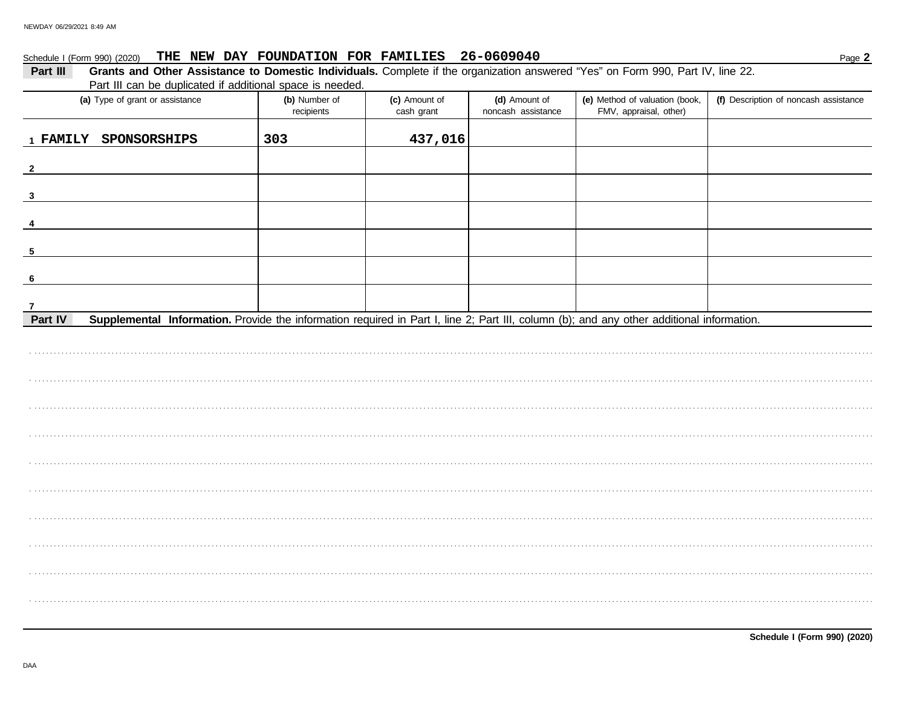#### Schedule I (Form 990) (2020) THE NEW DAY FOUNDATION FOR FAMILIES 26-0609040

| Schedule I (Form 990) (2020)                                                                                                                         | THE NEW DAY FOUNDATION FOR FAMILIES 26-0609040 |                             |                                     |                                                          | Page 2                                |
|------------------------------------------------------------------------------------------------------------------------------------------------------|------------------------------------------------|-----------------------------|-------------------------------------|----------------------------------------------------------|---------------------------------------|
| Grants and Other Assistance to Domestic Individuals. Complete if the organization answered "Yes" on Form 990, Part IV, line 22.<br>Part III          |                                                |                             |                                     |                                                          |                                       |
| Part III can be duplicated if additional space is needed.                                                                                            |                                                |                             |                                     |                                                          |                                       |
| (a) Type of grant or assistance                                                                                                                      | (b) Number of<br>recipients                    | (c) Amount of<br>cash grant | (d) Amount of<br>noncash assistance | (e) Method of valuation (book,<br>FMV, appraisal, other) | (f) Description of noncash assistance |
| 1 FAMILY SPONSORSHIPS                                                                                                                                | 303                                            | 437,016                     |                                     |                                                          |                                       |
| $\mathbf{2}$                                                                                                                                         |                                                |                             |                                     |                                                          |                                       |
| $\overline{\mathbf{3}}$                                                                                                                              |                                                |                             |                                     |                                                          |                                       |
| 4                                                                                                                                                    |                                                |                             |                                     |                                                          |                                       |
| $\overline{\mathbf{5}}$                                                                                                                              |                                                |                             |                                     |                                                          |                                       |
| 6                                                                                                                                                    |                                                |                             |                                     |                                                          |                                       |
| $\overline{7}$                                                                                                                                       |                                                |                             |                                     |                                                          |                                       |
| Part IV<br>Supplemental Information. Provide the information required in Part I, line 2; Part III, column (b); and any other additional information. |                                                |                             |                                     |                                                          |                                       |
|                                                                                                                                                      |                                                |                             |                                     |                                                          |                                       |
|                                                                                                                                                      |                                                |                             |                                     |                                                          |                                       |
|                                                                                                                                                      |                                                |                             |                                     |                                                          |                                       |
|                                                                                                                                                      |                                                |                             |                                     |                                                          |                                       |
|                                                                                                                                                      |                                                |                             |                                     |                                                          |                                       |
|                                                                                                                                                      |                                                |                             |                                     |                                                          |                                       |
|                                                                                                                                                      |                                                |                             |                                     |                                                          |                                       |
|                                                                                                                                                      |                                                |                             |                                     |                                                          |                                       |
|                                                                                                                                                      |                                                |                             |                                     |                                                          |                                       |
|                                                                                                                                                      |                                                |                             |                                     |                                                          |                                       |
|                                                                                                                                                      |                                                |                             |                                     |                                                          |                                       |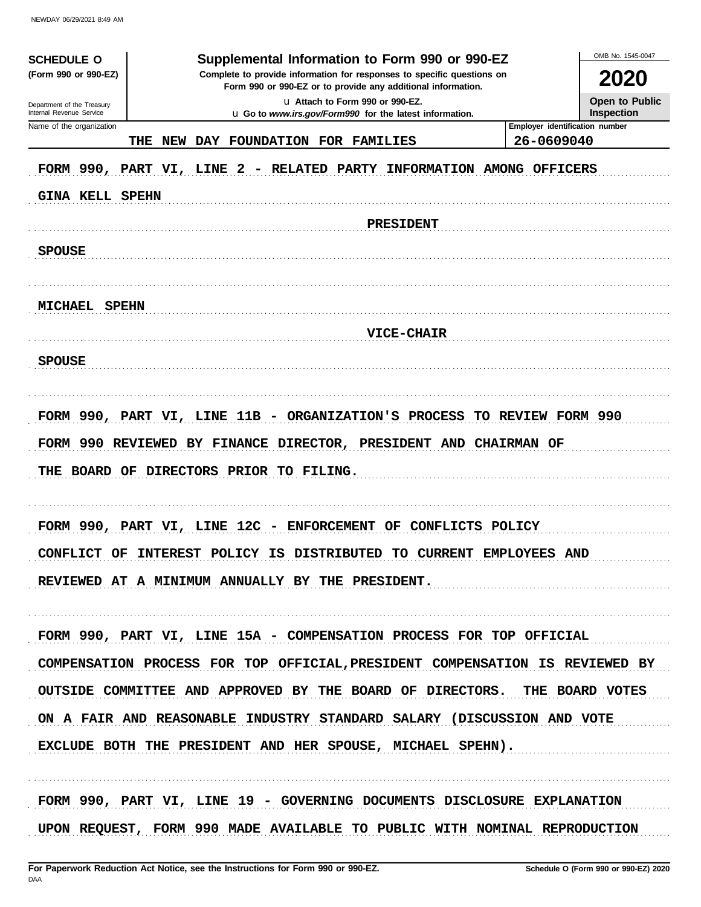NEWDAY 06/29/2021 8:49 AM

| <b>SCHEDULE O</b>                                    | Supplemental Information to Form 990 or 990-EZ                                                                                         | OMB No. 1545-0047                                   |
|------------------------------------------------------|----------------------------------------------------------------------------------------------------------------------------------------|-----------------------------------------------------|
| (Form 990 or 990-EZ)                                 | Complete to provide information for responses to specific questions on<br>Form 990 or 990-EZ or to provide any additional information. | 2020                                                |
| Department of the Treasury                           | u Attach to Form 990 or 990-EZ.                                                                                                        | Open to Public                                      |
| Internal Revenue Service<br>Name of the organization | u Go to www.irs.gov/Form990 for the latest information.                                                                                | <b>Inspection</b><br>Employer identification number |
|                                                      | DAY FOUNDATION FOR FAMILIES<br>THE<br>NEW                                                                                              | 26-0609040                                          |
| <b>GINA KELL SPEHN</b>                               | FORM 990, PART VI, LINE 2 - RELATED PARTY INFORMATION AMONG OFFICERS                                                                   |                                                     |
|                                                      | <b>PRESIDENT</b>                                                                                                                       |                                                     |
| <b>SPOUSE</b>                                        |                                                                                                                                        |                                                     |
| <b>MICHAEL SPEHN</b>                                 |                                                                                                                                        |                                                     |
|                                                      | <b>VICE-CHAIR</b>                                                                                                                      |                                                     |
| <b>SPOUSE</b>                                        |                                                                                                                                        |                                                     |
|                                                      |                                                                                                                                        |                                                     |
|                                                      | FORM 990, PART VI, LINE 11B - ORGANIZATION'S PROCESS TO REVIEW FORM 990                                                                |                                                     |
|                                                      | FORM 990 REVIEWED BY FINANCE DIRECTOR, PRESIDENT AND CHAIRMAN OF                                                                       |                                                     |
|                                                      | THE BOARD OF DIRECTORS PRIOR TO FILING.                                                                                                |                                                     |
|                                                      |                                                                                                                                        |                                                     |
|                                                      | FORM 990, PART VI, LINE 12C - ENFORCEMENT OF CONFLICTS POLICY                                                                          |                                                     |
|                                                      | CONFLICT OF INTEREST POLICY IS DISTRIBUTED TO CURRENT EMPLOYEES AND                                                                    |                                                     |
|                                                      | REVIEWED AT A MINIMUM ANNUALLY BY THE PRESIDENT.                                                                                       |                                                     |
|                                                      |                                                                                                                                        |                                                     |
|                                                      | FORM 990, PART VI, LINE 15A - COMPENSATION PROCESS FOR TOP OFFICIAL                                                                    |                                                     |
|                                                      | COMPENSATION PROCESS FOR TOP OFFICIAL, PRESIDENT COMPENSATION IS REVIEWED BY                                                           |                                                     |
|                                                      | OUTSIDE COMMITTEE AND APPROVED BY THE BOARD OF DIRECTORS. THE BOARD VOTES                                                              |                                                     |
|                                                      | ON A FAIR AND REASONABLE INDUSTRY STANDARD SALARY (DISCUSSION AND VOTE                                                                 |                                                     |
|                                                      | EXCLUDE BOTH THE PRESIDENT AND HER SPOUSE, MICHAEL SPEHN).                                                                             |                                                     |
|                                                      |                                                                                                                                        |                                                     |
|                                                      |                                                                                                                                        |                                                     |
|                                                      | FORM 990, PART VI, LINE 19 - GOVERNING DOCUMENTS DISCLOSURE EXPLANATION                                                                |                                                     |
|                                                      | UPON REQUEST, FORM 990 MADE AVAILABLE TO PUBLIC WITH NOMINAL REPRODUCTION                                                              |                                                     |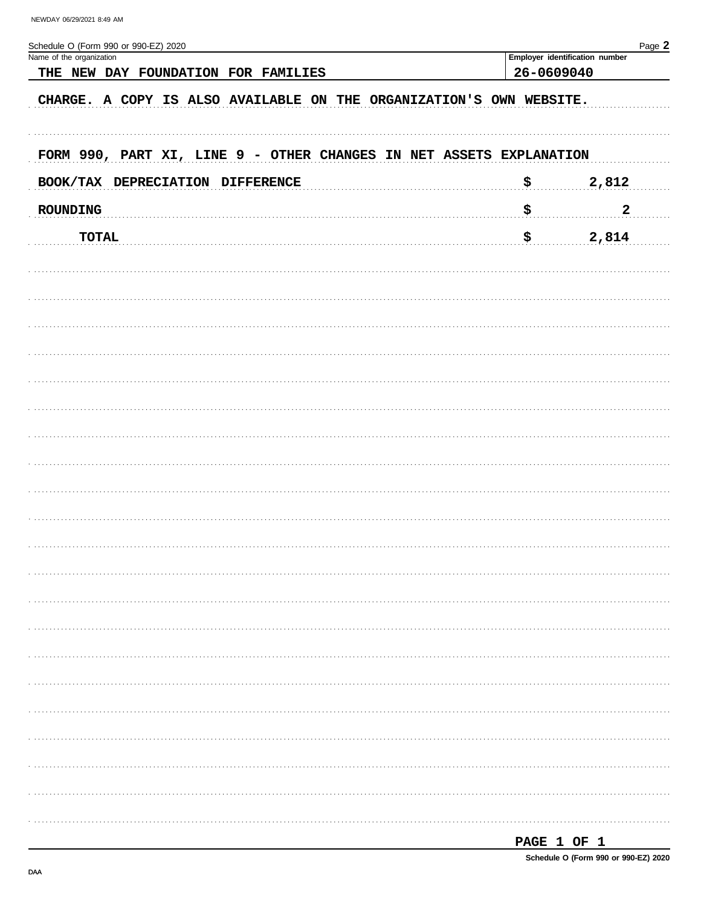| Schedule O (Form 990 or 990-EZ) 2020<br>Name of the organization    |                    | Page 2<br>Employer identification number |  |  |  |  |
|---------------------------------------------------------------------|--------------------|------------------------------------------|--|--|--|--|
| THE NEW DAY FOUNDATION FOR FAMILIES                                 |                    | 26-0609040                               |  |  |  |  |
| CHARGE. A COPY IS ALSO AVAILABLE ON THE ORGANIZATION'S OWN WEBSITE. |                    |                                          |  |  |  |  |
|                                                                     |                    |                                          |  |  |  |  |
| FORM 990, PART XI, LINE 9 - OTHER CHANGES IN NET ASSETS EXPLANATION |                    |                                          |  |  |  |  |
| BOOK/TAX DEPRECIATION DIFFERENCE                                    | $\mathbf{s}_\perp$ | 2,812                                    |  |  |  |  |
| <b>ROUNDING</b>                                                     | \$                 | $\boldsymbol{2}$                         |  |  |  |  |
| <b>TOTAL</b>                                                        | \$.                | 2,814                                    |  |  |  |  |
|                                                                     |                    |                                          |  |  |  |  |
|                                                                     |                    |                                          |  |  |  |  |
|                                                                     |                    |                                          |  |  |  |  |
|                                                                     |                    |                                          |  |  |  |  |
|                                                                     |                    |                                          |  |  |  |  |
|                                                                     |                    |                                          |  |  |  |  |
|                                                                     |                    |                                          |  |  |  |  |
|                                                                     |                    |                                          |  |  |  |  |
|                                                                     |                    |                                          |  |  |  |  |
|                                                                     |                    |                                          |  |  |  |  |
|                                                                     |                    |                                          |  |  |  |  |
|                                                                     |                    |                                          |  |  |  |  |
|                                                                     |                    |                                          |  |  |  |  |
|                                                                     |                    |                                          |  |  |  |  |
|                                                                     |                    |                                          |  |  |  |  |
|                                                                     |                    |                                          |  |  |  |  |
|                                                                     |                    |                                          |  |  |  |  |
|                                                                     |                    |                                          |  |  |  |  |
|                                                                     |                    |                                          |  |  |  |  |
|                                                                     |                    |                                          |  |  |  |  |
|                                                                     |                    |                                          |  |  |  |  |
|                                                                     |                    |                                          |  |  |  |  |

| I |
|---|
|---|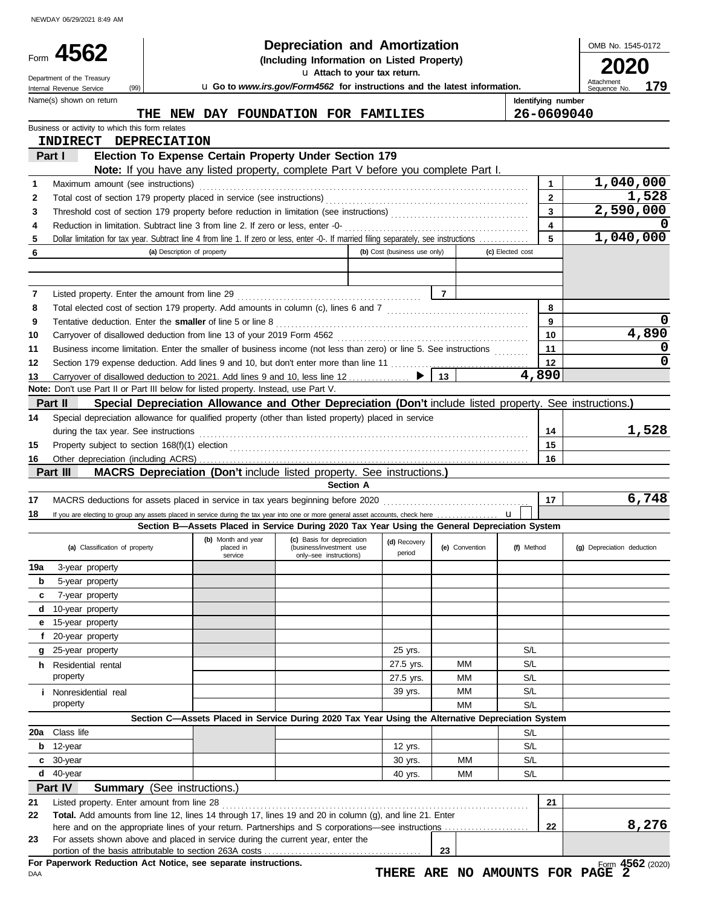NEWDAY 06/29/2021 8:49 AM

| Form                                                                       | 4562                                                                                                                                                                                  |                                                                                                          | <b>Depreciation and Amortization</b>                                             |                              |                |                    | OMB No. 1545-0172                 |
|----------------------------------------------------------------------------|---------------------------------------------------------------------------------------------------------------------------------------------------------------------------------------|----------------------------------------------------------------------------------------------------------|----------------------------------------------------------------------------------|------------------------------|----------------|--------------------|-----------------------------------|
| (Including Information on Listed Property)<br>u Attach to your tax return. |                                                                                                                                                                                       |                                                                                                          |                                                                                  |                              |                |                    |                                   |
|                                                                            | Department of the Treasury<br>(99)<br>Internal Revenue Service                                                                                                                        |                                                                                                          | <b>u</b> Go to www.irs.gov/Form4562 for instructions and the latest information. |                              |                |                    | Attachment<br>179<br>Sequence No. |
|                                                                            | Name(s) shown on return                                                                                                                                                               |                                                                                                          |                                                                                  |                              |                | Identifying number |                                   |
|                                                                            | THE                                                                                                                                                                                   | NEW DAY FOUNDATION FOR FAMILIES                                                                          |                                                                                  |                              |                |                    | 26-0609040                        |
|                                                                            | Business or activity to which this form relates                                                                                                                                       |                                                                                                          |                                                                                  |                              |                |                    |                                   |
|                                                                            | INDIRECT DEPRECIATION                                                                                                                                                                 |                                                                                                          |                                                                                  |                              |                |                    |                                   |
|                                                                            | Part I                                                                                                                                                                                | Election To Expense Certain Property Under Section 179                                                   |                                                                                  |                              |                |                    |                                   |
| 1                                                                          | Maximum amount (see instructions)                                                                                                                                                     | Note: If you have any listed property, complete Part V before you complete Part I.                       |                                                                                  |                              |                | 1                  | 1,040,000                         |
| 2                                                                          |                                                                                                                                                                                       |                                                                                                          |                                                                                  |                              |                | $\overline{2}$     | 1,528                             |
| 3                                                                          |                                                                                                                                                                                       |                                                                                                          |                                                                                  |                              |                | 3                  | 2,590,000                         |
| 4                                                                          | Reduction in limitation. Subtract line 3 from line 2. If zero or less, enter -0-                                                                                                      |                                                                                                          |                                                                                  |                              |                | 4                  |                                   |
| 5                                                                          | Dollar limitation for tax year. Subtract line 4 from line 1. If zero or less, enter -0-. If married filing separately, see instructions                                               |                                                                                                          |                                                                                  |                              |                | 5                  | 1,040,000                         |
| 6                                                                          |                                                                                                                                                                                       | (a) Description of property                                                                              |                                                                                  | (b) Cost (business use only) |                | (c) Elected cost   |                                   |
|                                                                            |                                                                                                                                                                                       |                                                                                                          |                                                                                  |                              |                |                    |                                   |
|                                                                            |                                                                                                                                                                                       |                                                                                                          |                                                                                  |                              |                |                    |                                   |
| 7                                                                          | Listed property. Enter the amount from line 29                                                                                                                                        |                                                                                                          |                                                                                  |                              | $\overline{7}$ |                    |                                   |
| 8<br>9                                                                     |                                                                                                                                                                                       |                                                                                                          |                                                                                  |                              |                | 8<br>9             |                                   |
| 10                                                                         | Tentative deduction. Enter the smaller of line 5 or line 8                                                                                                                            |                                                                                                          |                                                                                  |                              |                | 10                 | 4,890                             |
| 11                                                                         | Business income limitation. Enter the smaller of business income (not less than zero) or line 5. See instructions                                                                     |                                                                                                          |                                                                                  |                              |                | 11                 |                                   |
| 12                                                                         |                                                                                                                                                                                       |                                                                                                          |                                                                                  |                              |                | 12                 |                                   |
| 13                                                                         | Carryover of disallowed deduction to 2021. Add lines 9 and 10, less line 12                                                                                                           |                                                                                                          |                                                                                  |                              | 13             | 4,890              |                                   |
|                                                                            | Note: Don't use Part II or Part III below for listed property. Instead, use Part V.                                                                                                   |                                                                                                          |                                                                                  |                              |                |                    |                                   |
|                                                                            | Part II                                                                                                                                                                               | Special Depreciation Allowance and Other Depreciation (Don't include listed property. See instructions.) |                                                                                  |                              |                |                    |                                   |
| 14                                                                         | Special depreciation allowance for qualified property (other than listed property) placed in service                                                                                  |                                                                                                          |                                                                                  |                              |                |                    |                                   |
|                                                                            | during the tax year. See instructions                                                                                                                                                 |                                                                                                          |                                                                                  |                              |                | 14                 | 1,528                             |
| 15                                                                         |                                                                                                                                                                                       |                                                                                                          |                                                                                  |                              |                | 15                 |                                   |
| 16                                                                         |                                                                                                                                                                                       |                                                                                                          |                                                                                  |                              |                |                    |                                   |
|                                                                            |                                                                                                                                                                                       |                                                                                                          |                                                                                  |                              |                | 16                 |                                   |
|                                                                            | Part III                                                                                                                                                                              | MACRS Depreciation (Don't include listed property. See instructions.)                                    |                                                                                  |                              |                |                    |                                   |
|                                                                            |                                                                                                                                                                                       |                                                                                                          | <b>Section A</b>                                                                 |                              |                |                    |                                   |
|                                                                            | If you are electing to group any assets placed in service during the tax year into one or more general asset accounts, check here                                                     |                                                                                                          |                                                                                  |                              |                | 17<br>$\mathbf{u}$ | 6,748                             |
|                                                                            |                                                                                                                                                                                       | Section B-Assets Placed in Service During 2020 Tax Year Using the General Depreciation System            |                                                                                  |                              |                |                    |                                   |
|                                                                            | (a) Classification of property                                                                                                                                                        | (b) Month and year<br>placed in<br>service                                                               | (c) Basis for depreciation<br>(business/investment use<br>only-see instructions) | (d) Recovery<br>period       | (e) Convention | (f) Method         | (g) Depreciation deduction        |
|                                                                            | 3-year property                                                                                                                                                                       |                                                                                                          |                                                                                  |                              |                |                    |                                   |
| b                                                                          | 5-year property                                                                                                                                                                       |                                                                                                          |                                                                                  |                              |                |                    |                                   |
| c                                                                          | 7-year property                                                                                                                                                                       |                                                                                                          |                                                                                  |                              |                |                    |                                   |
| d                                                                          | 10-year property                                                                                                                                                                      |                                                                                                          |                                                                                  |                              |                |                    |                                   |
| е                                                                          | 15-year property                                                                                                                                                                      |                                                                                                          |                                                                                  |                              |                |                    |                                   |
| f                                                                          | 20-year property                                                                                                                                                                      |                                                                                                          |                                                                                  |                              |                |                    |                                   |
| g                                                                          | 25-year property                                                                                                                                                                      |                                                                                                          |                                                                                  | 25 yrs.                      |                | S/L                |                                   |
| 17<br>18<br>19a                                                            | h Residential rental                                                                                                                                                                  |                                                                                                          |                                                                                  | 27.5 yrs.                    | MМ             | S/L                |                                   |
|                                                                            | property                                                                                                                                                                              |                                                                                                          |                                                                                  | 27.5 yrs.                    | MМ             | S/L                |                                   |
|                                                                            | <i>i</i> Nonresidential real                                                                                                                                                          |                                                                                                          |                                                                                  | 39 yrs.                      | MМ             | S/L                |                                   |
|                                                                            | property                                                                                                                                                                              |                                                                                                          |                                                                                  |                              | MM             | S/L                |                                   |
|                                                                            | Class life                                                                                                                                                                            | Section C-Assets Placed in Service During 2020 Tax Year Using the Alternative Depreciation System        |                                                                                  |                              |                |                    |                                   |
| b                                                                          | 12-year                                                                                                                                                                               |                                                                                                          |                                                                                  | 12 yrs.                      |                | S/L<br>S/L         |                                   |
| c                                                                          | 30-year                                                                                                                                                                               |                                                                                                          |                                                                                  | 30 yrs.                      | МM             | S/L                |                                   |
| d                                                                          | 40-year                                                                                                                                                                               |                                                                                                          |                                                                                  | 40 yrs.                      | ΜМ             | S/L                |                                   |
|                                                                            | Part IV<br><b>Summary</b> (See instructions.)                                                                                                                                         |                                                                                                          |                                                                                  |                              |                |                    |                                   |
|                                                                            | Listed property. Enter amount from line 28                                                                                                                                            |                                                                                                          |                                                                                  |                              |                | 21                 |                                   |
| 20a<br>21<br>22                                                            | Total. Add amounts from line 12, lines 14 through 17, lines 19 and 20 in column (g), and line 21. Enter                                                                               |                                                                                                          |                                                                                  |                              |                |                    |                                   |
| 23                                                                         | here and on the appropriate lines of your return. Partnerships and S corporations—see instructions<br>For assets shown above and placed in service during the current year, enter the |                                                                                                          |                                                                                  |                              |                | 22                 | 8,276                             |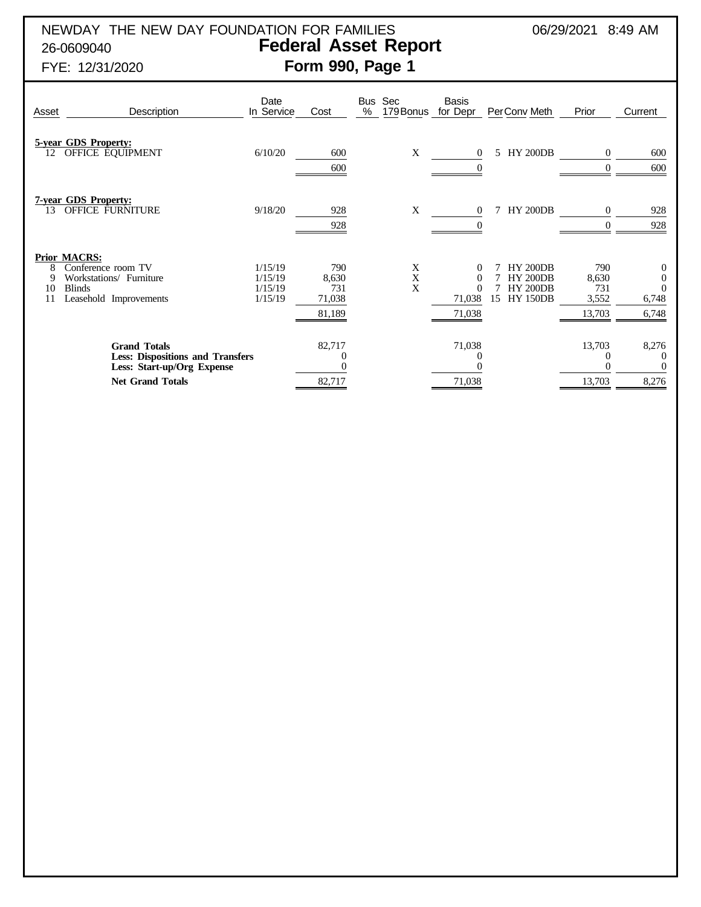# NEWDAY THE NEW DAY FOUNDATION FOR FAMILIES  $06/29/2021$  8:49 AM 26-0609040 **Federal Asset Report** FYE: 12/31/2020 **Form 990, Page 1**

| Asset              | Description                                                                                                             | Date<br>In Service                       | Cost                                    | Bus Sec<br>$\%$<br>179 Bonus | Basis<br>for Depr                                    | PerConv Meth                                                                   | Prior                                  | Current                                                        |
|--------------------|-------------------------------------------------------------------------------------------------------------------------|------------------------------------------|-----------------------------------------|------------------------------|------------------------------------------------------|--------------------------------------------------------------------------------|----------------------------------------|----------------------------------------------------------------|
| 12                 | 5-year GDS Property:<br>OFFICE EQUIPMENT                                                                                | 6/10/20                                  | 600<br>600                              | X                            | $\Omega$                                             | <b>HY 200DB</b><br>5.                                                          | $\Omega$<br>$\Omega$                   | 600<br>600                                                     |
| 13                 | <b>7-year GDS Property:</b><br>OFFICE FURNITURE                                                                         | 9/18/20                                  | 928<br>928                              | X                            | $\theta$                                             | <b>HY 200DB</b><br>7                                                           | $\overline{0}$                         | 928<br>928                                                     |
| 8<br>9<br>10<br>11 | <b>Prior MACRS:</b><br>Conference room TV<br>Workstations/ Furniture<br><b>Blinds</b><br>Leasehold Improvements         | 1/15/19<br>1/15/19<br>1/15/19<br>1/15/19 | 790<br>8,630<br>731<br>71,038<br>81,189 | X<br>X<br>X                  | $\Omega$<br>$\Omega$<br>$\Omega$<br>71,038<br>71,038 | <b>HY 200DB</b><br><b>HY 200DB</b><br><b>HY 200DB</b><br>15<br><b>HY 150DB</b> | 790<br>8,630<br>731<br>3,552<br>13,703 | $\boldsymbol{0}$<br>$\mathbf{0}$<br>$\Omega$<br>6,748<br>6,748 |
|                    | <b>Grand Totals</b><br><b>Less: Dispositions and Transfers</b><br>Less: Start-up/Org Expense<br><b>Net Grand Totals</b> |                                          | 82,717<br>$\theta$<br>82,717            |                              | 71,038<br>71,038                                     |                                                                                | 13,703<br>13,703                       | 8,276<br>$\overline{0}$<br>$\Omega$<br>8,276                   |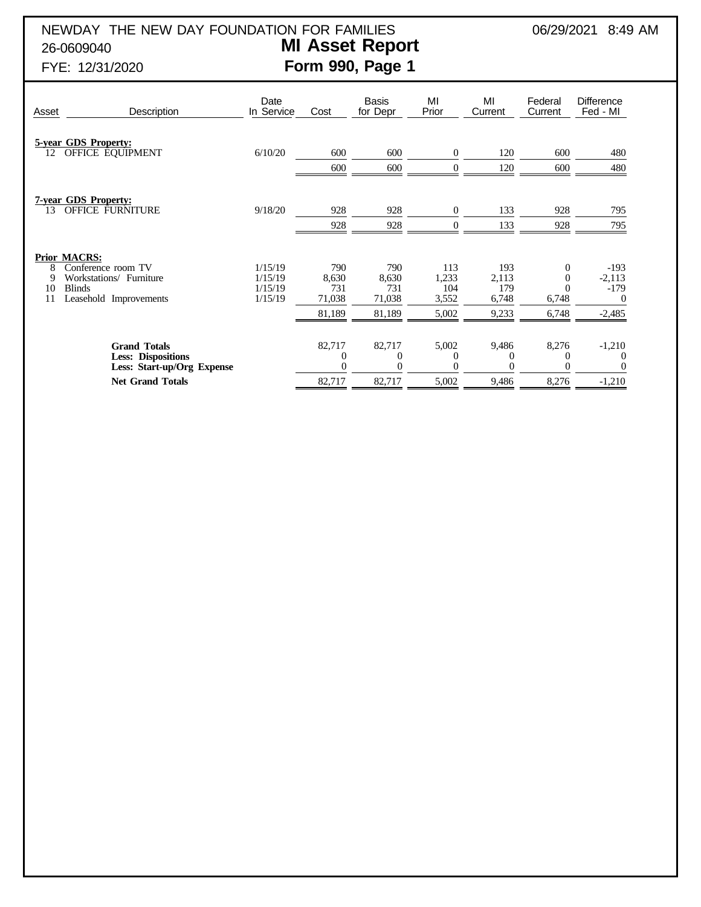NEWDAY THE NEW DAY FOUNDATION FOR FAMILIES 06/29/2021 8:49 AM 26-0609040 **MI Asset Report**

# FYE: 12/31/2020 **Form 990, Page 1**

| Description                                                                    | Date<br>In Service                                                                                                                                                                                                                     | Cost                                    | <b>Basis</b><br>for Depr                | MI<br>Prior                           | MI<br>Current                         | Federal<br>Current       | <b>Difference</b><br>Fed - MI                        |
|--------------------------------------------------------------------------------|----------------------------------------------------------------------------------------------------------------------------------------------------------------------------------------------------------------------------------------|-----------------------------------------|-----------------------------------------|---------------------------------------|---------------------------------------|--------------------------|------------------------------------------------------|
|                                                                                | 6/10/20                                                                                                                                                                                                                                | 600<br>600                              | 600<br>600                              | $\Omega$<br>$\mathbf{0}$              | 120<br>120                            | 600<br>600               | 480<br>480                                           |
|                                                                                | 9/18/20                                                                                                                                                                                                                                | 928<br>928                              | 928<br>928                              | $\mathbf{0}$<br>$\overline{0}$        | 133<br>133                            | 928<br>928               | 795<br>795                                           |
|                                                                                | 1/15/19<br>1/15/19<br>1/15/19<br>1/15/19                                                                                                                                                                                               | 790<br>8,630<br>731<br>71,038<br>81,189 | 790<br>8,630<br>731<br>71,038<br>81,189 | 113<br>1,233<br>104<br>3,552<br>5,002 | 193<br>2,113<br>179<br>6,748<br>9,233 | 0<br>0<br>6,748<br>6,748 | $-193$<br>$-2,113$<br>$-179$<br>$\theta$<br>$-2,485$ |
| <b>Grand Totals</b><br><b>Less: Dispositions</b><br>Less: Start-up/Org Expense |                                                                                                                                                                                                                                        | 82,717<br>$\Omega$<br>$\Omega$          | 82,717<br>$\theta$                      | 5,002<br>$\theta$<br>$\Omega$         | 9,486<br>$\Omega$                     | 8,276<br>$\theta$<br>0   | $-1,210$<br>$-1,210$                                 |
|                                                                                | <b>5-year GDS Property:</b><br>OFFICE EQUIPMENT<br><b>7-year GDS Property:</b><br><b>OFFICE FURNITURE</b><br><b>Prior MACRS:</b><br>Conference room TV<br>Workstations/ Furniture<br>Leasehold Improvements<br><b>Net Grand Totals</b> |                                         | 82,717                                  | 82,717                                | 5,002                                 | 9,486                    | 8,276                                                |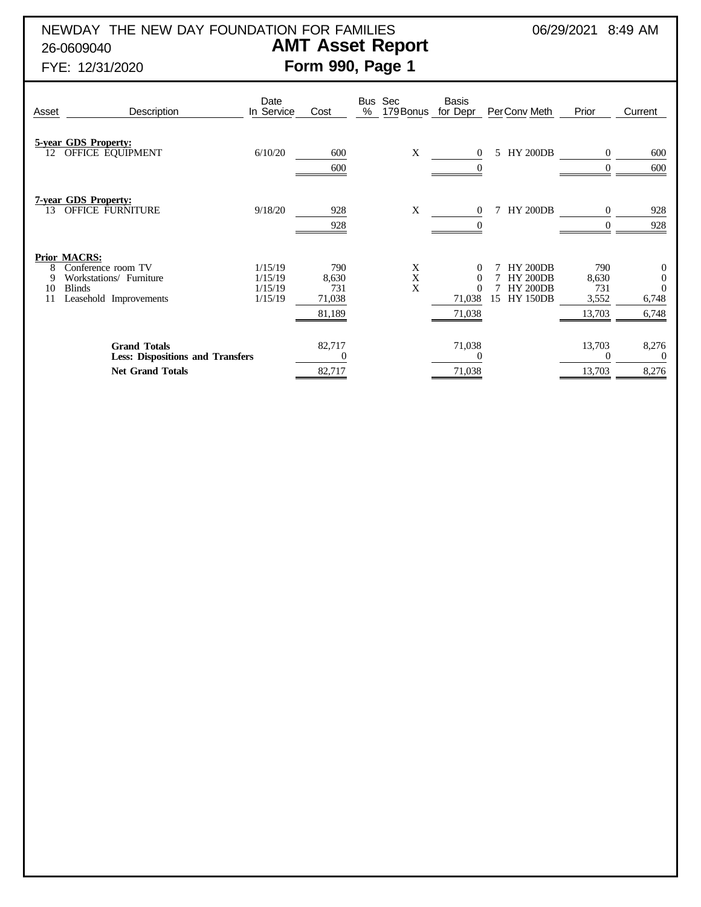NEWDAY THE NEW DAY FOUNDATION FOR FAMILIES 06/29/2021 8:49 AM 26-0609040 **AMT Asset Report**

# FYE: 12/31/2020 **Form 990, Page 1**

# Date Bus Sec Basis<br>In Service Cost % 179 Bonus for Dep Asset Description In Service Cost % 179 Bonus for Depr PerConv Meth Prior Current **5-year GDS Property:** 12 OFFICE EQUIPMENT 6/10/20 600 X 0 5 HY 200DB 0 600 600 0 0 600 **7-year GDS Property:** 13 OFFICE FURNITURE 9/18/20 928 X 0 7 HY 200DB 0 928 928 0 0 928 **Prior MACRS:** 8 Conference room TV 1/15/19 790 X 0 7 HY 200DB 790 0<br>
9 Workstations/ Furniture 1/15/19 8,630 X 0 7 HY 200DB 8,630 0<br>
10 Blinds 1/15/19 731 X 0 7 HY 200DB 731 0 9 Workstations/ Furniture 11/15/19 8,630 X 0 7 HY 200DB 8,630 0<br>10 Blinds 11/15/19 731 X 0 7 HY 200DB 731 0 1/15/19 731 X 0 7 HY 200DB 731 0<br>1/15/19 71,038 15 HY 150DB 3,552 6,748 11 Leasehold Improvements 81,189 71,038 13,703 6,748 **Grand Totals** 8.276 8.276 8.277 8 8.277 8 71,038 8,276 **Less: Dispositions and Transfers** 0 0 0 0 **Net Grand Totals** 8.276 8.276 8.276 8.276 8.276 8.276 8.276 8.276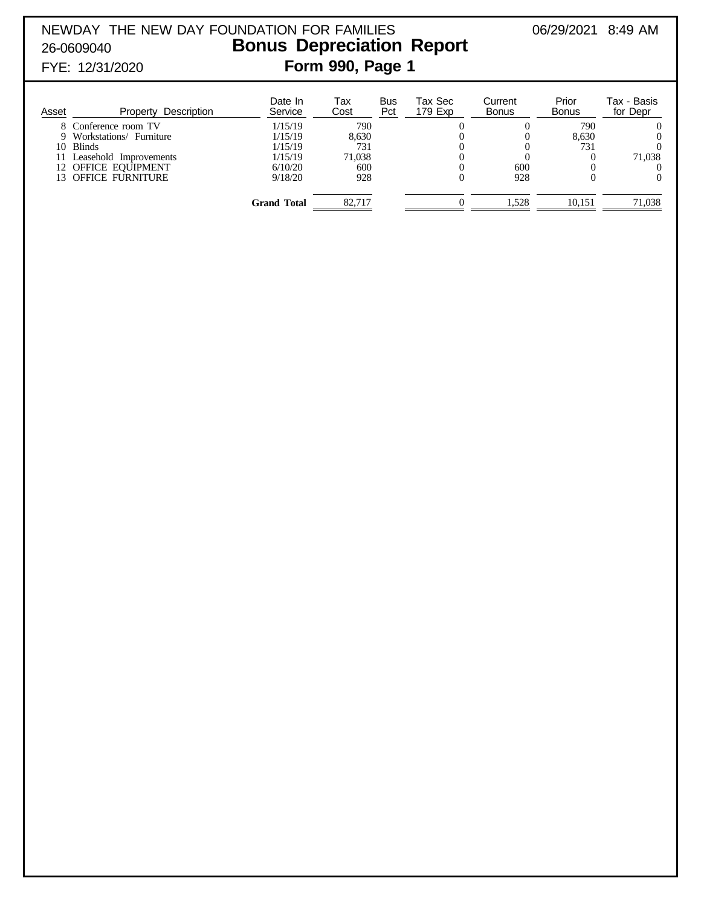NEWDAY THE NEW DAY FOUNDATION FOR FAMILIES 06/29/2021 8:49 AM 26-0609040 **Bonus Depreciation Report** FYE: 12/31/2020 **Form 990, Page 1**

| Asset | Description<br>Property | Date In<br>Service | Tax<br>Cost | Bus<br>Pct | Tax Sec<br>179 Exp | Current<br>Bonus | Prior<br><b>Bonus</b> | Tax - Basis<br>for Depr |
|-------|-------------------------|--------------------|-------------|------------|--------------------|------------------|-----------------------|-------------------------|
|       | 8 Conference room TV    | 1/15/19            | 790         |            |                    |                  | 790                   |                         |
|       | Workstations/ Furniture | 1/15/19            | 8.630       |            |                    |                  | 8.630                 |                         |
|       | 10 Blinds               | 1/15/19            | 731         |            |                    |                  | 731                   |                         |
|       | Leasehold Improvements  | 1/15/19            | 71.038      |            |                    |                  |                       | 71,038                  |
|       | 12 OFFICE EQUIPMENT     | 6/10/20            | 600         |            |                    | 600              |                       |                         |
|       | 13 OFFICE FURNITURE     | 9/18/20            | 928         |            |                    | 928              |                       |                         |
|       |                         | Grand Total        | 82.717      |            |                    | 1.528            | 10.151                | 71,038                  |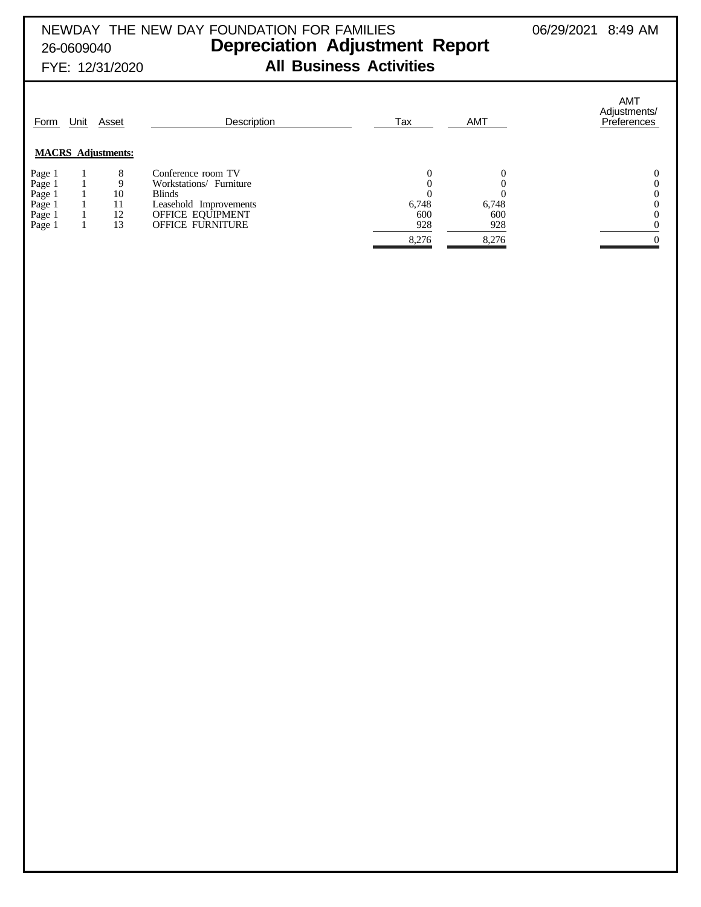# NEWDAY THE NEW DAY FOUNDATION FOR FAMILIES  $06/29/2021$  8:49 AM 26-0609040 **Depreciation Adjustment Report** FYE: 12/31/2020 **All Business Activities**

| Form   | Unit | Asset<br><b>MACRS</b> Adjustments: | Description             | Tax   | <b>AMT</b> | <b>AMT</b><br>Adjustments/<br>Preferences |
|--------|------|------------------------------------|-------------------------|-------|------------|-------------------------------------------|
| Page 1 |      | 8                                  | Conference room TV      |       |            |                                           |
| Page 1 |      | 9                                  | Workstations/ Furniture |       |            |                                           |
| Page 1 |      | 10                                 | <b>Blinds</b>           |       |            |                                           |
| Page 1 |      | 11                                 | Leasehold Improvements  | 6,748 | 6,748      |                                           |
| Page 1 |      | 12                                 | OFFICE EQUIPMENT        | 600   | 600        |                                           |
| Page 1 |      | 13                                 | <b>OFFICE FURNITURE</b> | 928   | 928        |                                           |
|        |      |                                    |                         | 8,276 | 8,276      |                                           |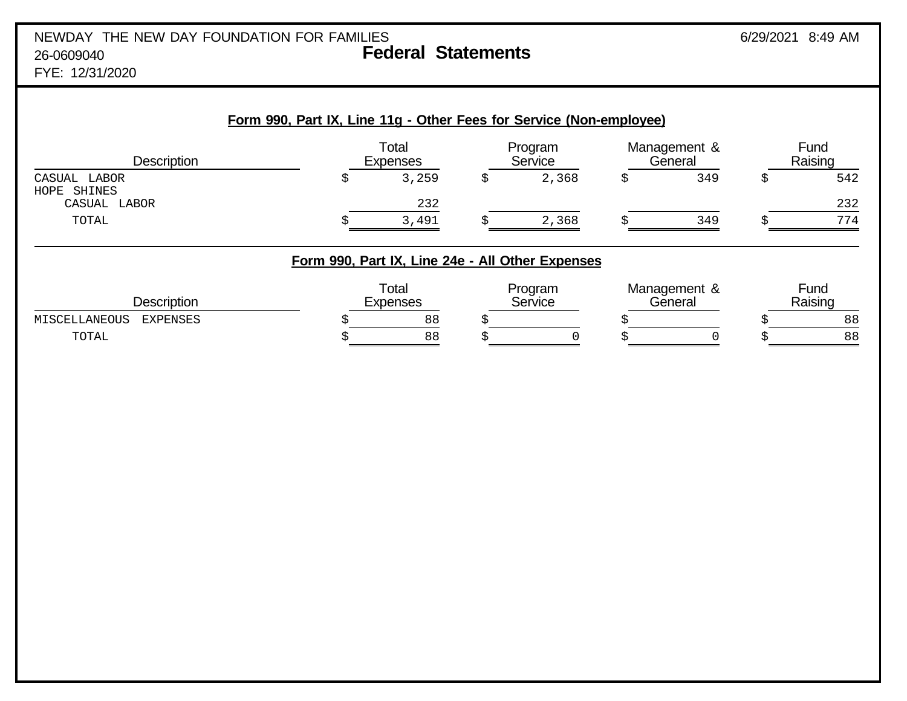# NEWDAY THE NEW DAY FOUNDATION FOR FAMILIES 6/29/2021 8:49 AM 26-0609040 **Federal Statements**

FYE: 12/31/2020

| <b>Description</b>                             | Form 990, Part IX, Line 11g - Other Fees for Service (Non-employee) | Total<br><b>Expenses</b> | Program<br>Service |   | Management &<br>General | Fund<br>Raising  |
|------------------------------------------------|---------------------------------------------------------------------|--------------------------|--------------------|---|-------------------------|------------------|
| CASUAL LABOR<br>SHINES<br>HOPE<br>CASUAL LABOR | \$                                                                  | 3,259<br>232             | \$<br>2,368        | S | 349                     | \$<br>542<br>232 |
| TOTAL                                          | S                                                                   | 3,491                    | 2,368              |   | 349                     | 774              |
|                                                | Form 990, Part IX, Line 24e - All Other Expenses                    |                          |                    |   |                         |                  |
| <b>Description</b>                             |                                                                     | Total<br><b>Expenses</b> | Program<br>Service |   | Management &<br>General | Fund<br>Raising  |
| MISCELLANEOUS<br><b>EXPENSES</b><br>TOTAL      | S<br>Š                                                              | 88<br>88                 |                    |   |                         | 88<br>88         |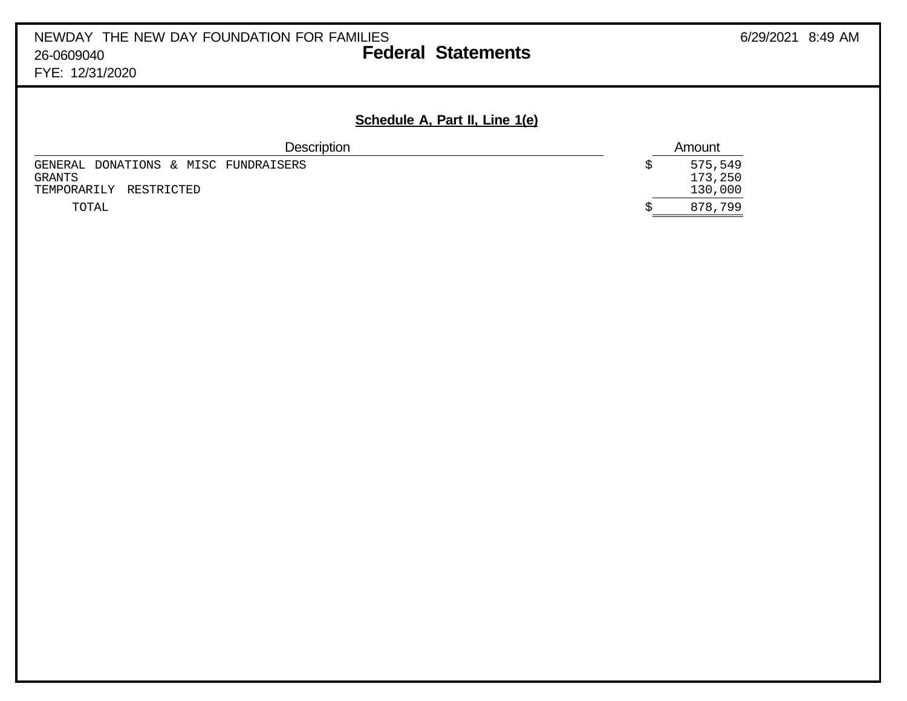# FYE: 12/31/2020

# **Schedule A, Part II, Line 1(e)**

| <b>Description</b>                                                       |  | Amount                        |
|--------------------------------------------------------------------------|--|-------------------------------|
| GENERAL DONATIONS & MISC FUNDRAISERS<br>GRANTS<br>TEMPORARILY RESTRICTED |  | 575,549<br>173,250<br>130,000 |
| TOTAL                                                                    |  | 878,799                       |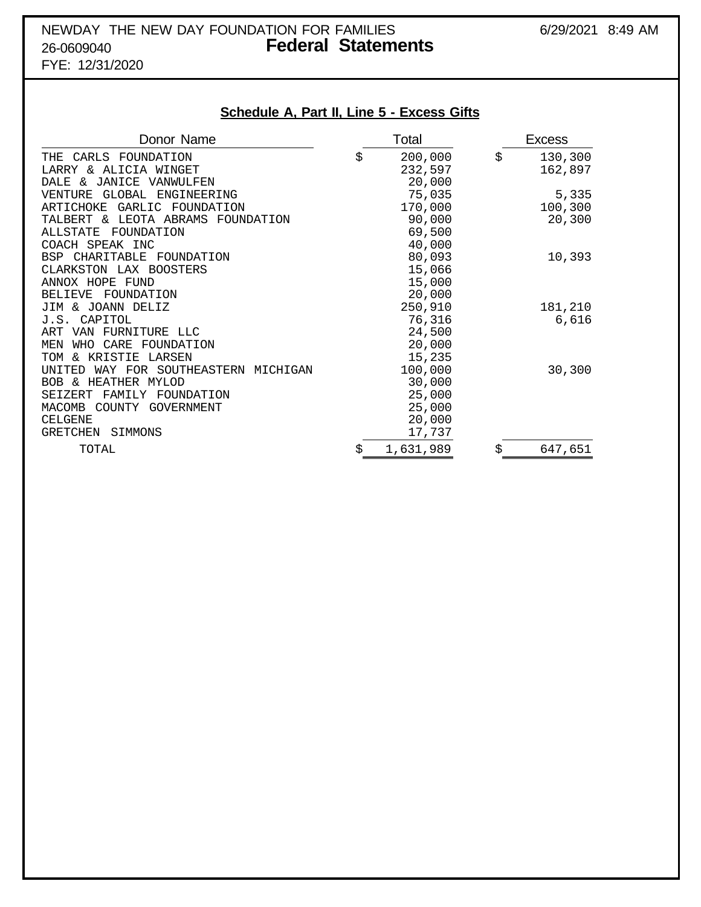# NEWDAY THE NEW DAY FOUNDATION FOR FAMILIES 6/29/2021 8:49 AM 26-0609040 **Federal Statements**

FYE: 12/31/2020

# **Schedule A, Part II, Line 5 - Excess Gifts**

| Donor Name                                     |    | Total     | <b>Excess</b> |
|------------------------------------------------|----|-----------|---------------|
| THE CARLS FOUNDATION                           | \$ | 200,000   | \$<br>130,300 |
| LARRY & ALICIA WINGET                          |    | 232,597   | 162,897       |
| JANICE<br>DALE &<br>VANWULFEN                  |    | 20,000    |               |
| GLOBAL<br>ENGINEERING<br>VENTURE               |    | 75,035    | 5,335         |
| GARLIC FOUNDATION<br>ARTICHOKE                 |    | 170,000   | 100,300       |
| LEOTA ABRAMS<br>TALBERT &<br>FOUNDATION        |    | 90,000    | 20,300        |
| FOUNDATION<br>ALLSTATE                         |    | 69,500    |               |
| COACH SPEAK INC                                |    | 40,000    |               |
| BSP CHARITABLE FOUNDATION                      |    | 80,093    | 10,393        |
| CLARKSTON LAX BOOSTERS                         |    | 15,066    |               |
| ANNOX HOPE FUND                                |    | 15,000    |               |
| FOUNDATION<br><b>BELIEVE</b>                   |    | 20,000    |               |
| JIM & JOANN DELIZ                              |    | 250,910   | 181,210       |
| J.S. CAPITOL                                   |    | 76,316    | 6,616         |
| VAN FURNITURE LLC<br>ART                       |    | 24,500    |               |
| MEN<br>WHO CARE FOUNDATION                     |    | 20,000    |               |
| & KRISTIE LARSEN<br>TOM                        |    | 15,235    |               |
| <b>INTTED</b><br>WAY FOR SOUTHEASTERN MICHIGAN |    | 100,000   | 30,300        |
| BOB & HEATHER MYLOD                            |    | 30,000    |               |
| SEIZERT<br>FAMILY FOUNDATION                   |    | 25,000    |               |
| <b>MACOMB</b><br>COUNTY GOVERNMENT             |    | 25,000    |               |
| <b>CELGENE</b>                                 |    | 20,000    |               |
| <b>GRETCHEN</b><br>SIMMONS                     |    | 17,737    |               |
| TOTAL                                          | Ŝ  | 1,631,989 | \$<br>647,651 |